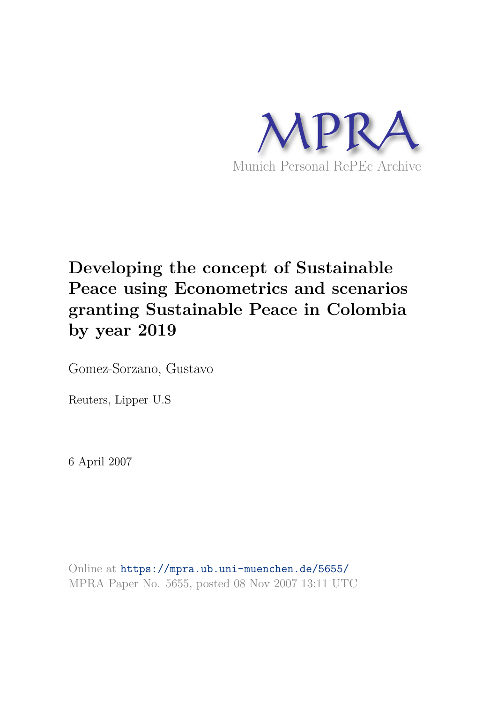

# **Developing the concept of Sustainable Peace using Econometrics and scenarios granting Sustainable Peace in Colombia by year 2019**

Gomez-Sorzano, Gustavo

Reuters, Lipper U.S

6 April 2007

Online at https://mpra.ub.uni-muenchen.de/5655/ MPRA Paper No. 5655, posted 08 Nov 2007 13:11 UTC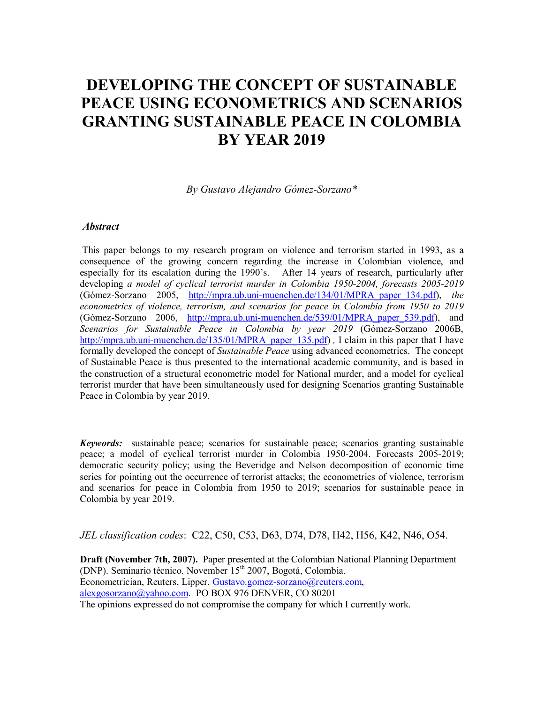# **DEVELOPING THE CONCEPT OF SUSTAINABLE PEACE USING ECONOMETRICS AND SCENARIOS GRANTING SUSTAINABLE PEACE IN COLOMBIA BY YEAR 2019**

*By Gustavo Alejandro GÛmez-Sorzano\** 

#### *Abstract*

This paper belongs to my research program on violence and terrorism started in 1993, as a consequence of the growing concern regarding the increase in Colombian violence, and especially for its escalation during the 1990's. After 14 years of research, particularly after developing *a model of cyclical terrorist murder in Colombia 1950-2004, forecasts 2005-2019* (Gómez-Sorzano 2005, http://mpra.ub.uni-muenchen.de/134/01/MPRA paper 134.pdf), *the econometrics of violence, terrorism, and scenarios for peace in Colombia from 1950 to 2019*  (Gómez-Sorzano 2006, http://mpra.ub.uni-muenchen.de/539/01/MPRA paper 539.pdf), and Scenarios for Sustainable Peace in Colombia by year 2019 (Gómez-Sorzano 2006B, http://mpra.ub.uni-muenchen.de/135/01/MPRA\_paper\_135.pdf) *,* I claim in this paper that I have formally developed the concept of *Sustainable Peace* using advanced econometrics. The concept of Sustainable Peace is thus presented to the international academic community, and is based in the construction of a structural econometric model for National murder, and a model for cyclical terrorist murder that have been simultaneously used for designing Scenarios granting Sustainable Peace in Colombia by year 2019.

*Keywords:* sustainable peace; scenarios for sustainable peace; scenarios granting sustainable peace; a model of cyclical terrorist murder in Colombia 1950-2004. Forecasts 2005-2019; democratic security policy; using the Beveridge and Nelson decomposition of economic time series for pointing out the occurrence of terrorist attacks; the econometrics of violence, terrorism and scenarios for peace in Colombia from 1950 to 2019; scenarios for sustainable peace in Colombia by year 2019.

*JEL classification codes*: C22, C50, C53, D63, D74, D78, H42, H56, K42, N46, O54.

**Draft (November 7th, 2007).** Paper presented at the Colombian National Planning Department (DNP). Seminario técnico. November 15<sup>th</sup> 2007, Bogotá, Colombia. Econometrician, Reuters, Lipper. Gustavo.gomez-sorzano@reuters.com, alexgosorzano@yahoo.com. PO BOX 976 DENVER, CO 80201 The opinions expressed do not compromise the company for which I currently work.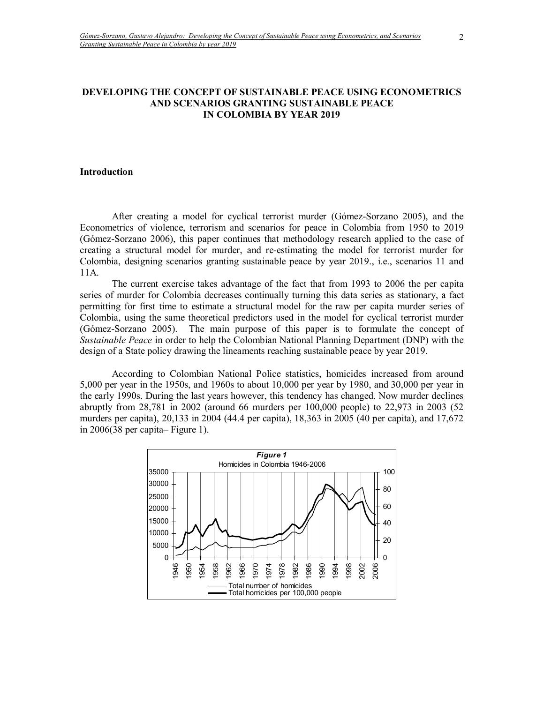#### **DEVELOPING THE CONCEPT OF SUSTAINABLE PEACE USING ECONOMETRICS AND SCENARIOS GRANTING SUSTAINABLE PEACE IN COLOMBIA BY YEAR 2019**

#### **Introduction**

After creating a model for cyclical terrorist murder (Gómez-Sorzano 2005), and the Econometrics of violence, terrorism and scenarios for peace in Colombia from 1950 to 2019 (Gómez-Sorzano 2006), this paper continues that methodology research applied to the case of creating a structural model for murder, and re-estimating the model for terrorist murder for Colombia, designing scenarios granting sustainable peace by year 2019., i.e., scenarios 11 and 11A.

The current exercise takes advantage of the fact that from 1993 to 2006 the per capita series of murder for Colombia decreases continually turning this data series as stationary, a fact permitting for first time to estimate a structural model for the raw per capita murder series of Colombia, using the same theoretical predictors used in the model for cyclical terrorist murder (Gómez-Sorzano 2005). The main purpose of this paper is to formulate the concept of *Sustainable Peace* in order to help the Colombian National Planning Department (DNP) with the design of a State policy drawing the lineaments reaching sustainable peace by year 2019.

According to Colombian National Police statistics, homicides increased from around 5,000 per year in the 1950s, and 1960s to about 10,000 per year by 1980, and 30,000 per year in the early 1990s. During the last years however, this tendency has changed. Now murder declines abruptly from 28,781 in 2002 (around 66 murders per 100,000 people) to 22,973 in 2003 (52 murders per capita), 20,133 in 2004 (44.4 per capita), 18,363 in 2005 (40 per capita), and 17,672 in  $2006(38$  per capita–Figure 1).

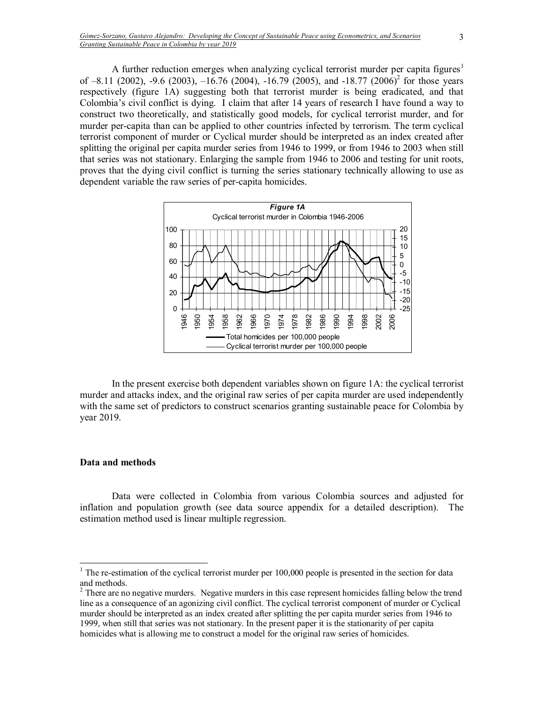A further reduction emerges when analyzing cyclical terrorist murder per capita figures<sup>1</sup> of  $-8.11$  (2002),  $-9.6$  (2003),  $-16.76$  (2004),  $-16.79$  (2005), and  $-18.77$  (2006)<sup>2</sup> for those years respectively (figure 1A) suggesting both that terrorist murder is being eradicated, and that Colombiaís civil conflict is dying. I claim that after 14 years of research I have found a way to construct two theoretically, and statistically good models, for cyclical terrorist murder, and for murder per-capita than can be applied to other countries infected by terrorism. The term cyclical terrorist component of murder or Cyclical murder should be interpreted as an index created after splitting the original per capita murder series from 1946 to 1999, or from 1946 to 2003 when still that series was not stationary. Enlarging the sample from 1946 to 2006 and testing for unit roots, proves that the dying civil conflict is turning the series stationary technically allowing to use as dependent variable the raw series of per-capita homicides.



In the present exercise both dependent variables shown on figure 1A: the cyclical terrorist murder and attacks index, and the original raw series of per capita murder are used independently with the same set of predictors to construct scenarios granting sustainable peace for Colombia by year 2019.

#### **Data and methods**

 $\overline{a}$ 

Data were collected in Colombia from various Colombia sources and adjusted for inflation and population growth (see data source appendix for a detailed description). The estimation method used is linear multiple regression.

<sup>&</sup>lt;sup>1</sup> The re-estimation of the cyclical terrorist murder per  $100,000$  people is presented in the section for data and methods.

 $2<sup>2</sup>$  There are no negative murders. Negative murders in this case represent homicides falling below the trend line as a consequence of an agonizing civil conflict. The cyclical terrorist component of murder or Cyclical murder should be interpreted as an index created after splitting the per capita murder series from 1946 to 1999, when still that series was not stationary. In the present paper it is the stationarity of per capita homicides what is allowing me to construct a model for the original raw series of homicides.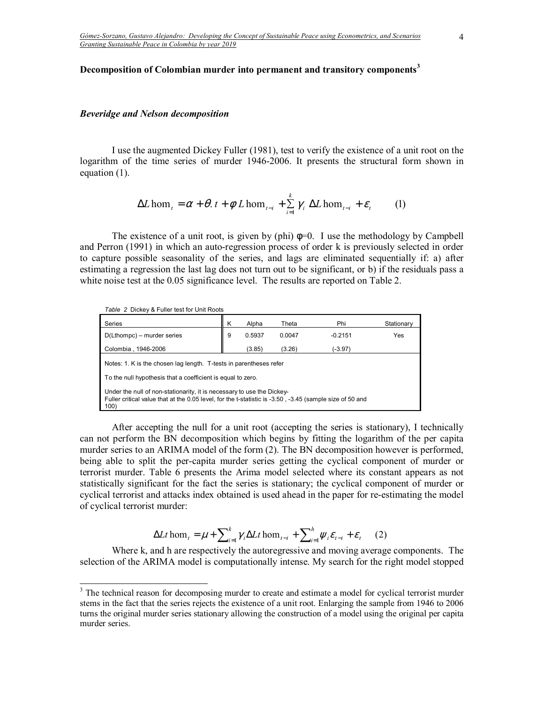#### **Decomposition of Colombian murder into permanent and transitory components<sup>3</sup>**

#### *Beveridge and Nelson decomposition*

I use the augmented Dickey Fuller (1981), test to verify the existence of a unit root on the logarithm of the time series of murder 1946-2006. It presents the structural form shown in equation (1).

$$
\Delta L \hom_t = \alpha + \theta \cdot t + \phi \ L \hom_{t-i} + \sum_{i=1}^k \gamma_i \ \Delta L \hom_{t-i} + \varepsilon_t \tag{1}
$$

The existence of a unit root, is given by (phi)  $\phi=0$ . I use the methodology by Campbell and Perron (1991) in which an auto-regression process of order k is previously selected in order to capture possible seasonality of the series, and lags are eliminated sequentially if: a) after estimating a regression the last lag does not turn out to be significant, or b) if the residuals pass a white noise test at the 0.05 significance level. The results are reported on Table 2.

| Table 2 Dickey & Fuller test for Unit Roots                                                                                                                                                |   |        |        |           |            |
|--------------------------------------------------------------------------------------------------------------------------------------------------------------------------------------------|---|--------|--------|-----------|------------|
| Series                                                                                                                                                                                     | Κ | Alpha  | Theta  | Phi       | Stationary |
| D(Lthompc) – murder series                                                                                                                                                                 | 9 | 0.5937 | 0.0047 | $-0.2151$ | Yes        |
| Colombia, 1946-2006<br>(3.85)<br>(3.26)<br>(-3.97)                                                                                                                                         |   |        |        |           |            |
| Notes: 1. K is the chosen lag length. T-tests in parentheses refer                                                                                                                         |   |        |        |           |            |
| To the null hypothesis that a coefficient is equal to zero.                                                                                                                                |   |        |        |           |            |
| Under the null of non-stationarity, it is necessary to use the Dickey-<br>Fuller critical value that at the 0.05 level, for the t-statistic is -3.50, -3.45 (sample size of 50 and<br>100) |   |        |        |           |            |

After accepting the null for a unit root (accepting the series is stationary), I technically can not perform the BN decomposition which begins by fitting the logarithm of the per capita murder series to an ARIMA model of the form (2). The BN decomposition however is performed, being able to split the per-capita murder series getting the cyclical component of murder or terrorist murder. Table 6 presents the Arima model selected where its constant appears as not statistically significant for the fact the series is stationary; the cyclical component of murder or cyclical terrorist and attacks index obtained is used ahead in the paper for re-estimating the model of cyclical terrorist murder:

$$
\Delta Lt \text{ hom}_{t} = \mu + \sum_{i=1}^{k} \gamma_{i} \Delta Lt \text{ hom}_{t-i} + \sum_{i=1}^{h} \psi_{i} \varepsilon_{t-i} + \varepsilon_{t} \qquad (2)
$$

Where k, and h are respectively the autoregressive and moving average components. The selection of the ARIMA model is computationally intense. My search for the right model stopped

<sup>&</sup>lt;sup>3</sup> The technical reason for decomposing murder to create and estimate a model for cyclical terrorist murder stems in the fact that the series rejects the existence of a unit root. Enlarging the sample from 1946 to 2006 turns the original murder series stationary allowing the construction of a model using the original per capita murder series.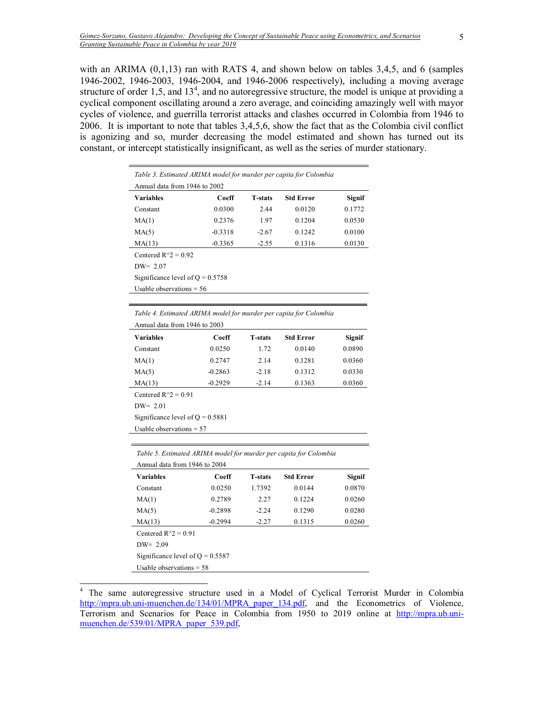with an ARIMA  $(0,1,13)$  ran with RATS 4, and shown below on tables 3,4,5, and 6 (samples 1946-2002, 1946-2003, 1946-2004, and 1946-2006 respectively), including a moving average structure of order 1,5, and  $13<sup>4</sup>$ , and no autoregressive structure, the model is unique at providing a cyclical component oscillating around a zero average, and coinciding amazingly well with mayor cycles of violence, and guerrilla terrorist attacks and clashes occurred in Colombia from 1946 to 2006. It is important to note that tables 3,4,5,6, show the fact that as the Colombia civil conflict is agonizing and so, murder decreasing the model estimated and shown has turned out its constant, or intercept statistically insignificant, as well as the series of murder stationary.

| Table 3. Estimated ARIMA model for murder per capita for Colombia<br>Annual data from 1946 to 2002 |           |                |                  |        |  |
|----------------------------------------------------------------------------------------------------|-----------|----------------|------------------|--------|--|
| <b>Variables</b>                                                                                   | Coeff     | <b>T-stats</b> | <b>Std Error</b> | Signif |  |
| Constant                                                                                           | 0.0300    | 2.44           | 0.0120           | 0.1772 |  |
| MA(1)                                                                                              | 0.2376    | 1.97           | 0.1204           | 0.0530 |  |
| MA(5)                                                                                              | $-0.3318$ | $-2.67$        | 0.1242           | 0.0100 |  |
| MA(13)                                                                                             | $-0.3365$ | $-2.55$        | 0.1316           | 0.0130 |  |
| Centered $R^2 = 0.92$                                                                              |           |                |                  |        |  |
| $DW = 2.07$                                                                                        |           |                |                  |        |  |
| Significance level of $Q = 0.5758$                                                                 |           |                |                  |        |  |
| Usable observations $= 56$                                                                         |           |                |                  |        |  |
|                                                                                                    |           |                |                  |        |  |

| Table 4. Estimated ARTMA model for murder per capita for Colombia |           |                |                  |               |
|-------------------------------------------------------------------|-----------|----------------|------------------|---------------|
| Annual data from 1946 to 2003                                     |           |                |                  |               |
| <b>Variables</b>                                                  | Coeff     | <b>T-stats</b> | <b>Std Error</b> | <b>Signif</b> |
| Constant                                                          | 0.0250    | 1.72           | 0.0140           | 0.0890        |
| MA(1)                                                             | 0.2747    | 2.14           | 0.1281           | 0.0360        |
| MA(5)                                                             | $-0.2863$ | $-2.18$        | 0.1312           | 0.0330        |
| MA(13)                                                            | $-0.2929$ | $-2.14$        | 0.1363           | 0.0360        |
| Centered $R^2 = 0.91$                                             |           |                |                  |               |
| $DW = 2.01$                                                       |           |                |                  |               |
| Significance level of $Q = 0.5881$                                |           |                |                  |               |
| Usable observations $= 57$                                        |           |                |                  |               |

*Table 4. Estimated ARIMA model for murder per capita for Colombia* 

*Table 5. Estimated ARIMA model for murder per capita for Colombia*   $A = 1146 - 1046 + 2004$ 

| Annual data from 1946 to 2004      |                            |                |                  |        |  |
|------------------------------------|----------------------------|----------------|------------------|--------|--|
| <b>Variables</b>                   | Coeff                      | <b>T-stats</b> | <b>Std Error</b> | Signif |  |
| Constant                           | 0.0250                     | 1.7392         | 0.0144           | 0.0870 |  |
| MA(1)                              | 0.2789                     | 2.27           | 0.1224           | 0.0260 |  |
| MA(5)                              | $-0.2898$                  | $-2.24$        | 0.1290           | 0.0280 |  |
| MA(13)                             | $-0.2994$                  | $-2.27$        | 0.1315           | 0.0260 |  |
| Centered $R^2 = 0.91$              |                            |                |                  |        |  |
| $DW = 2.09$                        |                            |                |                  |        |  |
| Significance level of $Q = 0.5587$ |                            |                |                  |        |  |
|                                    | Usable observations $= 58$ |                |                  |        |  |
|                                    |                            |                |                  |        |  |

 4 The same autoregressive structure used in a Model of Cyclical Terrorist Murder in Colombia http://mpra.ub.uni-muenchen.de/134/01/MPRA paper 134.pdf, and the Econometrics of Violence, Terrorism and Scenarios for Peace in Colombia from 1950 to 2019 online at http://mpra.ub.unimuenchen.de/539/01/MPRA\_paper\_539.pdf,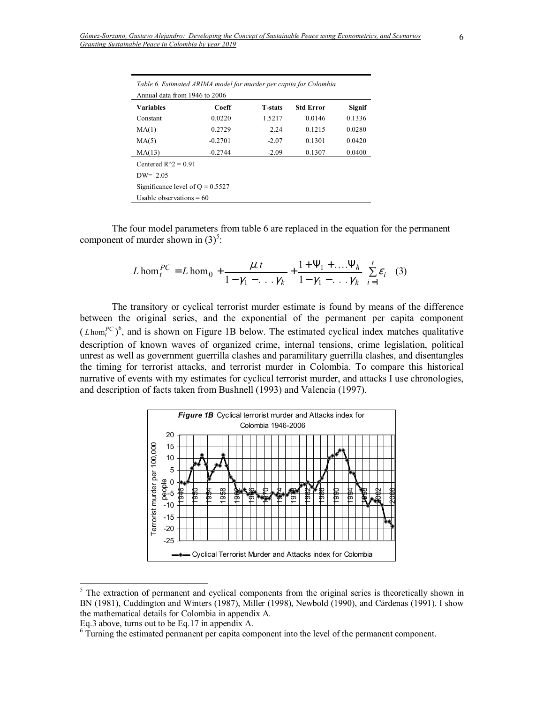| Table 6. Estimated ARIMA model for murder per capita for Colombia<br>Annual data from 1946 to 2006 |           |                |                  |               |  |  |
|----------------------------------------------------------------------------------------------------|-----------|----------------|------------------|---------------|--|--|
| <b>Variables</b>                                                                                   | Coeff     | <b>T-stats</b> | <b>Std Error</b> | <b>Signif</b> |  |  |
| Constant                                                                                           | 0.0220    | 1.5217         | 0.0146           | 0.1336        |  |  |
| MA(1)                                                                                              | 0.2729    | 2.24           | 0.1215           | 0.0280        |  |  |
| MA(5)                                                                                              | $-0.2701$ | $-2.07$        | 0.1301           | 0.0420        |  |  |
| MA(13)                                                                                             | $-0.2744$ | $-2.09$        | 0.1307           | 0.0400        |  |  |
| Centered $R^2 = 0.91$                                                                              |           |                |                  |               |  |  |
| $DW = 2.05$                                                                                        |           |                |                  |               |  |  |
| Significance level of $Q = 0.5527$                                                                 |           |                |                  |               |  |  |
| Usable observations $= 60$                                                                         |           |                |                  |               |  |  |

The four model parameters from table 6 are replaced in the equation for the permanent component of murder shown in  $(3)^5$ :

$$
L \text{ hom}_t^{PC} = L \text{ hom}_0 + \frac{\mu \cdot t}{1 - \gamma_1 - \ldots \gamma_k} + \frac{1 + \Psi_1 + \ldots + \Psi_h}{1 - \gamma_1 - \ldots \gamma_k} \sum_{i=1}^t \varepsilon_i \tag{3}
$$

The transitory or cyclical terrorist murder estimate is found by means of the difference between the original series, and the exponential of the permanent per capita component  $(L \text{hom}^{PC}_{t})^6$ , and is shown on Figure 1B below. The estimated cyclical index matches qualitative description of known waves of organized crime, internal tensions, crime legislation, political unrest as well as government guerrilla clashes and paramilitary guerrilla clashes, and disentangles the timing for terrorist attacks, and terrorist murder in Colombia. To compare this historical narrative of events with my estimates for cyclical terrorist murder, and attacks I use chronologies, and description of facts taken from Bushnell (1993) and Valencia (1997).



<sup>&</sup>lt;sup>5</sup> The extraction of permanent and cyclical components from the original series is theoretically shown in BN (1981), Cuddington and Winters (1987), Miller (1998), Newbold (1990), and Cárdenas (1991). I show the mathematical details for Colombia in appendix A.

Eq.3 above, turns out to be Eq.17 in appendix A.

<sup>&</sup>lt;sup>6</sup> Turning the estimated permanent per capita component into the level of the permanent component.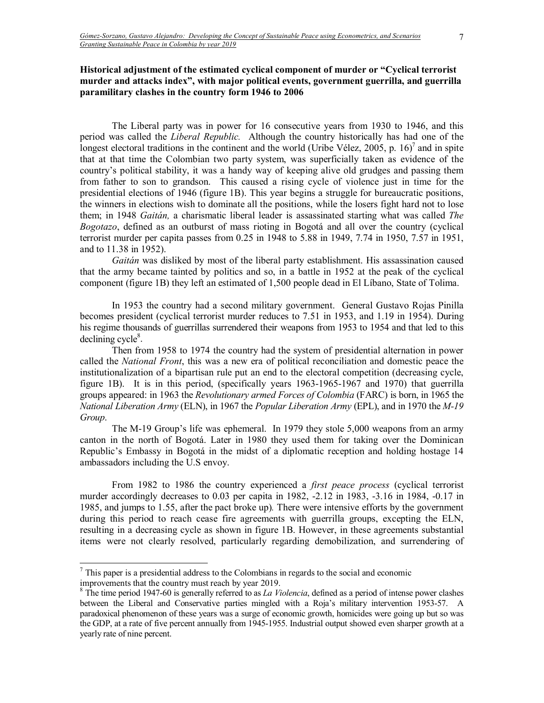# Historical adjustment of the estimated cyclical component of murder or "Cyclical terrorist murder and attacks index", with major political events, government guerrilla, and guerrilla **paramilitary clashes in the country form 1946 to 2006**

The Liberal party was in power for 16 consecutive years from 1930 to 1946, and this period was called the *Liberal Republic.* Although the country historically has had one of the longest electoral traditions in the continent and the world (Uribe Vélez, 2005, p. 16)<sup>7</sup> and in spite that at that time the Colombian two party system, was superficially taken as evidence of the countryís political stability, it was a handy way of keeping alive old grudges and passing them from father to son to grandson. This caused a rising cycle of violence just in time for the presidential elections of 1946 (figure 1B). This year begins a struggle for bureaucratic positions, the winners in elections wish to dominate all the positions, while the losers fight hard not to lose them; in 1948 *Gaitán*, a charismatic liberal leader is assassinated starting what was called *The Bogotazo*, defined as an outburst of mass rioting in Bogotá and all over the country (cyclical terrorist murder per capita passes from 0.25 in 1948 to 5.88 in 1949, 7.74 in 1950, 7.57 in 1951, and to 11.38 in 1952).

Gaitán was disliked by most of the liberal party establishment. His assassination caused that the army became tainted by politics and so, in a battle in 1952 at the peak of the cyclical component (figure 1B) they left an estimated of 1,500 people dead in El LÌbano, State of Tolima.

 In 1953 the country had a second military government. General Gustavo Rojas Pinilla becomes president (cyclical terrorist murder reduces to 7.51 in 1953, and 1.19 in 1954). During his regime thousands of guerrillas surrendered their weapons from 1953 to 1954 and that led to this  $\text{declining cycle}^8$ .

 Then from 1958 to 1974 the country had the system of presidential alternation in power called the *National Front*, this was a new era of political reconciliation and domestic peace the institutionalization of a bipartisan rule put an end to the electoral competition (decreasing cycle, figure 1B). It is in this period, (specifically years 1963-1965-1967 and 1970) that guerrilla groups appeared: in 1963 the *Revolutionary armed Forces of Colombia* (FARC) is born, in 1965 the *National Liberation Army* (ELN), in 1967 the *Popular Liberation Army* (EPL), and in 1970 the *M-19 Group*.

The M-19 Group's life was ephemeral. In 1979 they stole 5,000 weapons from an army canton in the north of Bogotá. Later in 1980 they used them for taking over the Dominican Republic's Embassy in Bogotá in the midst of a diplomatic reception and holding hostage 14 ambassadors including the U.S envoy.

From 1982 to 1986 the country experienced a *first peace process* (cyclical terrorist murder accordingly decreases to 0.03 per capita in 1982, -2.12 in 1983, -3.16 in 1984, -0.17 in 1985, and jumps to 1.55, after the pact broke up)*.* There were intensive efforts by the government during this period to reach cease fire agreements with guerrilla groups, excepting the ELN, resulting in a decreasing cycle as shown in figure 1B. However, in these agreements substantial items were not clearly resolved, particularly regarding demobilization, and surrendering of

 $\overline{a}$ 

 $<sup>7</sup>$  This paper is a presidential address to the Colombians in regards to the social and economic</sup> improvements that the country must reach by year 2019.

<sup>&</sup>lt;sup>8</sup> The time period 1947-60 is generally referred to as *La Violencia*, defined as a period of intense power clashes between the Liberal and Conservative parties mingled with a Roja's military intervention 1953-57. A paradoxical phenomenon of these years was a surge of economic growth, homicides were going up but so was the GDP, at a rate of five percent annually from 1945-1955. Industrial output showed even sharper growth at a yearly rate of nine percent.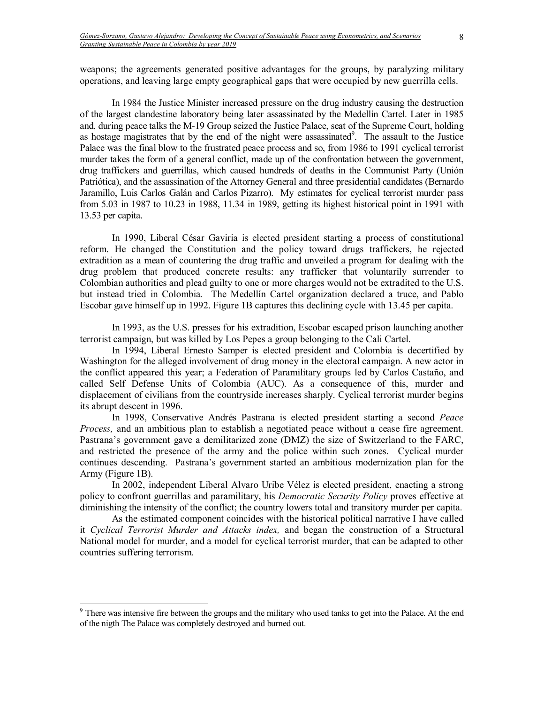weapons; the agreements generated positive advantages for the groups, by paralyzing military operations, and leaving large empty geographical gaps that were occupied by new guerrilla cells.

 In 1984 the Justice Minister increased pressure on the drug industry causing the destruction of the largest clandestine laboratory being later assassinated by the Medellín Cartel. Later in 1985 and, during peace talks the M-19 Group seized the Justice Palace, seat of the Supreme Court, holding as hostage magistrates that by the end of the night were assassinated<sup>9</sup>. The assault to the Justice Palace was the final blow to the frustrated peace process and so, from 1986 to 1991 cyclical terrorist murder takes the form of a general conflict, made up of the confrontation between the government, drug traffickers and guerrillas, which caused hundreds of deaths in the Communist Party (Unión Patriótica), and the assassination of the Attorney General and three presidential candidates (Bernardo Jaramillo, Luis Carlos Galán and Carlos Pizarro). My estimates for cyclical terrorist murder pass from 5.03 in 1987 to 10.23 in 1988, 11.34 in 1989, getting its highest historical point in 1991 with 13.53 per capita.

In 1990, Liberal CÈsar Gaviria is elected president starting a process of constitutional reform. He changed the Constitution and the policy toward drugs traffickers, he rejected extradition as a mean of countering the drug traffic and unveiled a program for dealing with the drug problem that produced concrete results: any trafficker that voluntarily surrender to Colombian authorities and plead guilty to one or more charges would not be extradited to the U.S. but instead tried in Colombia. The Medellín Cartel organization declared a truce, and Pablo Escobar gave himself up in 1992. Figure 1B captures this declining cycle with 13.45 per capita.

In 1993, as the U.S. presses for his extradition, Escobar escaped prison launching another terrorist campaign, but was killed by Los Pepes a group belonging to the Cali Cartel.

In 1994, Liberal Ernesto Samper is elected president and Colombia is decertified by Washington for the alleged involvement of drug money in the electoral campaign. A new actor in the conflict appeared this year; a Federation of Paramilitary groups led by Carlos Castaño, and called Self Defense Units of Colombia (AUC). As a consequence of this, murder and displacement of civilians from the countryside increases sharply. Cyclical terrorist murder begins its abrupt descent in 1996.

In 1998, Conservative Andrés Pastrana is elected president starting a second Peace *Process,* and an ambitious plan to establish a negotiated peace without a cease fire agreement. Pastrana's government gave a demilitarized zone (DMZ) the size of Switzerland to the FARC, and restricted the presence of the army and the police within such zones. Cyclical murder continues descending. Pastrana's government started an ambitious modernization plan for the Army (Figure 1B).

In 2002, independent Liberal Alvaro Uribe VÈlez is elected president, enacting a strong policy to confront guerrillas and paramilitary, his *Democratic Security Policy* proves effective at diminishing the intensity of the conflict; the country lowers total and transitory murder per capita.

As the estimated component coincides with the historical political narrative I have called it *Cyclical Terrorist Murder and Attacks index,* and began the construction of a Structural National model for murder, and a model for cyclical terrorist murder, that can be adapted to other countries suffering terrorism.

-

 $9<sup>9</sup>$  There was intensive fire between the groups and the military who used tanks to get into the Palace. At the end of the nigth The Palace was completely destroyed and burned out.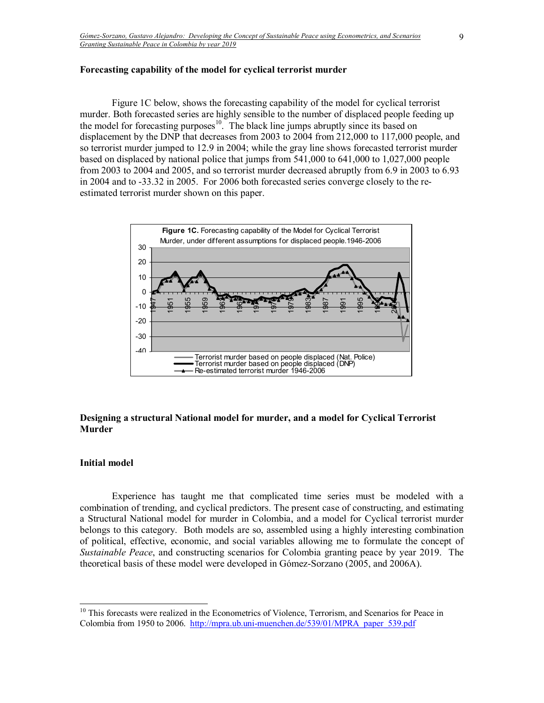#### **Forecasting capability of the model for cyclical terrorist murder**

 Figure 1C below, shows the forecasting capability of the model for cyclical terrorist murder. Both forecasted series are highly sensible to the number of displaced people feeding up the model for forecasting purposes<sup>10</sup>. The black line jumps abruptly since its based on displacement by the DNP that decreases from 2003 to 2004 from 212,000 to 117,000 people, and so terrorist murder jumped to 12.9 in 2004; while the gray line shows forecasted terrorist murder based on displaced by national police that jumps from 541,000 to 641,000 to 1,027,000 people from 2003 to 2004 and 2005, and so terrorist murder decreased abruptly from 6.9 in 2003 to 6.93 in 2004 and to -33.32 in 2005. For 2006 both forecasted series converge closely to the reestimated terrorist murder shown on this paper.



# **Designing a structural National model for murder, and a model for Cyclical Terrorist Murder**

#### **Initial model**

 $\overline{a}$ 

 Experience has taught me that complicated time series must be modeled with a combination of trending, and cyclical predictors. The present case of constructing, and estimating a Structural National model for murder in Colombia, and a model for Cyclical terrorist murder belongs to this category. Both models are so, assembled using a highly interesting combination of political, effective, economic, and social variables allowing me to formulate the concept of *Sustainable Peace*, and constructing scenarios for Colombia granting peace by year 2019. The theoretical basis of these model were developed in Gómez-Sorzano (2005, and 2006A).

<sup>&</sup>lt;sup>10</sup> This forecasts were realized in the Econometrics of Violence, Terrorism, and Scenarios for Peace in Colombia from 1950 to 2006. http://mpra.ub.uni-muenchen.de/539/01/MPRA\_paper\_539.pdf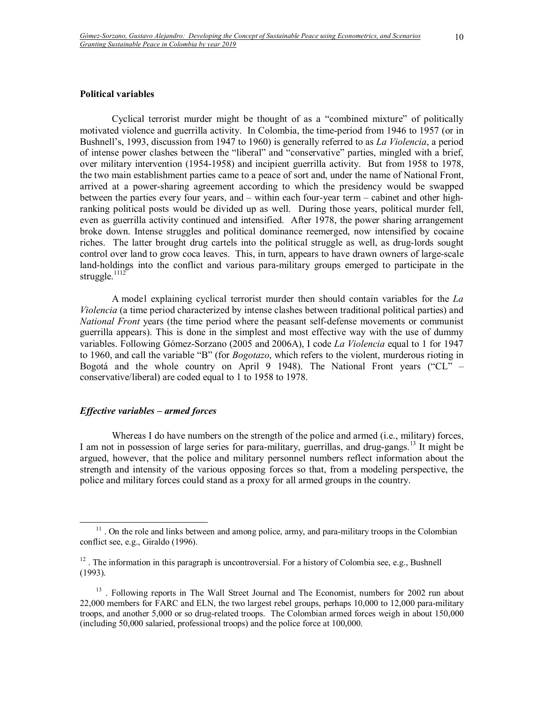#### **Political variables**

Cyclical terrorist murder might be thought of as a "combined mixture" of politically motivated violence and guerrilla activity. In Colombia, the time-period from 1946 to 1957 (or in Bushnell's, 1993, discussion from 1947 to 1960) is generally referred to as *La Violencia*, a period of intense power clashes between the "liberal" and "conservative" parties, mingled with a brief, over military intervention (1954-1958) and incipient guerrilla activity. But from 1958 to 1978, the two main establishment parties came to a peace of sort and, under the name of National Front, arrived at a power-sharing agreement according to which the presidency would be swapped between the parties every four years, and  $-$  within each four-year term  $-$  cabinet and other highranking political posts would be divided up as well. During those years, political murder fell, even as guerrilla activity continued and intensified. After 1978, the power sharing arrangement broke down. Intense struggles and political dominance reemerged, now intensified by cocaine riches. The latter brought drug cartels into the political struggle as well, as drug-lords sought control over land to grow coca leaves. This, in turn, appears to have drawn owners of large-scale land-holdings into the conflict and various para-military groups emerged to participate in the struggle. $1112$ 

A mode l explaining cyclical terrorist murder then should contain variables for the *La Violencia* (a time period characterized by intense clashes between traditional political parties) and *National Front* years (the time period where the peasant self-defense movements or communist guerrilla appears). This is done in the simplest and most effective way with the use of dummy variables. Following Gómez-Sorzano (2005 and 2006A), I code *La Violencia* equal to 1 for 1947 to 1960, and call the variable "B" (for *Bogotazo*, which refers to the violent, murderous rioting in Bogotá and the whole country on April 9 1948). The National Front years ("CL"  $$ conservative/liberal) are coded equal to 1 to 1958 to 1978.

# *Effective variables – armed forces*

-

Whereas I do have numbers on the strength of the police and armed (i.e., military) forces, I am not in possession of large series for para-military, guerrillas, and drug-gangs.<sup>13</sup> It might be argued, however, that the police and military personnel numbers reflect information about the strength and intensity of the various opposing forces so that, from a modeling perspective, the police and military forces could stand as a proxy for all armed groups in the country.

<sup>&</sup>lt;sup>11</sup>. On the role and links between and among police, army, and para-military troops in the Colombian conflict see, e.g., Giraldo (1996).

 $12$ . The information in this paragraph is uncontroversial. For a history of Colombia see, e.g., Bushnell (1993).

 $13$ . Following reports in The Wall Street Journal and The Economist, numbers for 2002 run about 22,000 members for FARC and ELN, the two largest rebel groups, perhaps 10,000 to 12,000 para-military troops, and another 5,000 or so drug-related troops. The Colombian armed forces weigh in about 150,000 (including 50,000 salaried, professional troops) and the police force at 100,000.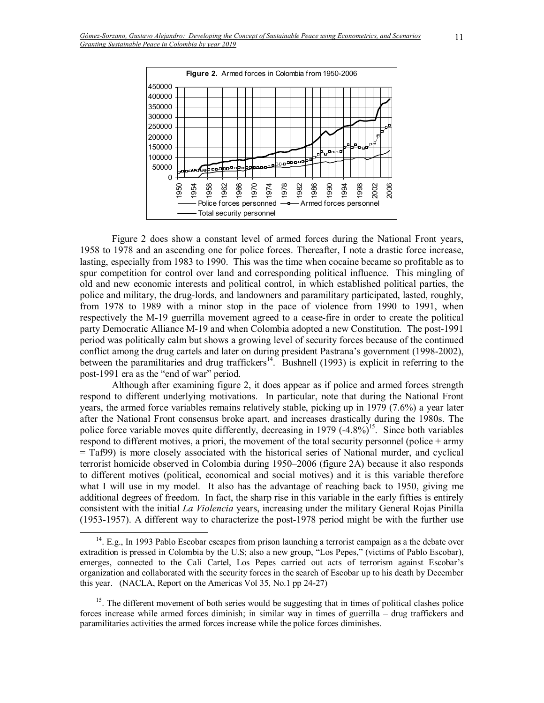

Figure 2 does show a constant level of armed forces during the National Front years, 1958 to 1978 and an ascending one for police forces. Thereafter, I note a drastic force increase, lasting, especially from 1983 to 1990. This was the time when cocaine became so profitable as to spur competition for control over land and corresponding political influence. This mingling of old and new economic interests and political control, in which established political parties, the police and military, the drug-lords, and landowners and paramilitary participated, lasted, roughly, from 1978 to 1989 with a minor stop in the pace of violence from 1990 to 1991, when respectively the M-19 guerrilla movement agreed to a cease-fire in order to create the political party Democratic Alliance M-19 and when Colombia adopted a new Constitution. The post-1991 period was politically calm but shows a growing level of security forces because of the continued conflict among the drug cartels and later on during president Pastrana's government (1998-2002), between the paramilitaries and drug traffickers<sup>14</sup>. Bushnell (1993) is explicit in referring to the post-1991 era as the "end of war" period.

Although after examining figure 2, it does appear as if police and armed forces strength respond to different underlying motivations. In particular, note that during the National Front years, the armed force variables remains relatively stable, picking up in 1979 (7.6%) a year later after the National Front consensus broke apart, and increases drastically during the 1980s. The police force variable moves quite differently, decreasing in 1979  $(-4.8\%)^{15}$ . Since both variables respond to different motives, a priori, the movement of the total security personnel (police + army = Taf99) is more closely associated with the historical series of National murder, and cyclical terrorist homicide observed in Colombia during 1950–2006 (figure 2A) because it also responds to different motives (political, economical and social motives) and it is this variable therefore what I will use in my model. It also has the advantage of reaching back to 1950, giving me additional degrees of freedom. In fact, the sharp rise in this variable in the early fifties is entirely consistent with the initial *La Violencia* years, increasing under the military General Rojas Pinilla (1953-1957). A different way to characterize the post-1978 period might be with the further use

-

<sup>&</sup>lt;sup>14</sup>. E.g., In 1993 Pablo Escobar escapes from prison launching a terrorist campaign as a the debate over extradition is pressed in Colombia by the U.S; also a new group, "Los Pepes," (victims of Pablo Escobar), emerges, connected to the Cali Cartel, Los Pepes carried out acts of terrorism against Escobarís organization and collaborated with the security forces in the search of Escobar up to his death by December this year. (NACLA, Report on the Americas Vol 35, No.1 pp 24-27)

<sup>&</sup>lt;sup>15</sup>. The different movement of both series would be suggesting that in times of political clashes police forces increase while armed forces diminish; in similar way in times of guerrilla  $-$  drug traffickers and paramilitaries activities the armed forces increase while the police forces diminishes.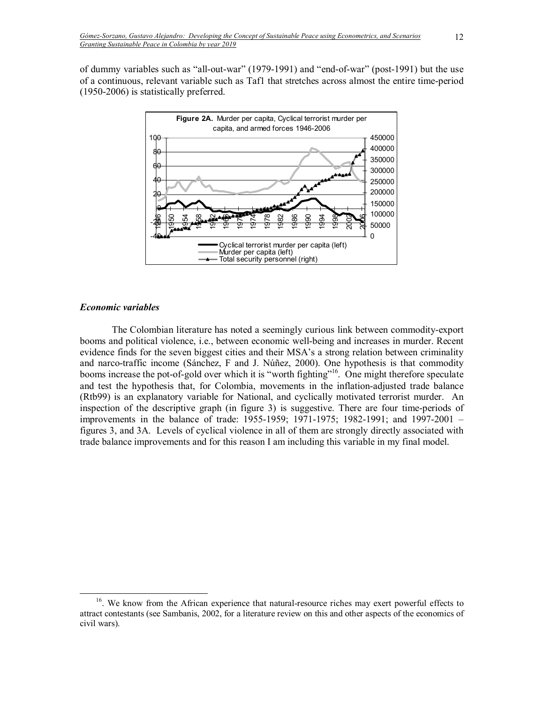of dummy variables such as "all-out-war"  $(1979-1991)$  and "end-of-war" (post-1991) but the use of a continuous, relevant variable such as Taf1 that stretches across almost the entire time-period (1950-2006) is statistically preferred.



# *Economic variables*

 $\overline{a}$ 

The Colombian literature has noted a seemingly curious link between commodity-export booms and political violence, i.e., between economic well-being and increases in murder. Recent evidence finds for the seven biggest cities and their MSA's a strong relation between criminality and narco-traffic income (Sánchez, F and J. Núñez, 2000). One hypothesis is that commodity booms increase the pot-of-gold over which it is "worth fighting"<sup>16</sup>. One might therefore speculate and test the hypothesis that, for Colombia, movements in the inflation-adjusted trade balance (Rtb99) is an explanatory variable for National, and cyclically motivated terrorist murder. An inspection of the descriptive graph (in figure 3) is suggestive. There are four time-periods of improvements in the balance of trade:  $1955-1959$ ;  $1971-1975$ ;  $1982-1991$ ; and  $1997-2001$  – figures 3, and 3A. Levels of cyclical violence in all of them are strongly directly associated with trade balance improvements and for this reason I am including this variable in my final model.

 $16$ . We know from the African experience that natural-resource riches may exert powerful effects to attract contestants (see Sambanis, 2002, for a literature review on this and other aspects of the economics of civil wars).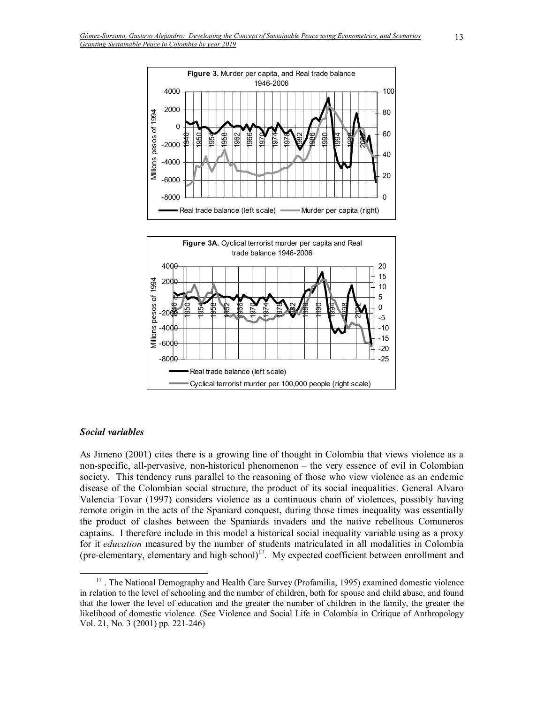

#### *Social variables*

-

-8000

As Jimeno (2001) cites there is a growing line of thought in Colombia that views violence as a non-specific, all-pervasive, non-historical phenomenon – the very essence of evil in Colombian society. This tendency runs parallel to the reasoning of those who view violence as an endemic disease of the Colombian social structure, the product of its social inequalities. General Alvaro Valencia Tovar (1997) considers violence as a continuous chain of violences, possibly having remote origin in the acts of the Spaniard conquest, during those times inequality was essentially the product of clashes between the Spaniards invaders and the native rebellious Comuneros captains. I therefore include in this model a historical social inequality variable using as a proxy for it *education* measured by the number of students matriculated in all modalities in Colombia (pre-elementary, elementary and high school)<sup>17</sup>. My expected coefficient between enrollment and

Cyclical terrorist murder per 100,000 people (right scale)

Real trade balance (left scale)

-25 -20

<sup>&</sup>lt;sup>17</sup>. The National Demography and Health Care Survey (Profamilia, 1995) examined domestic violence in relation to the level of schooling and the number of children, both for spouse and child abuse, and found that the lower the level of education and the greater the number of children in the family, the greater the likelihood of domestic violence. (See Violence and Social Life in Colombia in Critique of Anthropology Vol. 21, No. 3 (2001) pp. 221-246)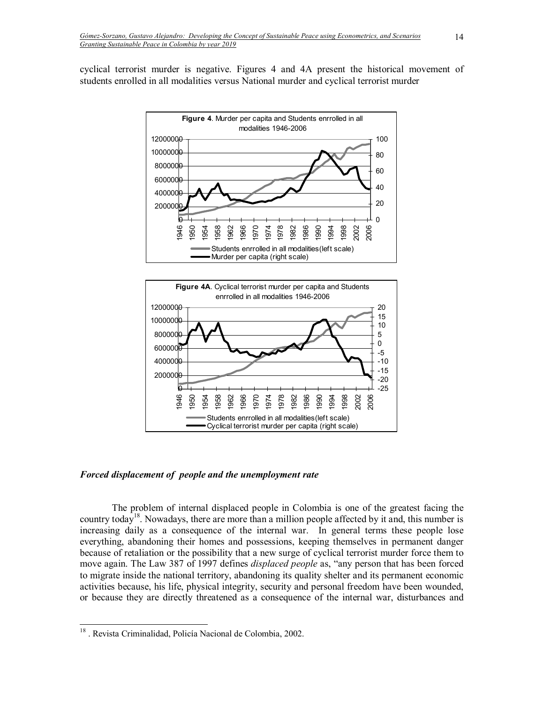cyclical terrorist murder is negative. Figures 4 and 4A present the historical movement of students enrolled in all modalities versus National murder and cyclical terrorist murder





#### *Forced displacement of people and the unemployment rate*

The problem of internal displaced people in Colombia is one of the greatest facing the country today<sup>18</sup>. Nowadays, there are more than a million people affected by it and, this number is increasing daily as a consequence of the internal war. In general terms these people lose everything, abandoning their homes and possessions, keeping themselves in permanent danger because of retaliation or the possibility that a new surge of cyclical terrorist murder force them to move again. The Law 387 of 1997 defines *displaced people* as, "any person that has been forced to migrate inside the national territory, abandoning its quality shelter and its permanent economic activities because, his life, physical integrity, security and personal freedom have been wounded, or because they are directly threatened as a consequence of the internal war, disturbances and

-

<sup>&</sup>lt;sup>18</sup>. Revista Criminalidad, Policía Nacional de Colombia, 2002.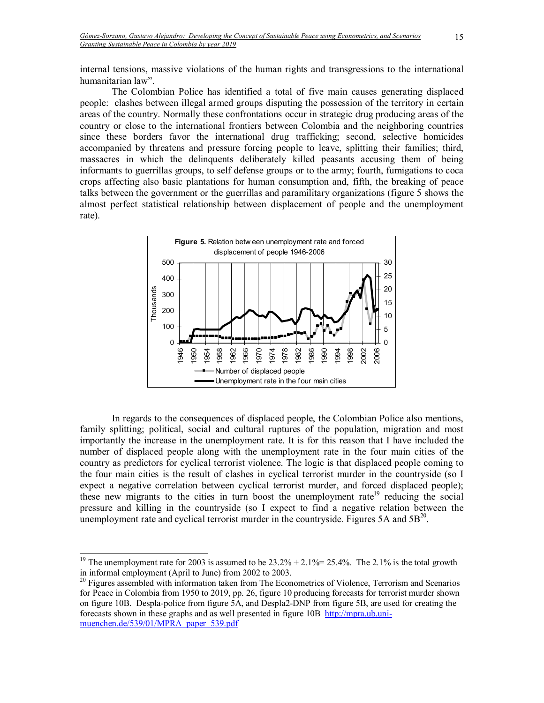internal tensions, massive violations of the human rights and transgressions to the international humanitarian law".

The Colombian Police has identified a total of five main causes generating displaced people: clashes between illegal armed groups disputing the possession of the territory in certain areas of the country. Normally these confrontations occur in strategic drug producing areas of the country or close to the international frontiers between Colombia and the neighboring countries since these borders favor the international drug trafficking; second, selective homicides accompanied by threatens and pressure forcing people to leave, splitting their families; third, massacres in which the delinquents deliberately killed peasants accusing them of being informants to guerrillas groups, to self defense groups or to the army; fourth, fumigations to coca crops affecting also basic plantations for human consumption and, fifth, the breaking of peace talks between the government or the guerrillas and paramilitary organizations (figure 5 shows the almost perfect statistical relationship between displacement of people and the unemployment rate).



In regards to the consequences of displaced people, the Colombian Police also mentions, family splitting; political, social and cultural ruptures of the population, migration and most importantly the increase in the unemployment rate. It is for this reason that I have included the number of displaced people along with the unemployment rate in the four main cities of the country as predictors for cyclical terrorist violence. The logic is that displaced people coming to the four main cities is the result of clashes in cyclical terrorist murder in the countryside (so I expect a negative correlation between cyclical terrorist murder, and forced displaced people); these new migrants to the cities in turn boost the unemployment rate<sup>19</sup> reducing the social pressure and killing in the countryside (so I expect to find a negative relation between the unemployment rate and cyclical terrorist murder in the countryside. Figures 5A and  $5B<sup>20</sup>$ .

 $\overline{a}$ 

<sup>&</sup>lt;sup>19</sup> The unemployment rate for 2003 is assumed to be  $23.2\% + 2.1\% = 25.4\%$ . The 2.1% is the total growth in informal employment (April to June) from 2002 to 2003.

<sup>&</sup>lt;sup>20</sup> Figures assembled with information taken from The Econometrics of Violence, Terrorism and Scenarios for Peace in Colombia from 1950 to 2019, pp. 26, figure 10 producing forecasts for terrorist murder shown on figure 10B. Despla-police from figure 5A, and Despla2-DNP from figure 5B, are used for creating the forecasts shown in these graphs and as well presented in figure 10B http://mpra.ub.unimuenchen.de/539/01/MPRA\_paper\_539.pdf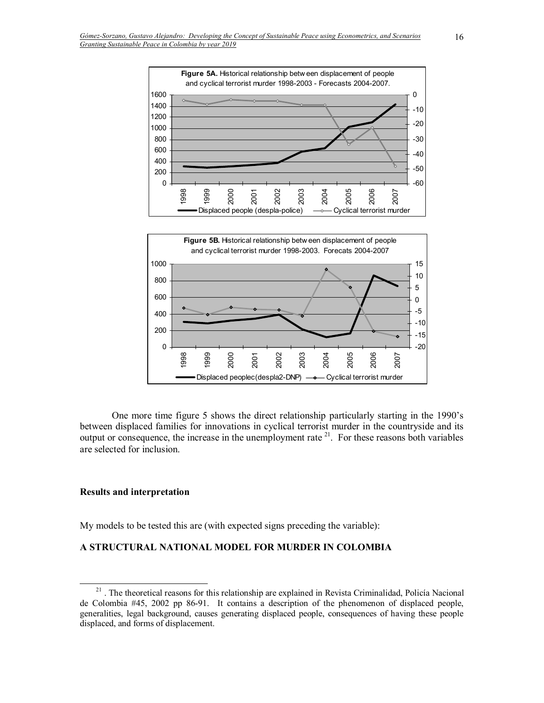



One more time figure 5 shows the direct relationship particularly starting in the 1990ís between displaced families for innovations in cyclical terrorist murder in the countryside and its output or consequence, the increase in the unemployment rate  $2<sup>1</sup>$ . For these reasons both variables are selected for inclusion.

#### **Results and interpretation**

-

My models to be tested this are (with expected signs preceding the variable):

### **A STRUCTURAL NATIONAL MODEL FOR MURDER IN COLOMBIA**

<sup>&</sup>lt;sup>21</sup>. The theoretical reasons for this relationship are explained in Revista Criminalidad, Policía Nacional de Colombia #45, 2002 pp 86-91. It contains a description of the phenomenon of displaced people, generalities, legal background, causes generating displaced people, consequences of having these people displaced, and forms of displacement.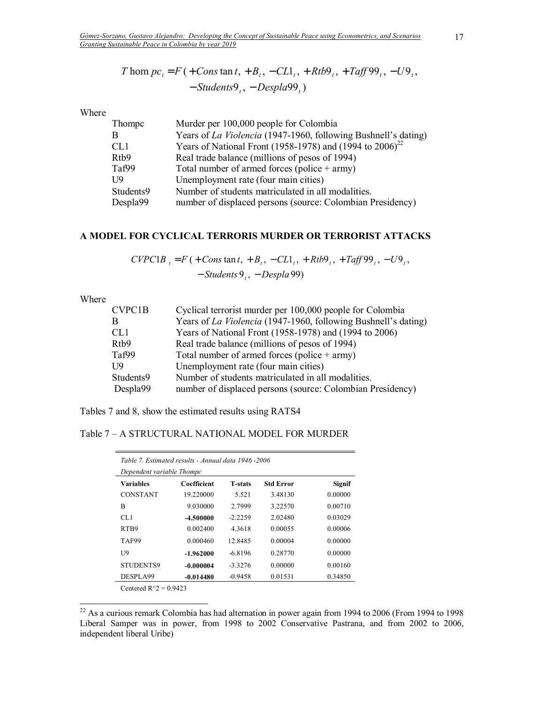$$
T \text{ hom } pc_t = F \left( + \text{Cons }\tan t, + B_t, -CL1_t, + Rtb9_t, + Taff99_t, -U9_t, -\text{Students9}_t, -\text{Despla99}_t \right)
$$

Where

| Thompc            | Murder per 100,000 people for Colombia                         |
|-------------------|----------------------------------------------------------------|
| B                 | Years of La Violencia (1947-1960, following Bushnell's dating) |
| CL <sub>1</sub>   | Years of National Front (1958-1978) and (1994 to $2006^{22}$   |
| R <sub>tb</sub> 9 | Real trade balance (millions of pesos of 1994)                 |
| Taf99             | Total number of armed forces (police $+$ army)                 |
| U9                | Unemployment rate (four main cities)                           |
| Students9         | Number of students matriculated in all modalities.             |
| Despla99          | number of displaced persons (source: Colombian Presidency)     |
|                   |                                                                |

# **A MODEL FOR CYCLICAL TERRORIS MURDER OR TERRORIST ATTACKS**

 $CVPC1B_{t} = F(+Cons \tan t, +B_{t}, -CL1_{t}, +Rtb9_{t}, +Taff99_{t}, -U9_{t},$ 

− *Students* 9<sub>*t*</sub>, − *Despla* 99)

Where

 $\overline{a}$ 

| CVPC1B            | Cyclical terrorist murder per 100,000 people for Colombia      |
|-------------------|----------------------------------------------------------------|
| В                 | Years of La Violencia (1947-1960, following Bushnell's dating) |
| CL <sub>1</sub>   | Years of National Front (1958-1978) and (1994 to 2006)         |
| R <sub>tb</sub> 9 | Real trade balance (millions of pesos of 1994)                 |
| Taf99             | Total number of armed forces (police $+$ army)                 |
| U9                | Unemployment rate (four main cities)                           |
| Students9         | Number of students matriculated in all modalities.             |
| Despla99          | number of displaced persons (source: Colombian Presidency)     |
|                   |                                                                |

Tables 7 and 8, show the estimated results using RATS4

Table 7 - A STRUCTURAL NATIONAL MODEL FOR MURDER

| Table 7. Estimated results - Annual data 1946 -2006<br>Dependent variable Thompc |             |                |                  |               |  |
|----------------------------------------------------------------------------------|-------------|----------------|------------------|---------------|--|
| <b>Variables</b>                                                                 | Coefficient | <b>T-stats</b> | <b>Std Error</b> | <b>Signif</b> |  |
| <b>CONSTANT</b>                                                                  | 19.220000   | 5.521          | 3.48130          | 0.00000       |  |
| B                                                                                | 9.030000    | 2.7999         | 3.22570          | 0.00710       |  |
| CL1                                                                              | -4.500000   | $-2.2259$      | 2.02480          | 0.03029       |  |
| RT <sub>B9</sub>                                                                 | 0.002400    | 4.3618         | 0.00055          | 0.00006       |  |
| TAF99                                                                            | 0.000460    | 12.8485        | 0.00004          | 0.00000       |  |
| U <sub>9</sub>                                                                   | $-1.962000$ | $-6.8196$      | 0.28770          | 0.00000       |  |
| <b>STUDENTS9</b>                                                                 | $-0.000004$ | $-3.3276$      | 0.00000          | 0.00160       |  |
| DESPLA99                                                                         | $-0.014480$ | $-0.9458$      | 0.01531          | 0.34850       |  |
| $\sim$ $\sim$ $\sim$ $\sim$<br>$\wedge$ $\wedge$ $\wedge$ $\wedge$               |             |                |                  |               |  |

Centered  $R^2 = 0.9423$ 

 $22$  As a curious remark Colombia has had alternation in power again from 1994 to 2006 (From 1994 to 1998) Liberal Samper was in power, from 1998 to 2002 Conservative Pastrana, and from 2002 to 2006, independent liberal Uribe)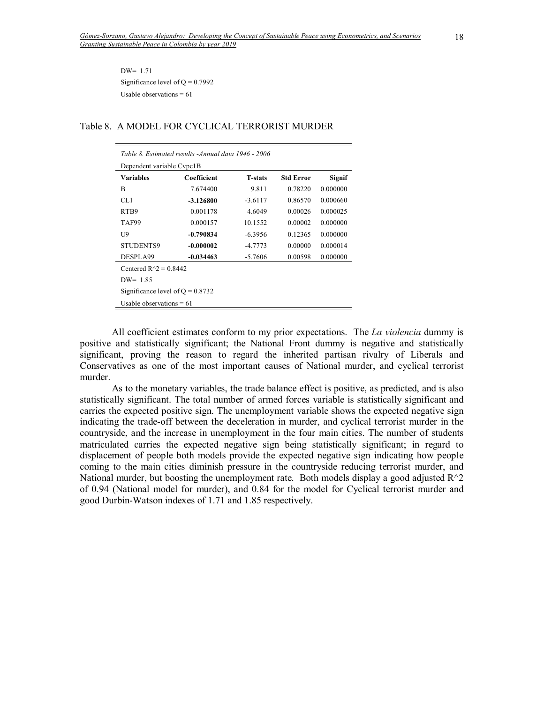DW= 1.71 Significance level of  $Q = 0.7992$ Usable observations  $= 61$ 

| Table 8. Estimated results - Annual data 1946 - 2006 |             |                |                  |          |  |  |
|------------------------------------------------------|-------------|----------------|------------------|----------|--|--|
| Dependent variable Cypc1B                            |             |                |                  |          |  |  |
| Variables                                            | Coefficient | <b>T-stats</b> | <b>Std Error</b> | Signif   |  |  |
| B                                                    | 7.674400    | 9.811          | 0.78220          | 0.000000 |  |  |
| CL1                                                  | $-3.126800$ | $-3.6117$      | 0.86570          | 0.000660 |  |  |
| RT <sub>B9</sub>                                     | 0.001178    | 4.6049         | 0.00026          | 0.000025 |  |  |
| TAF99                                                | 0.000157    | 10.1552        | 0.00002          | 0.000000 |  |  |
| U <sub>9</sub>                                       | $-0.790834$ | $-6.3956$      | 0.12365          | 0.000000 |  |  |
| <b>STUDENTS9</b>                                     | $-0.000002$ | $-4.7773$      | 0.00000          | 0.000014 |  |  |
| DESPLA99                                             | $-0.034463$ | $-5.7606$      | 0.00598          | 0.000000 |  |  |
| Centered $R^2 = 0.8442$                              |             |                |                  |          |  |  |
| $DW = 1.85$                                          |             |                |                  |          |  |  |
| Significance level of $Q = 0.8732$                   |             |                |                  |          |  |  |
| Usable observations $= 61$                           |             |                |                  |          |  |  |

# Table 8. A MODEL FOR CYCLICAL TERRORIST MURDER

All coefficient estimates conform to my prior expectations. The *La violencia* dummy is positive and statistically significant; the National Front dummy is negative and statistically significant, proving the reason to regard the inherited partisan rivalry of Liberals and Conservatives as one of the most important causes of National murder, and cyclical terrorist murder.

As to the monetary variables, the trade balance effect is positive, as predicted, and is also statistically significant. The total number of armed forces variable is statistically significant and carries the expected positive sign. The unemployment variable shows the expected negative sign indicating the trade-off between the deceleration in murder, and cyclical terrorist murder in the countryside, and the increase in unemployment in the four main cities. The number of students matriculated carries the expected negative sign being statistically significant; in regard to displacement of people both models provide the expected negative sign indicating how people coming to the main cities diminish pressure in the countryside reducing terrorist murder, and National murder, but boosting the unemployment rate. Both models display a good adjusted  $R^2$ of 0.94 (National model for murder), and 0.84 for the model for Cyclical terrorist murder and good Durbin-Watson indexes of 1.71 and 1.85 respectively.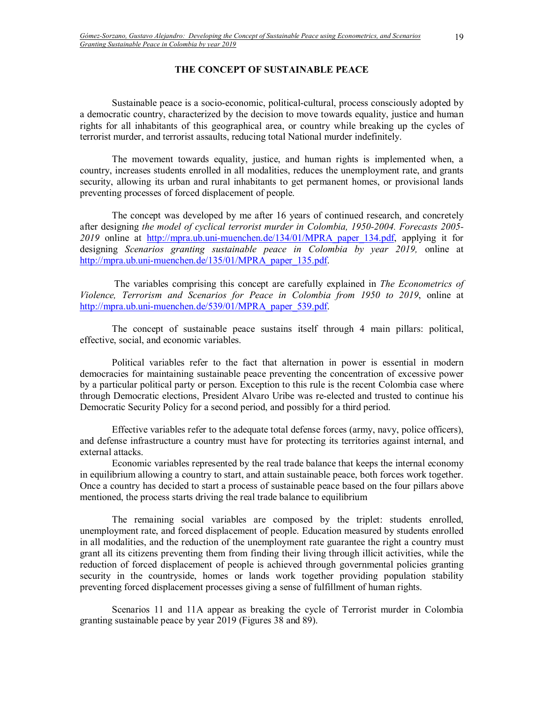# **THE CONCEPT OF SUSTAINABLE PEACE**

Sustainable peace is a socio-economic, political-cultural, process consciously adopted by a democratic country, characterized by the decision to move towards equality, justice and human rights for all inhabitants of this geographical area, or country while breaking up the cycles of terrorist murder, and terrorist assaults, reducing total National murder indefinitely.

 The movement towards equality, justice, and human rights is implemented when, a country, increases students enrolled in all modalities, reduces the unemployment rate, and grants security, allowing its urban and rural inhabitants to get permanent homes, or provisional lands preventing processes of forced displacement of people.

 The concept was developed by me after 16 years of continued research, and concretely after designing *the model of cyclical terrorist murder in Colombia, 1950-2004. Forecasts 2005-* 2019 online at http://mpra.ub.uni-muenchen.de/134/01/MPRA paper 134.pdf, applying it for designing *Scenarios granting sustainable peace in Colombia by year 2019,* online at http://mpra.ub.uni-muenchen.de/135/01/MPRA\_paper\_135.pdf.

 The variables comprising this concept are carefully explained in *The Econometrics of Violence, Terrorism and Scenarios for Peace in Colombia from 1950 to 2019*, online at http://mpra.ub.uni-muenchen.de/539/01/MPRA\_paper\_539.pdf.

 The concept of sustainable peace sustains itself through 4 main pillars: political, effective, social, and economic variables.

Political variables refer to the fact that alternation in power is essential in modern democracies for maintaining sustainable peace preventing the concentration of excessive power by a particular political party or person. Exception to this rule is the recent Colombia case where through Democratic elections, President Alvaro Uribe was re-elected and trusted to continue his Democratic Security Policy for a second period, and possibly for a third period.

Effective variables refer to the adequate total defense forces (army, navy, police officers), and defense infrastructure a country must have for protecting its territories against internal, and external attacks.

Economic variables represented by the real trade balance that keeps the internal economy in equilibrium allowing a country to start, and attain sustainable peace, both forces work together. Once a country has decided to start a process of sustainable peace based on the four pillars above mentioned, the process starts driving the real trade balance to equilibrium

The remaining social variables are composed by the triplet: students enrolled, unemployment rate, and forced displacement of people. Education measured by students enrolled in all modalities, and the reduction of the unemployment rate guarantee the right a country must grant all its citizens preventing them from finding their living through illicit activities, while the reduction of forced displacement of people is achieved through governmental policies granting security in the countryside, homes or lands work together providing population stability preventing forced displacement processes giving a sense of fulfillment of human rights.

 Scenarios 11 and 11A appear as breaking the cycle of Terrorist murder in Colombia granting sustainable peace by year 2019 (Figures 38 and 89).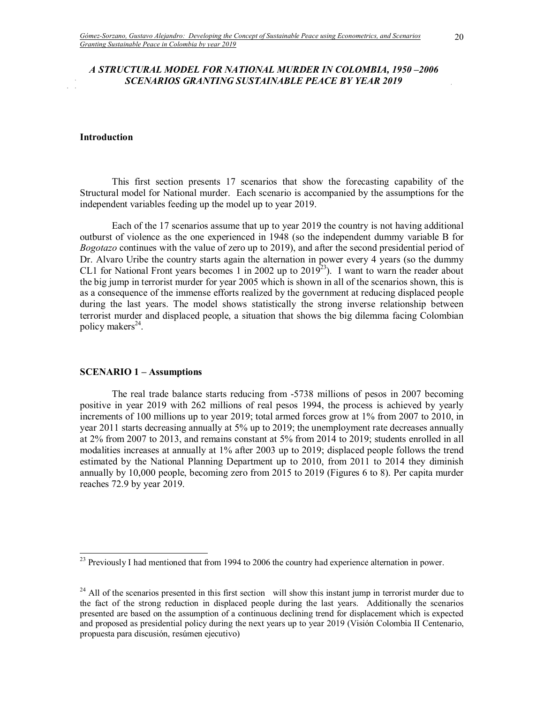# *A STRUCTURAL MODEL FOR NATIONAL MURDER IN COLOMBIA, 1950-2006 SCENARIOS GRANTING SUSTAINABLE PEACE BY YEAR 2019*

#### **Introduction**

 $\mathbb{R}^{\mathbb{Z}}$ 

This first section presents 17 scenarios that show the forecasting capability of the Structural model for National murder. Each scenario is accompanied by the assumptions for the independent variables feeding up the model up to year 2019.

Each of the 17 scenarios assume that up to year 2019 the country is not having additional outburst of violence as the one experienced in 1948 (so the independent dummy variable B for *Bogotazo* continues with the value of zero up to 2019), and after the second presidential period of Dr. Alvaro Uribe the country starts again the alternation in power every 4 years (so the dummy CL1 for National Front years becomes 1 in 2002 up to 2019<sup>23</sup>). I want to warn the reader about the big jump in terrorist murder for year 2005 which is shown in all of the scenarios shown, this is as a consequence of the immense efforts realized by the government at reducing displaced people during the last years. The model shows statistically the strong inverse relationship between terrorist murder and displaced people, a situation that shows the big dilemma facing Colombian policy makers<sup>24</sup>.

#### **SCENARIO 1 – Assumptions**

 $\overline{a}$ 

The real trade balance starts reducing from -5738 millions of pesos in 2007 becoming positive in year 2019 with 262 millions of real pesos 1994, the process is achieved by yearly increments of 100 millions up to year 2019; total armed forces grow at 1% from 2007 to 2010, in year 2011 starts decreasing annually at 5% up to 2019; the unemployment rate decreases annually at 2% from 2007 to 2013, and remains constant at 5% from 2014 to 2019; students enrolled in all modalities increases at annually at 1% after 2003 up to 2019; displaced people follows the trend estimated by the National Planning Department up to 2010, from 2011 to 2014 they diminish annually by 10,000 people, becoming zero from 2015 to 2019 (Figures 6 to 8). Per capita murder reaches 72.9 by year 2019.

 $^{23}$  Previously I had mentioned that from 1994 to 2006 the country had experience alternation in power.

<sup>&</sup>lt;sup>24</sup> All of the scenarios presented in this first section will show this instant jump in terrorist murder due to the fact of the strong reduction in displaced people during the last years. Additionally the scenarios presented are based on the assumption of a continuous declining trend for displacement which is expected and proposed as presidential policy during the next years up to year 2019 (Visión Colombia II Centenario, propuesta para discusión, resúmen ejecutivo)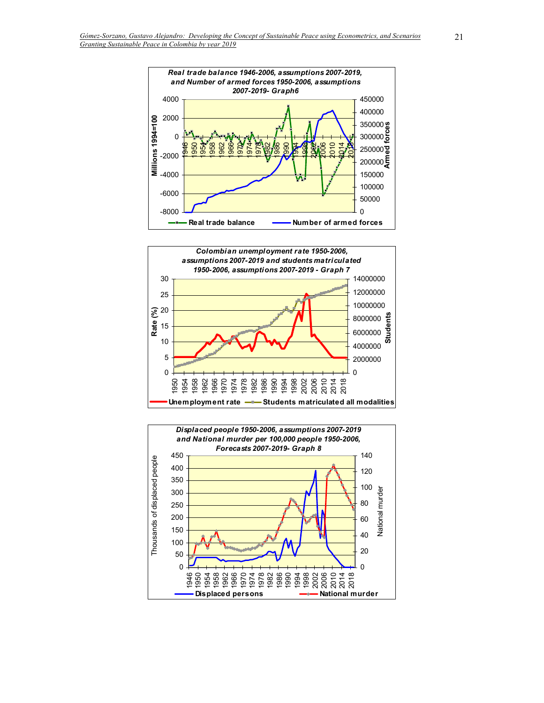



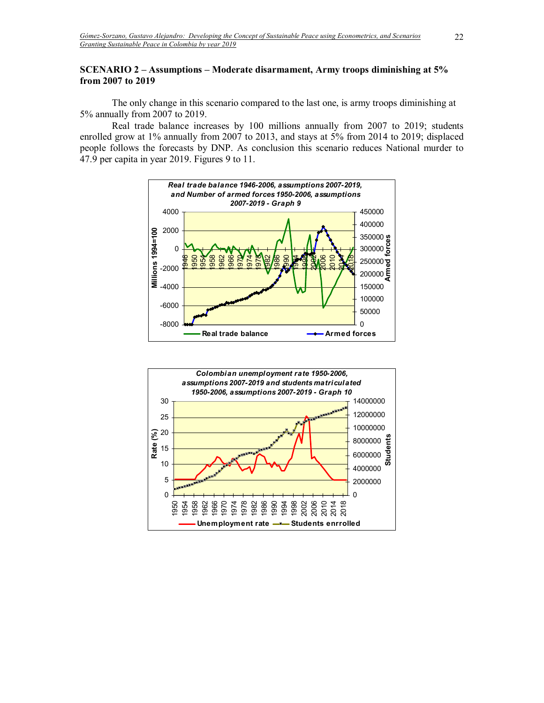# **SCENARIO 2 – Assumptions – Moderate disarmament, Army troops diminishing at 5% from 2007 to 2019**

The only change in this scenario compared to the last one, is army troops diminishing at 5% annually from 2007 to 2019.

Real trade balance increases by 100 millions annually from 2007 to 2019; students enrolled grow at 1% annually from 2007 to 2013, and stays at 5% from 2014 to 2019; displaced people follows the forecasts by DNP. As conclusion this scenario reduces National murder to 47.9 per capita in year 2019. Figures 9 to 11.



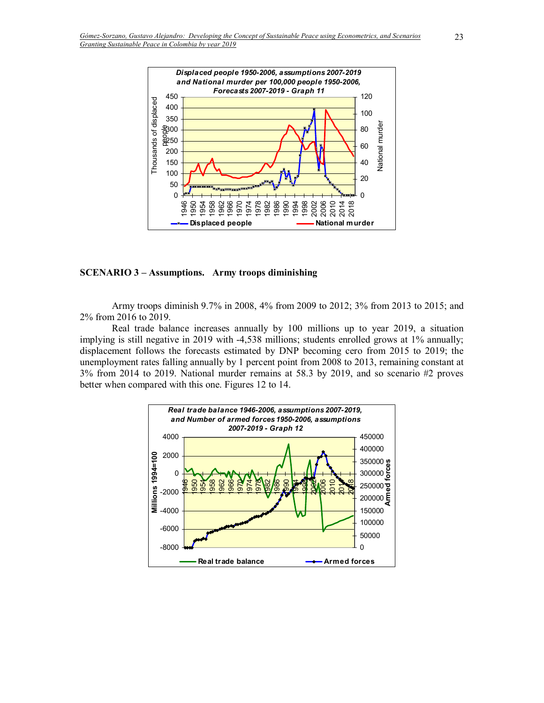

#### **SCENARIO 3 - Assumptions. Army troops diminishing**

Army troops diminish 9.7% in 2008, 4% from 2009 to 2012; 3% from 2013 to 2015; and 2% from 2016 to 2019.

Real trade balance increases annually by 100 millions up to year 2019, a situation implying is still negative in 2019 with -4,538 millions; students enrolled grows at 1% annually; displacement follows the forecasts estimated by DNP becoming cero from 2015 to 2019; the unemployment rates falling annually by 1 percent point from 2008 to 2013, remaining constant at 3% from 2014 to 2019. National murder remains at 58.3 by 2019, and so scenario #2 proves better when compared with this one. Figures 12 to 14.

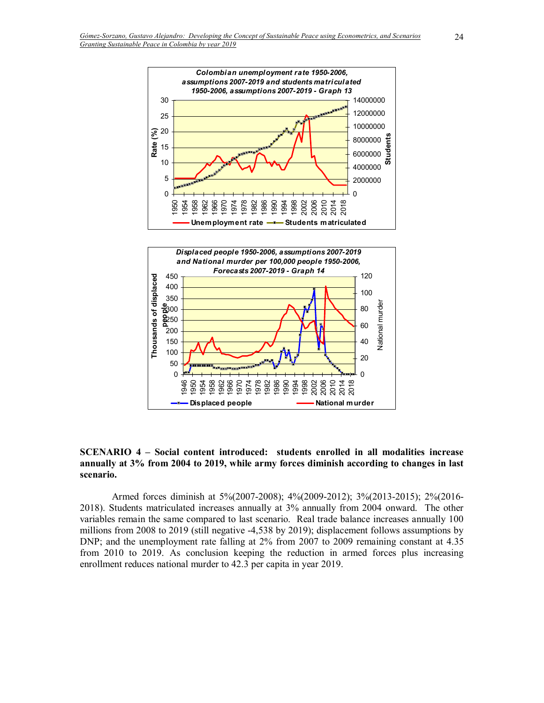

**SCENARIO 4 – Social content introduced: students enrolled in all modalities increase annually at 3% from 2004 to 2019, while army forces diminish according to changes in last scenario.** 

Armed forces diminish at 5%(2007-2008); 4%(2009-2012); 3%(2013-2015); 2%(2016- 2018). Students matriculated increases annually at 3% annually from 2004 onward. The other variables remain the same compared to last scenario. Real trade balance increases annually 100 millions from 2008 to 2019 (still negative -4,538 by 2019); displacement follows assumptions by DNP; and the unemployment rate falling at 2% from 2007 to 2009 remaining constant at 4.35 from 2010 to 2019. As conclusion keeping the reduction in armed forces plus increasing enrollment reduces national murder to 42.3 per capita in year 2019.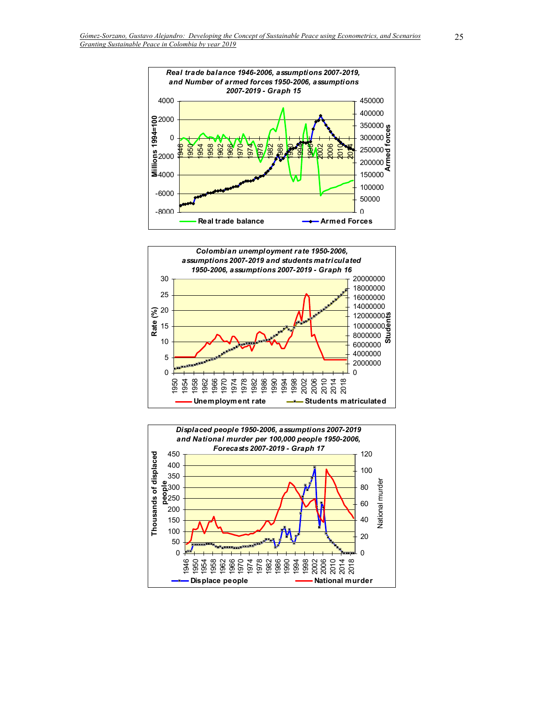



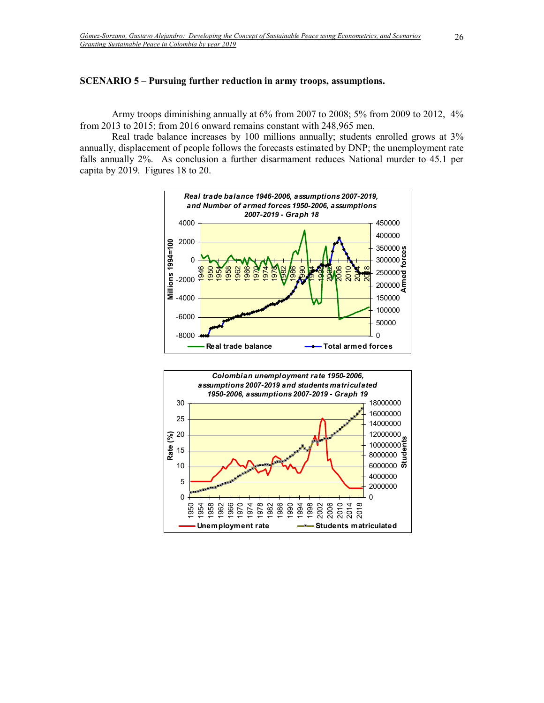#### **SCENARIO 5 – Pursuing further reduction in army troops, assumptions.**

Army troops diminishing annually at 6% from 2007 to 2008; 5% from 2009 to 2012, 4% from 2013 to 2015; from 2016 onward remains constant with 248,965 men.

Real trade balance increases by 100 millions annually; students enrolled grows at 3% annually, displacement of people follows the forecasts estimated by DNP; the unemployment rate falls annually 2%. As conclusion a further disarmament reduces National murder to 45.1 per capita by 2019. Figures 18 to 20.



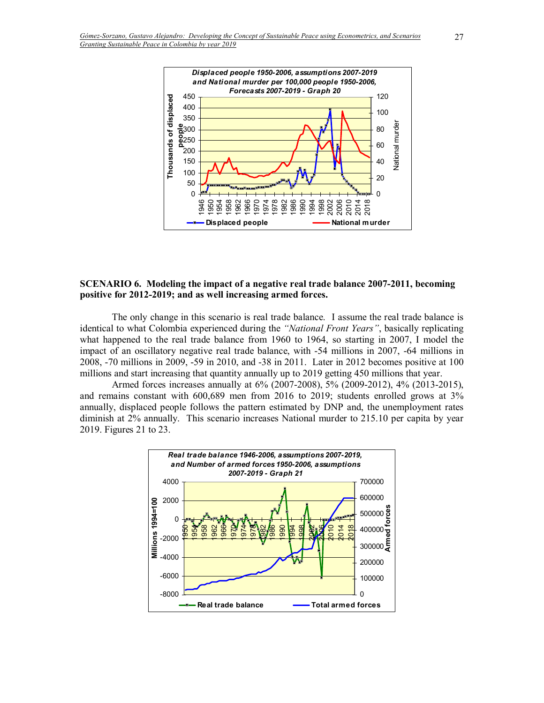

### **SCENARIO 6. Modeling the impact of a negative real trade balance 2007-2011, becoming positive for 2012-2019; and as well increasing armed forces.**

The only change in this scenario is real trade balance. I assume the real trade balance is identical to what Colombia experienced during the "National Front Years", basically replicating what happened to the real trade balance from 1960 to 1964, so starting in 2007, I model the impact of an oscillatory negative real trade balance, with -54 millions in 2007, -64 millions in 2008, -70 millions in 2009, -59 in 2010, and -38 in 2011. Later in 2012 becomes positive at 100 millions and start increasing that quantity annually up to 2019 getting 450 millions that year.

Armed forces increases annually at 6% (2007-2008), 5% (2009-2012), 4% (2013-2015), and remains constant with 600,689 men from 2016 to 2019; students enrolled grows at 3% annually, displaced people follows the pattern estimated by DNP and, the unemployment rates diminish at 2% annually. This scenario increases National murder to 215.10 per capita by year 2019. Figures 21 to 23.

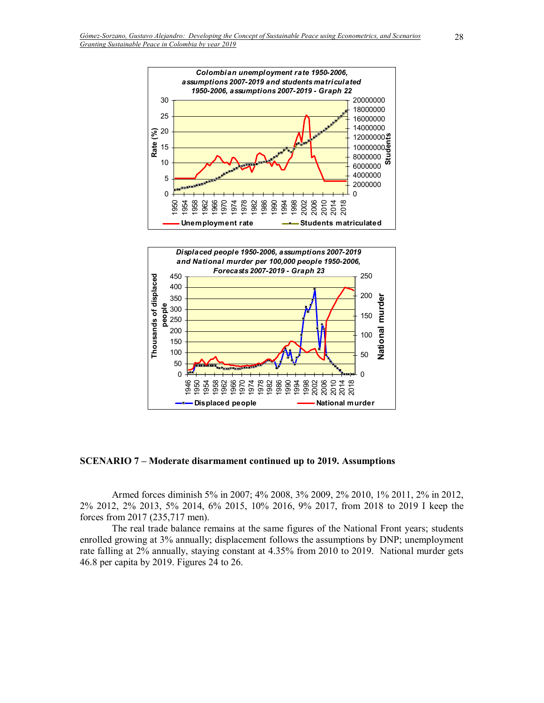

**SCENARIO 7 – Moderate disarmament continued up to 2019. Assumptions** 

888 8 8 7 8 1<br>9 9 9 9 9 9 1<br>1 1 1 1 2 1

> 

Armed forces diminish 5% in 2007; 4% 2008, 3% 2009, 2% 2010, 1% 2011, 2% in 2012, 2% 2012, 2% 2013, 5% 2014, 6% 2015, 10% 2016, 9% 2017, from 2018 to 2019 I keep the forces from 2017 (235,717 men).

 

**Displaced people National murder** 

2014 2018

 $\Omega$ 

The real trade balance remains at the same figures of the National Front years; students enrolled growing at 3% annually; displacement follows the assumptions by DNP; unemployment rate falling at 2% annually, staying constant at 4.35% from 2010 to 2019. National murder gets 46.8 per capita by 2019. Figures 24 to 26.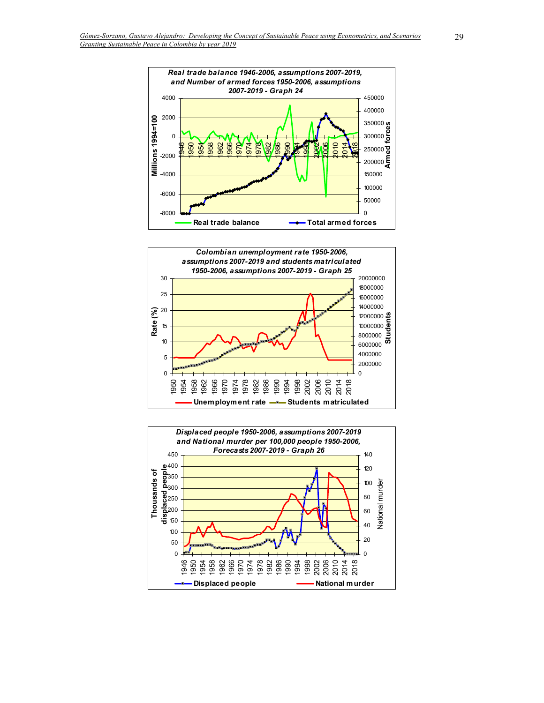



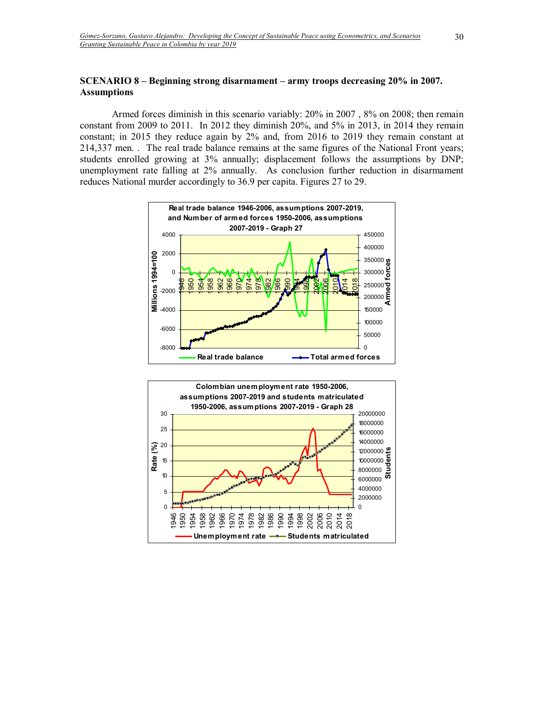# **SCENARIO 8 – Beginning strong disarmament – army troops decreasing 20% in 2007. Assumptions**

Armed forces diminish in this scenario variably: 20% in 2007 , 8% on 2008; then remain constant from 2009 to 2011. In 2012 they diminish 20%, and 5% in 2013, in 2014 they remain constant; in 2015 they reduce again by 2% and, from 2016 to 2019 they remain constant at 214,337 men. . The real trade balance remains at the same figures of the National Front years; students enrolled growing at 3% annually; displacement follows the assumptions by DNP; unemployment rate falling at 2% annually. As conclusion further reduction in disarmament reduces National murder accordingly to 36.9 per capita. Figures 27 to 29.



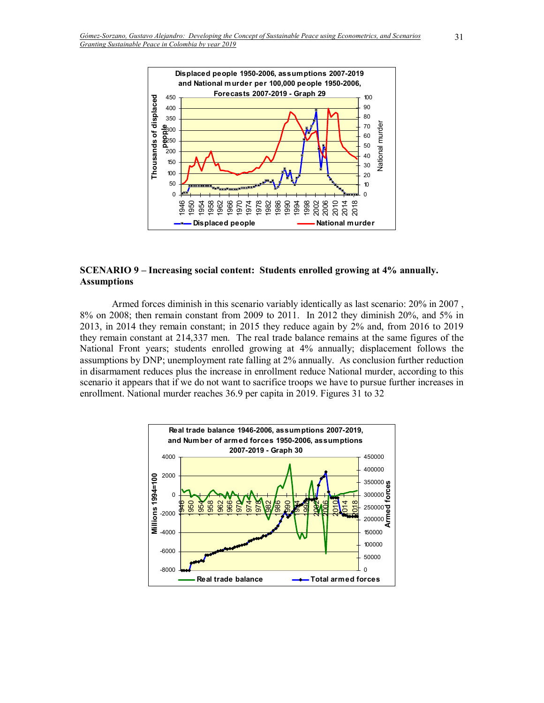

## **SCENARIO 9 – Increasing social content: Students enrolled growing at 4% annually. Assumptions**

Armed forces diminish in this scenario variably identically as last scenario: 20% in 2007 , 8% on 2008; then remain constant from 2009 to 2011. In 2012 they diminish 20%, and 5% in 2013, in 2014 they remain constant; in 2015 they reduce again by 2% and, from 2016 to 2019 they remain constant at 214,337 men. The real trade balance remains at the same figures of the National Front years; students enrolled growing at 4% annually; displacement follows the assumptions by DNP; unemployment rate falling at 2% annually. As conclusion further reduction in disarmament reduces plus the increase in enrollment reduce National murder, according to this scenario it appears that if we do not want to sacrifice troops we have to pursue further increases in enrollment. National murder reaches 36.9 per capita in 2019. Figures 31 to 32

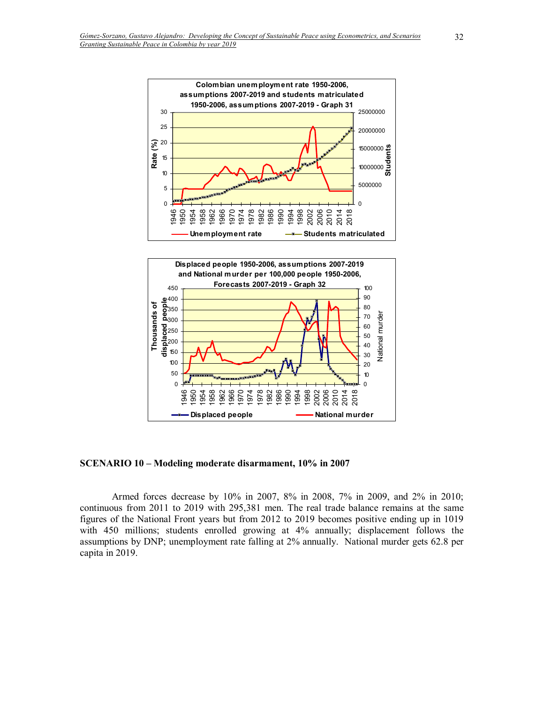

**SCENARIO 10 – Modeling moderate disarmament, 10% in 2007** 

Armed forces decrease by 10% in 2007, 8% in 2008, 7% in 2009, and 2% in 2010; continuous from 2011 to 2019 with 295,381 men. The real trade balance remains at the same figures of the National Front years but from 2012 to 2019 becomes positive ending up in 1019 with 450 millions; students enrolled growing at 4% annually; displacement follows the assumptions by DNP; unemployment rate falling at 2% annually. National murder gets 62.8 per capita in 2019.

**Displaced people National murder**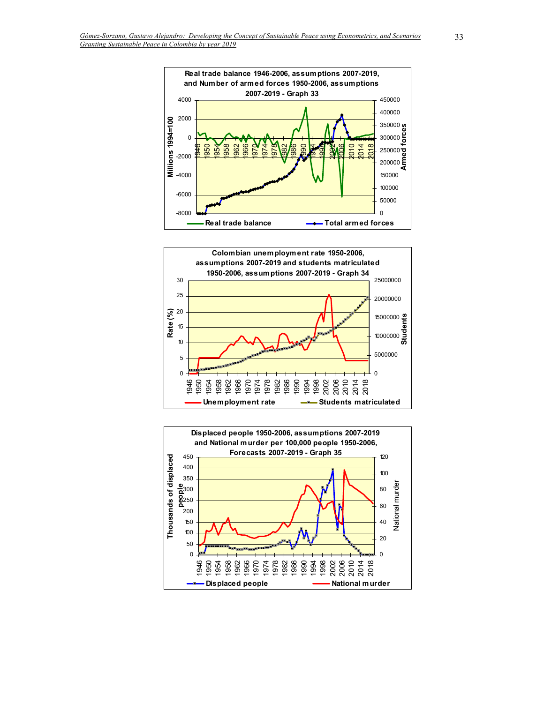



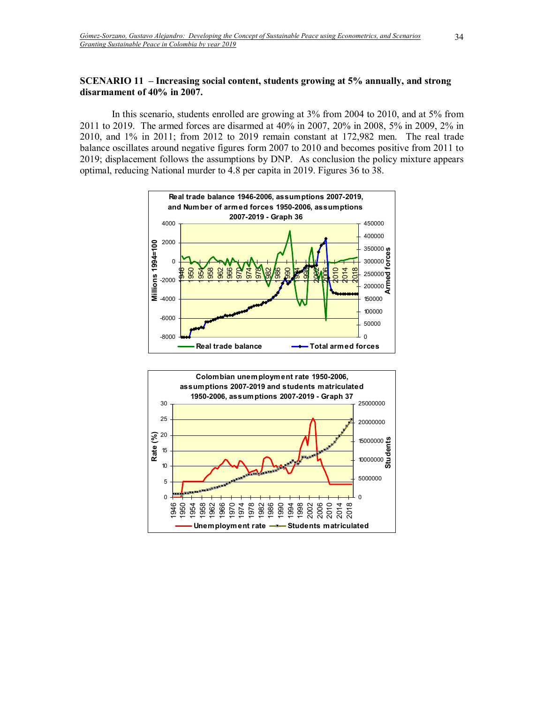# **SCENARIO 11 – Increasing social content, students growing at 5% annually, and strong disarmament of 40% in 2007.**

In this scenario, students enrolled are growing at 3% from 2004 to 2010, and at 5% from 2011 to 2019. The armed forces are disarmed at 40% in 2007, 20% in 2008, 5% in 2009, 2% in 2010, and 1% in 2011; from 2012 to 2019 remain constant at 172,982 men. The real trade balance oscillates around negative figures form 2007 to 2010 and becomes positive from 2011 to 2019; displacement follows the assumptions by DNP. As conclusion the policy mixture appears optimal, reducing National murder to 4.8 per capita in 2019. Figures 36 to 38.



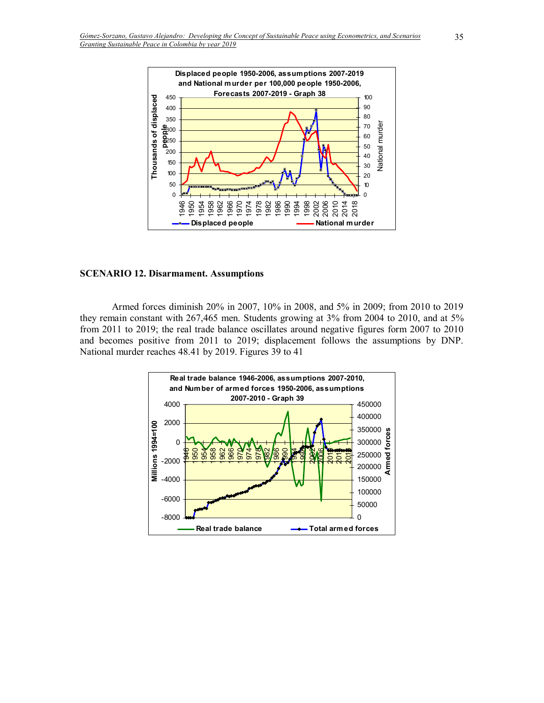

#### **SCENARIO 12. Disarmament. Assumptions**

Armed forces diminish 20% in 2007, 10% in 2008, and 5% in 2009; from 2010 to 2019 they remain constant with 267,465 men. Students growing at 3% from 2004 to 2010, and at 5% from 2011 to 2019; the real trade balance oscillates around negative figures form 2007 to 2010 and becomes positive from 2011 to 2019; displacement follows the assumptions by DNP. National murder reaches 48.41 by 2019. Figures 39 to 41

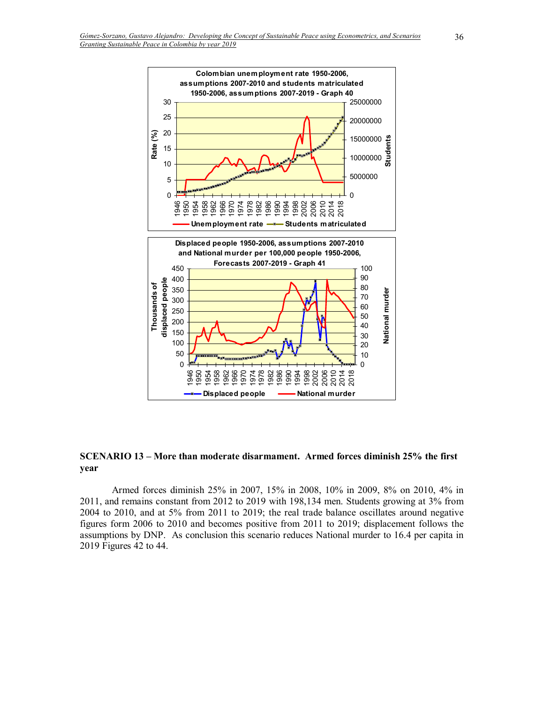

#### **SCENARIO 13 – More than moderate disarmament. Armed forces diminish 25% the first year**

Armed forces diminish 25% in 2007, 15% in 2008, 10% in 2009, 8% on 2010, 4% in 2011, and remains constant from 2012 to 2019 with 198,134 men. Students growing at 3% from 2004 to 2010, and at 5% from 2011 to 2019; the real trade balance oscillates around negative figures form 2006 to 2010 and becomes positive from 2011 to 2019; displacement follows the assumptions by DNP. As conclusion this scenario reduces National murder to 16.4 per capita in 2019 Figures 42 to 44.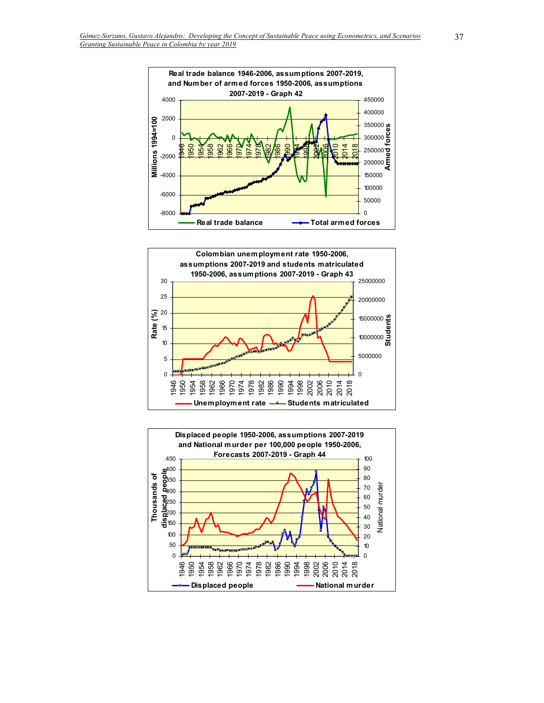



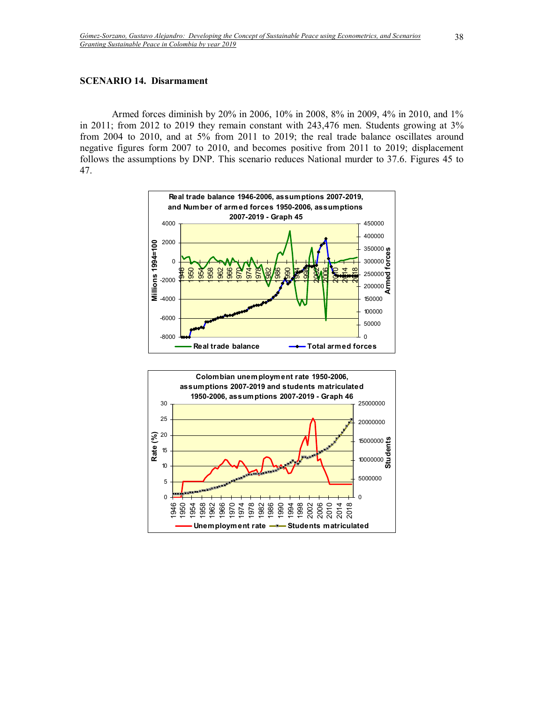#### **SCENARIO 14. Disarmament**

Armed forces diminish by 20% in 2006, 10% in 2008, 8% in 2009, 4% in 2010, and 1% in 2011; from 2012 to 2019 they remain constant with 243,476 men. Students growing at 3% from 2004 to 2010, and at 5% from 2011 to 2019; the real trade balance oscillates around negative figures form 2007 to 2010, and becomes positive from 2011 to 2019; displacement follows the assumptions by DNP. This scenario reduces National murder to 37.6. Figures 45 to 47.



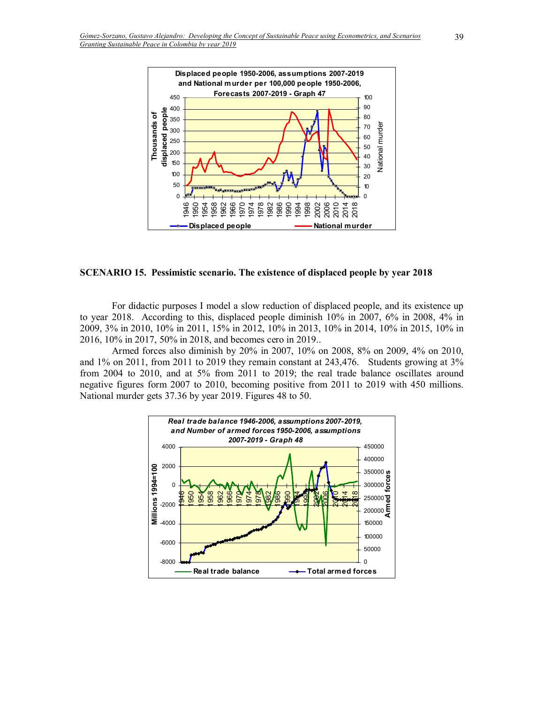

#### **SCENARIO 15. Pessimistic scenario. The existence of displaced people by year 2018**

For didactic purposes I model a slow reduction of displaced people, and its existence up to year 2018. According to this, displaced people diminish 10% in 2007, 6% in 2008, 4% in 2009, 3% in 2010, 10% in 2011, 15% in 2012, 10% in 2013, 10% in 2014, 10% in 2015, 10% in 2016, 10% in 2017, 50% in 2018, and becomes cero in 2019..

Armed forces also diminish by 20% in 2007, 10% on 2008, 8% on 2009, 4% on 2010, and 1% on 2011, from 2011 to 2019 they remain constant at 243,476. Students growing at 3% from 2004 to 2010, and at 5% from 2011 to 2019; the real trade balance oscillates around negative figures form 2007 to 2010, becoming positive from 2011 to 2019 with 450 millions. National murder gets 37.36 by year 2019. Figures 48 to 50.

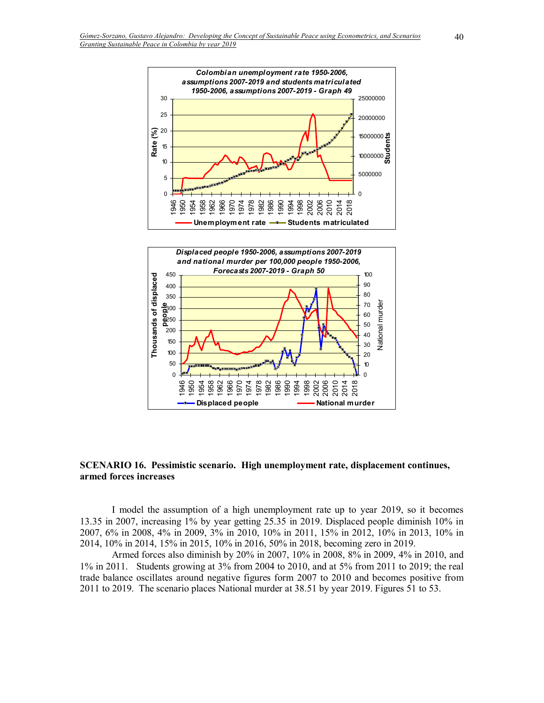

**SCENARIO 16. Pessimistic scenario. High unemployment rate, displacement continues, armed forces increases** 

**Displaced people National murder** 

 $\Omega$ 

 $\overline{0}$ 

> 20<br>2014<br>2014

I model the assumption of a high unemployment rate up to year 2019, so it becomes 13.35 in 2007, increasing 1% by year getting 25.35 in 2019. Displaced people diminish 10% in 2007, 6% in 2008, 4% in 2009, 3% in 2010, 10% in 2011, 15% in 2012, 10% in 2013, 10% in 2014, 10% in 2014, 15% in 2015, 10% in 2016, 50% in 2018, becoming zero in 2019.

Armed forces also diminish by 20% in 2007, 10% in 2008, 8% in 2009, 4% in 2010, and 1% in 2011. Students growing at 3% from 2004 to 2010, and at 5% from 2011 to 2019; the real trade balance oscillates around negative figures form 2007 to 2010 and becomes positive from 2011 to 2019. The scenario places National murder at 38.51 by year 2019. Figures 51 to 53.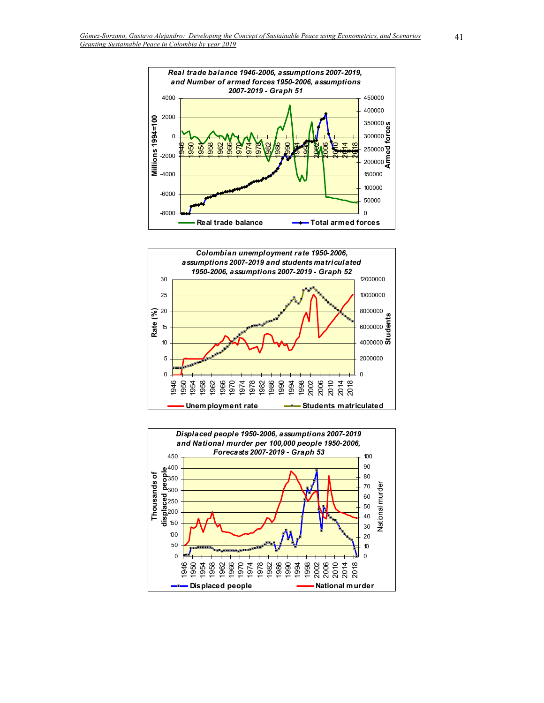



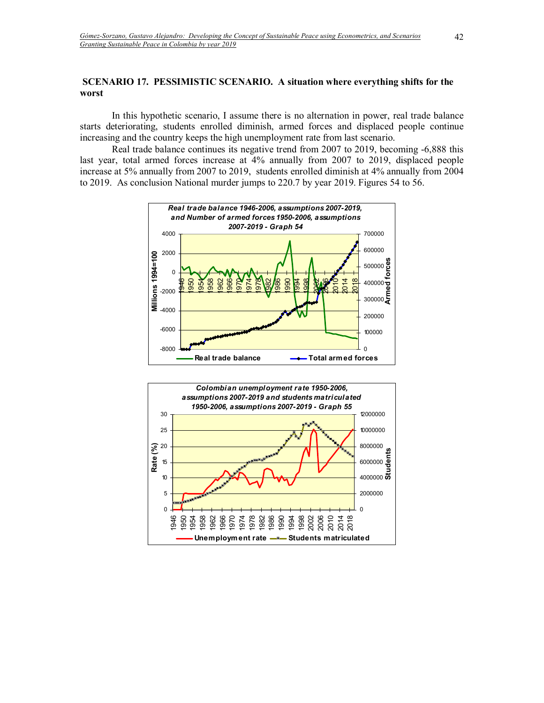#### **SCENARIO 17. PESSIMISTIC SCENARIO. A situation where everything shifts for the worst**

In this hypothetic scenario, I assume there is no alternation in power, real trade balance starts deteriorating, students enrolled diminish, armed forces and displaced people continue increasing and the country keeps the high unemployment rate from last scenario.

Real trade balance continues its negative trend from 2007 to 2019, becoming -6,888 this last year, total armed forces increase at 4% annually from 2007 to 2019, displaced people increase at 5% annually from 2007 to 2019, students enrolled diminish at 4% annually from 2004 to 2019. As conclusion National murder jumps to 220.7 by year 2019. Figures 54 to 56.



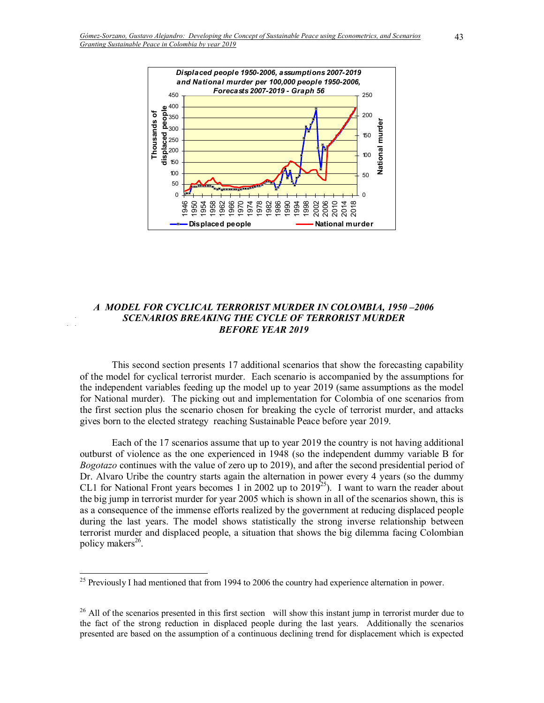

## *A MODEL FOR CYCLICAL TERRORIST MURDER IN COLOMBIA, 1950-2006 SCENARIOS BREAKING THE CYCLE OF TERRORIST MURDER BEFORE YEAR 2019*

This second section presents 17 additional scenarios that show the forecasting capability of the model for cyclical terrorist murder. Each scenario is accompanied by the assumptions for the independent variables feeding up the model up to year 2019 (same assumptions as the model for National murder). The picking out and implementation for Colombia of one scenarios from the first section plus the scenario chosen for breaking the cycle of terrorist murder, and attacks gives born to the elected strategy reaching Sustainable Peace before year 2019.

Each of the 17 scenarios assume that up to year 2019 the country is not having additional outburst of violence as the one experienced in 1948 (so the independent dummy variable B for *Bogotazo* continues with the value of zero up to 2019), and after the second presidential period of Dr. Alvaro Uribe the country starts again the alternation in power every 4 years (so the dummy CL1 for National Front years becomes 1 in 2002 up to 2019<sup>25</sup>). I want to warn the reader about the big jump in terrorist murder for year 2005 which is shown in all of the scenarios shown, this is as a consequence of the immense efforts realized by the government at reducing displaced people during the last years. The model shows statistically the strong inverse relationship between terrorist murder and displaced people, a situation that shows the big dilemma facing Colombian policy makers<sup>26</sup>.

 $\overline{a}$ 

<sup>&</sup>lt;sup>25</sup> Previously I had mentioned that from 1994 to 2006 the country had experience alternation in power.

 $^{26}$  All of the scenarios presented in this first section will show this instant jump in terrorist murder due to the fact of the strong reduction in displaced people during the last years. Additionally the scenarios presented are based on the assumption of a continuous declining trend for displacement which is expected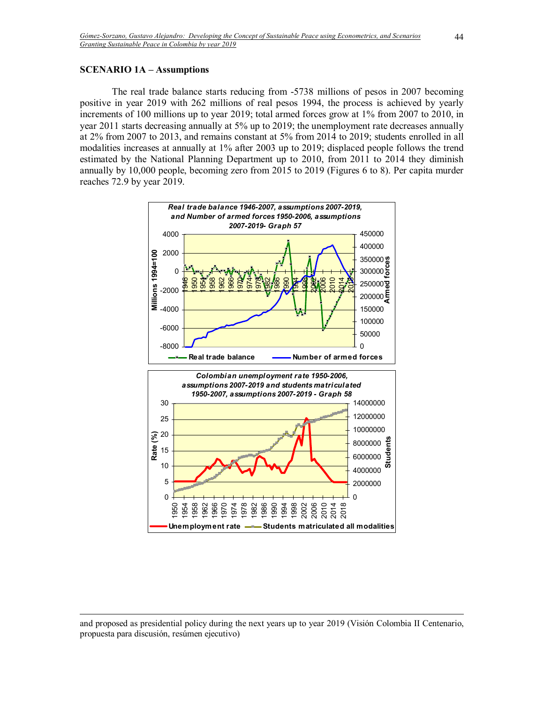#### **SCENARIO 1A – Assumptions**

 $\overline{a}$ 

The real trade balance starts reducing from -5738 millions of pesos in 2007 becoming positive in year 2019 with 262 millions of real pesos 1994, the process is achieved by yearly increments of 100 millions up to year 2019; total armed forces grow at 1% from 2007 to 2010, in year 2011 starts decreasing annually at 5% up to 2019; the unemployment rate decreases annually at 2% from 2007 to 2013, and remains constant at 5% from 2014 to 2019; students enrolled in all modalities increases at annually at 1% after 2003 up to 2019; displaced people follows the trend estimated by the National Planning Department up to 2010, from 2011 to 2014 they diminish annually by 10,000 people, becoming zero from 2015 to 2019 (Figures 6 to 8). Per capita murder reaches 72.9 by year 2019.



and proposed as presidential policy during the next years up to year 2019 (Visión Colombia II Centenario, propuesta para discusión, resúmen ejecutivo)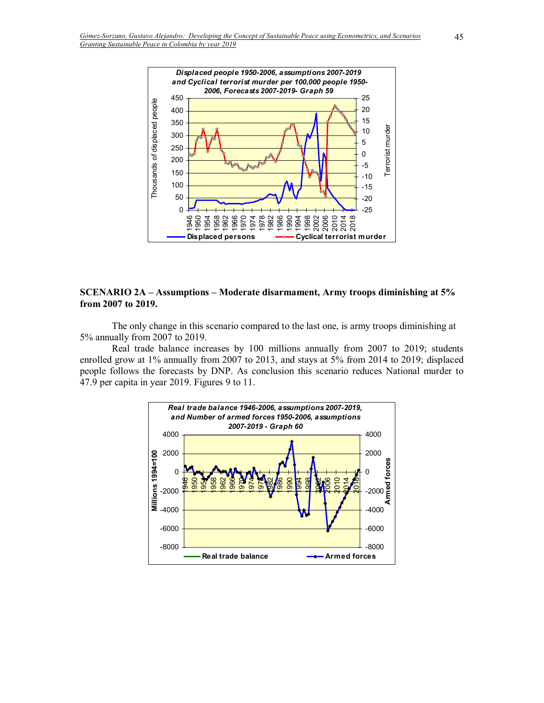

# **SCENARIO 2A – Assumptions – Moderate disarmament, Army troops diminishing at 5% from 2007 to 2019.**

The only change in this scenario compared to the last one, is army troops diminishing at 5% annually from 2007 to 2019.

Real trade balance increases by 100 millions annually from 2007 to 2019; students enrolled grow at 1% annually from 2007 to 2013, and stays at 5% from 2014 to 2019; displaced people follows the forecasts by DNP. As conclusion this scenario reduces National murder to 47.9 per capita in year 2019. Figures 9 to 11.

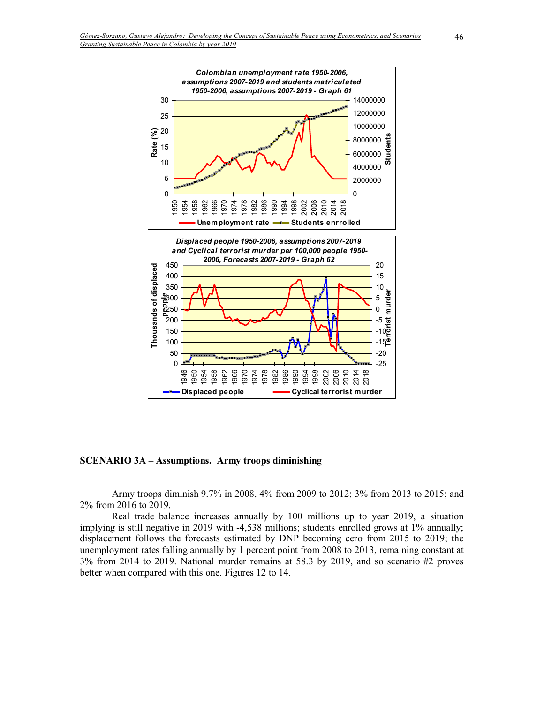

**SCENARIO 3A – Assumptions. Army troops diminishing** 

Army troops diminish 9.7% in 2008, 4% from 2009 to 2012; 3% from 2013 to 2015; and 2% from 2016 to 2019.

Real trade balance increases annually by 100 millions up to year 2019, a situation implying is still negative in 2019 with -4,538 millions; students enrolled grows at 1% annually; displacement follows the forecasts estimated by DNP becoming cero from 2015 to 2019; the unemployment rates falling annually by 1 percent point from 2008 to 2013, remaining constant at 3% from 2014 to 2019. National murder remains at 58.3 by 2019, and so scenario #2 proves better when compared with this one. Figures 12 to 14.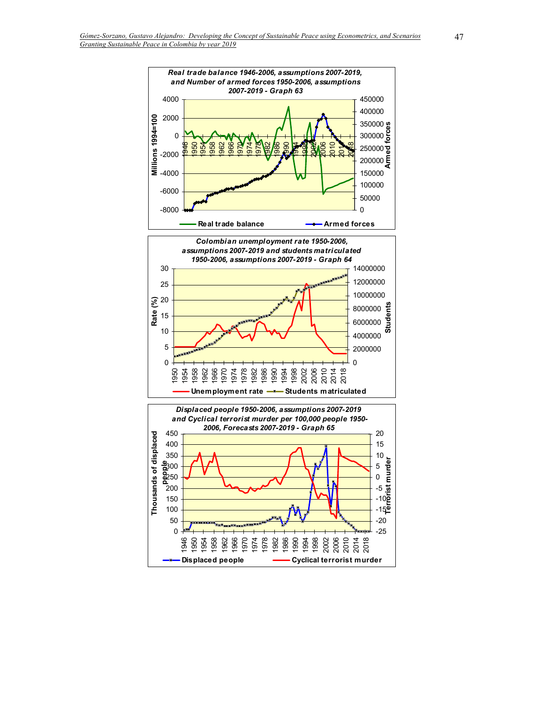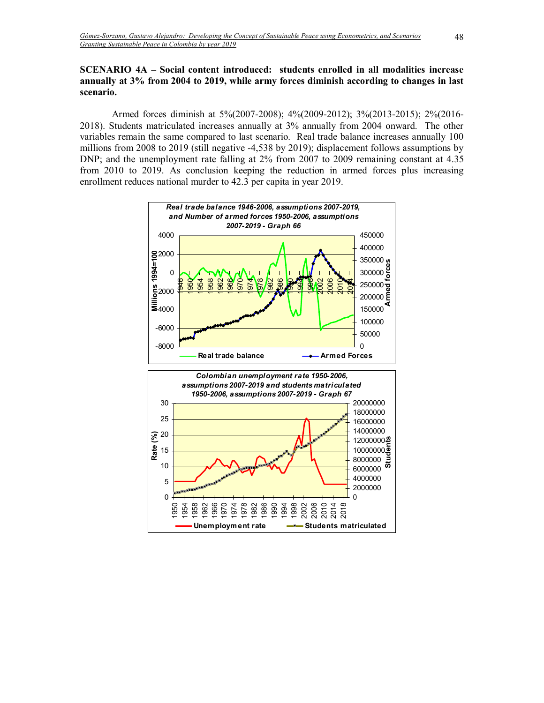# **SCENARIO 4A – Social content introduced: students enrolled in all modalities increase annually at 3% from 2004 to 2019, while army forces diminish according to changes in last scenario.**

Armed forces diminish at 5%(2007-2008); 4%(2009-2012); 3%(2013-2015); 2%(2016- 2018). Students matriculated increases annually at 3% annually from 2004 onward. The other variables remain the same compared to last scenario. Real trade balance increases annually 100 millions from 2008 to 2019 (still negative -4,538 by 2019); displacement follows assumptions by DNP; and the unemployment rate falling at 2% from 2007 to 2009 remaining constant at 4.35 from 2010 to 2019. As conclusion keeping the reduction in armed forces plus increasing enrollment reduces national murder to 42.3 per capita in year 2019.

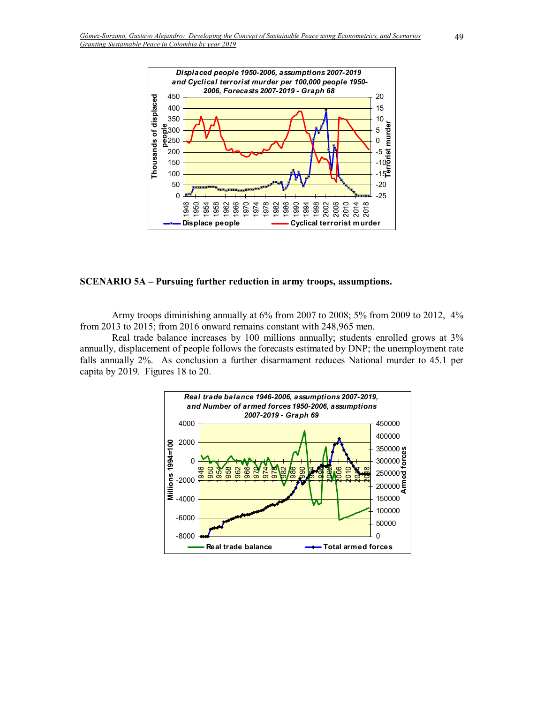

#### **SCENARIO 5A – Pursuing further reduction in army troops, assumptions.**

Army troops diminishing annually at 6% from 2007 to 2008; 5% from 2009 to 2012, 4% from 2013 to 2015; from 2016 onward remains constant with 248,965 men.

Real trade balance increases by 100 millions annually; students enrolled grows at 3% annually, displacement of people follows the forecasts estimated by DNP; the unemployment rate falls annually 2%. As conclusion a further disarmament reduces National murder to 45.1 per capita by 2019. Figures 18 to 20.

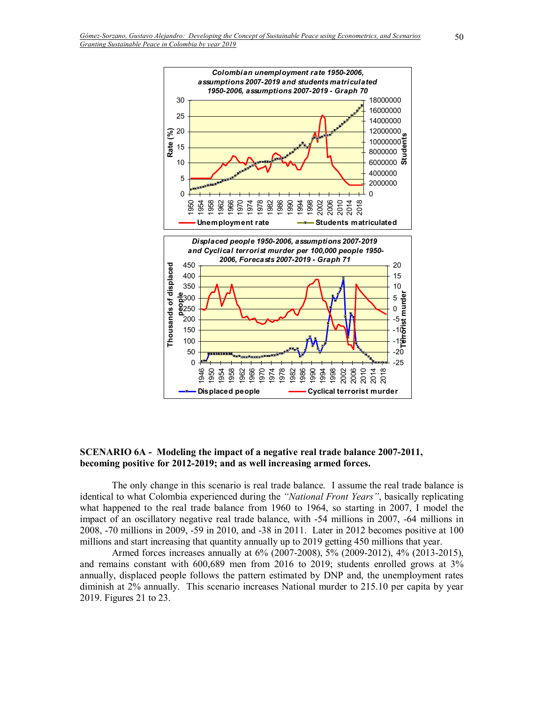

**SCENARIO 6A - Modeling the impact of a negative real trade balance 2007-2011, becoming positive for 2012-2019; and as well increasing armed forces.** 

The only change in this scenario is real trade balance. I assume the real trade balance is identical to what Colombia experienced during the "National Front Years", basically replicating what happened to the real trade balance from 1960 to 1964, so starting in 2007, I model the impact of an oscillatory negative real trade balance, with -54 millions in 2007, -64 millions in 2008, -70 millions in 2009, -59 in 2010, and -38 in 2011. Later in 2012 becomes positive at 100 millions and start increasing that quantity annually up to 2019 getting 450 millions that year.

Armed forces increases annually at 6% (2007-2008), 5% (2009-2012), 4% (2013-2015), and remains constant with 600,689 men from 2016 to 2019; students enrolled grows at 3% annually, displaced people follows the pattern estimated by DNP and, the unemployment rates diminish at 2% annually. This scenario increases National murder to 215.10 per capita by year 2019. Figures 21 to 23.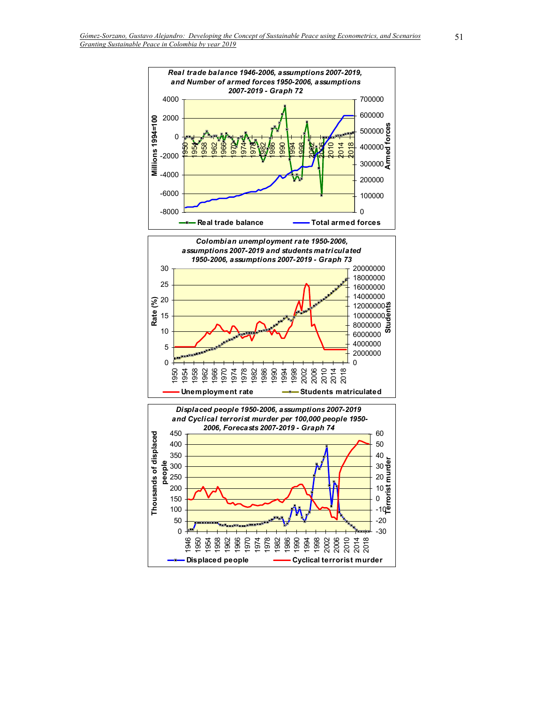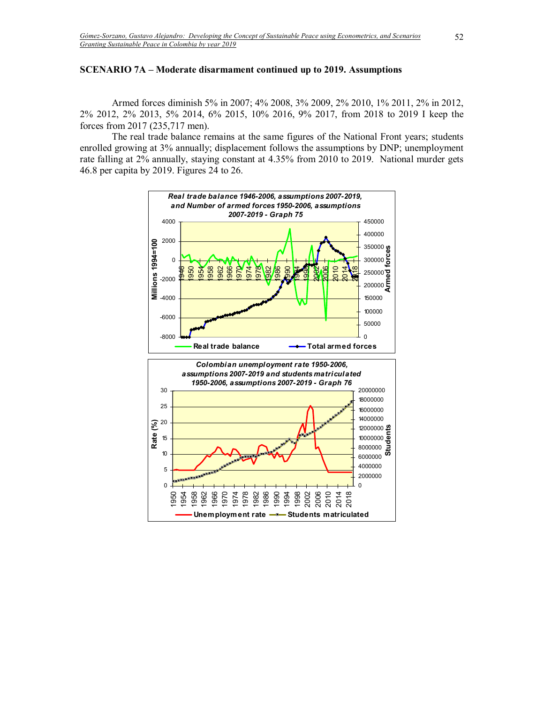## **SCENARIO 7A – Moderate disarmament continued up to 2019. Assumptions**

Armed forces diminish 5% in 2007; 4% 2008, 3% 2009, 2% 2010, 1% 2011, 2% in 2012, 2% 2012, 2% 2013, 5% 2014, 6% 2015, 10% 2016, 9% 2017, from 2018 to 2019 I keep the forces from 2017 (235,717 men).

The real trade balance remains at the same figures of the National Front years; students enrolled growing at 3% annually; displacement follows the assumptions by DNP; unemployment rate falling at 2% annually, staying constant at 4.35% from 2010 to 2019. National murder gets 46.8 per capita by 2019. Figures 24 to 26.

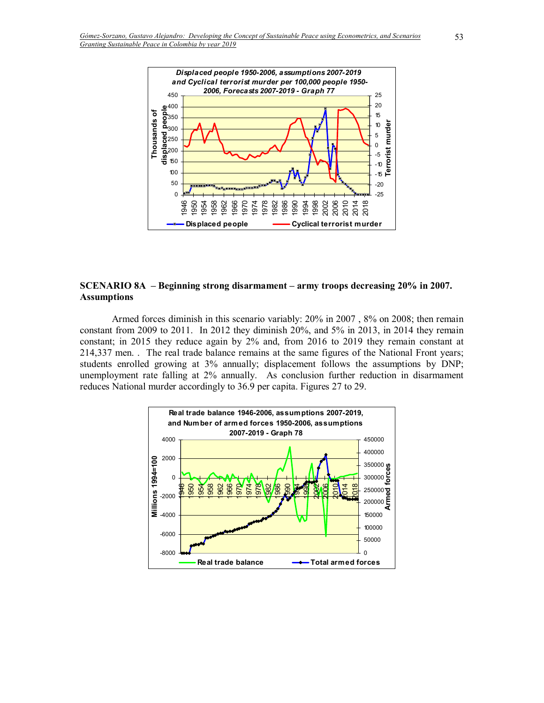

### **SCENARIO 8A** – Beginning strong disarmament – army troops decreasing 20% in 2007. **Assumptions**

Armed forces diminish in this scenario variably: 20% in 2007 , 8% on 2008; then remain constant from 2009 to 2011. In 2012 they diminish 20%, and 5% in 2013, in 2014 they remain constant; in 2015 they reduce again by 2% and, from 2016 to 2019 they remain constant at 214,337 men. . The real trade balance remains at the same figures of the National Front years; students enrolled growing at 3% annually; displacement follows the assumptions by DNP; unemployment rate falling at 2% annually. As conclusion further reduction in disarmament reduces National murder accordingly to 36.9 per capita. Figures 27 to 29.

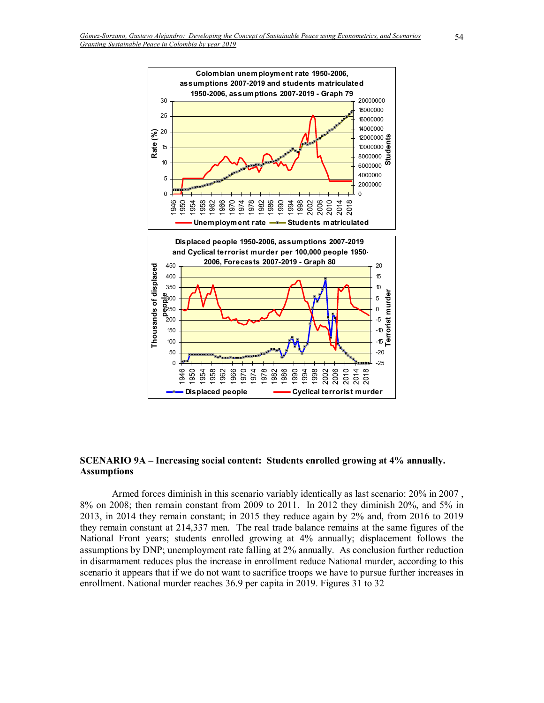

#### **SCENARIO 9A – Increasing social content: Students enrolled growing at 4% annually. Assumptions**

Armed forces diminish in this scenario variably identically as last scenario: 20% in 2007 , 8% on 2008; then remain constant from 2009 to 2011. In 2012 they diminish 20%, and 5% in 2013, in 2014 they remain constant; in 2015 they reduce again by 2% and, from 2016 to 2019 they remain constant at 214,337 men. The real trade balance remains at the same figures of the National Front years; students enrolled growing at 4% annually; displacement follows the assumptions by DNP; unemployment rate falling at 2% annually. As conclusion further reduction in disarmament reduces plus the increase in enrollment reduce National murder, according to this scenario it appears that if we do not want to sacrifice troops we have to pursue further increases in enrollment. National murder reaches 36.9 per capita in 2019. Figures 31 to 32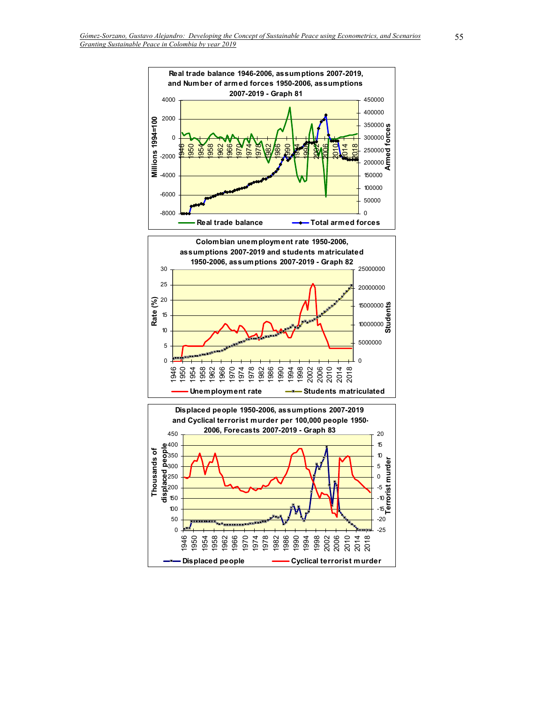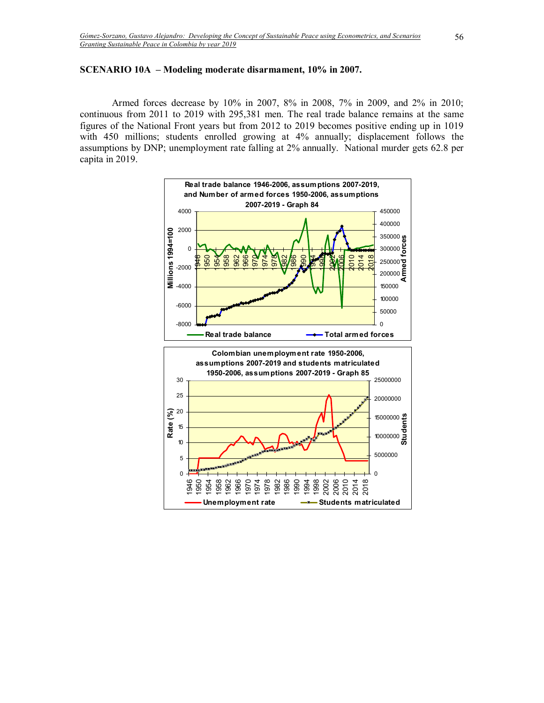## **SCENARIO 10A – Modeling moderate disarmament, 10% in 2007.**

Armed forces decrease by 10% in 2007, 8% in 2008, 7% in 2009, and 2% in 2010; continuous from 2011 to 2019 with 295,381 men. The real trade balance remains at the same figures of the National Front years but from 2012 to 2019 becomes positive ending up in 1019 with 450 millions; students enrolled growing at 4% annually; displacement follows the assumptions by DNP; unemployment rate falling at 2% annually. National murder gets 62.8 per capita in 2019.

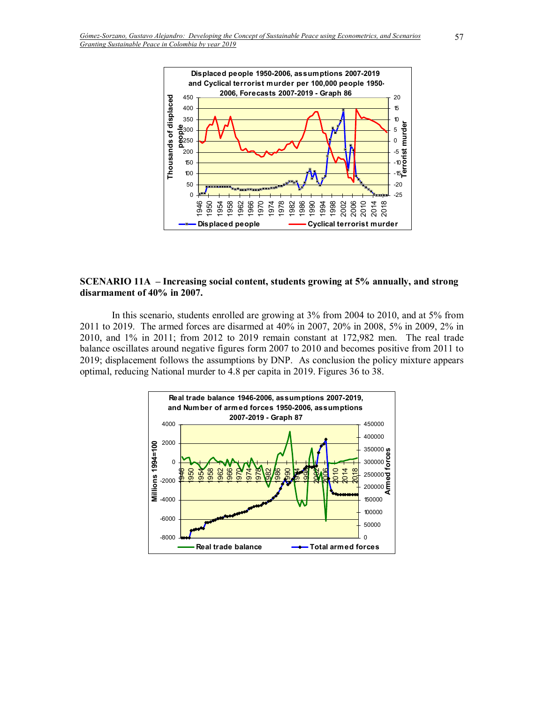

### **SCENARIO 11A** – Increasing social content, students growing at 5% annually, and strong **disarmament of 40% in 2007.**

In this scenario, students enrolled are growing at 3% from 2004 to 2010, and at 5% from 2011 to 2019. The armed forces are disarmed at 40% in 2007, 20% in 2008, 5% in 2009, 2% in 2010, and 1% in 2011; from 2012 to 2019 remain constant at 172,982 men. The real trade balance oscillates around negative figures form 2007 to 2010 and becomes positive from 2011 to 2019; displacement follows the assumptions by DNP. As conclusion the policy mixture appears optimal, reducing National murder to 4.8 per capita in 2019. Figures 36 to 38.

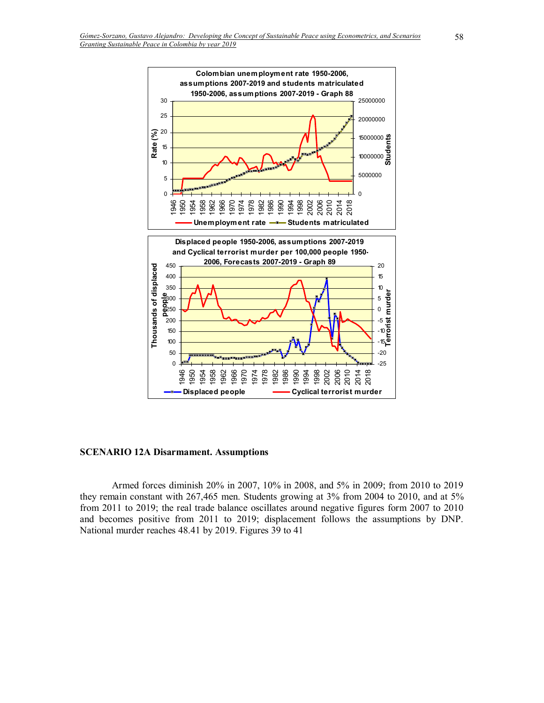

#### **SCENARIO 12A Disarmament. Assumptions**

Armed forces diminish 20% in 2007, 10% in 2008, and 5% in 2009; from 2010 to 2019 they remain constant with 267,465 men. Students growing at 3% from 2004 to 2010, and at 5% from 2011 to 2019; the real trade balance oscillates around negative figures form 2007 to 2010 and becomes positive from 2011 to 2019; displacement follows the assumptions by DNP. National murder reaches 48.41 by 2019. Figures 39 to 41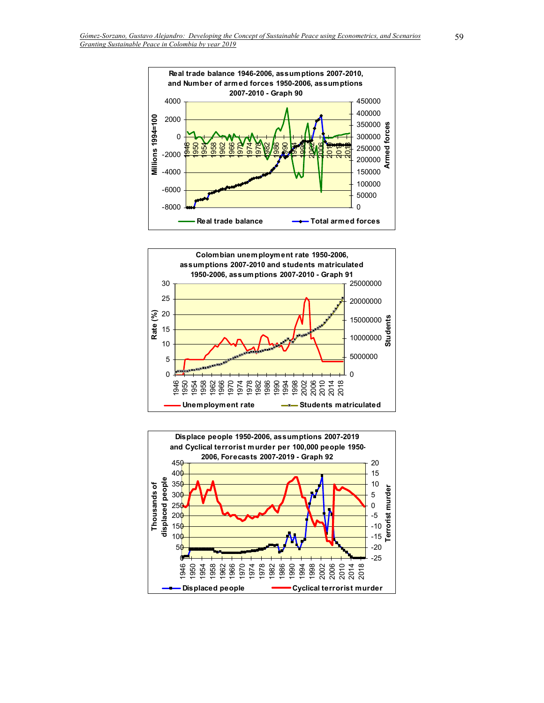



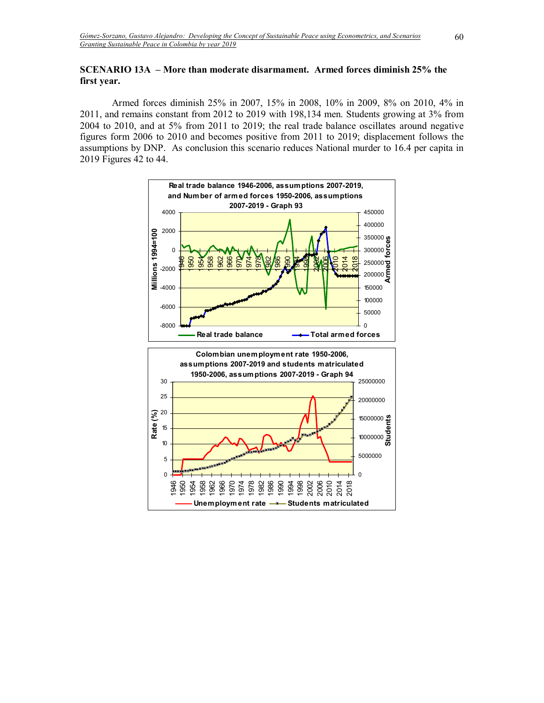# **SCENARIO 13A – More than moderate disarmament. Armed forces diminish 25% the first year.**

Armed forces diminish 25% in 2007, 15% in 2008, 10% in 2009, 8% on 2010, 4% in 2011, and remains constant from 2012 to 2019 with 198,134 men. Students growing at 3% from 2004 to 2010, and at 5% from 2011 to 2019; the real trade balance oscillates around negative figures form 2006 to 2010 and becomes positive from 2011 to 2019; displacement follows the assumptions by DNP. As conclusion this scenario reduces National murder to 16.4 per capita in 2019 Figures 42 to 44.

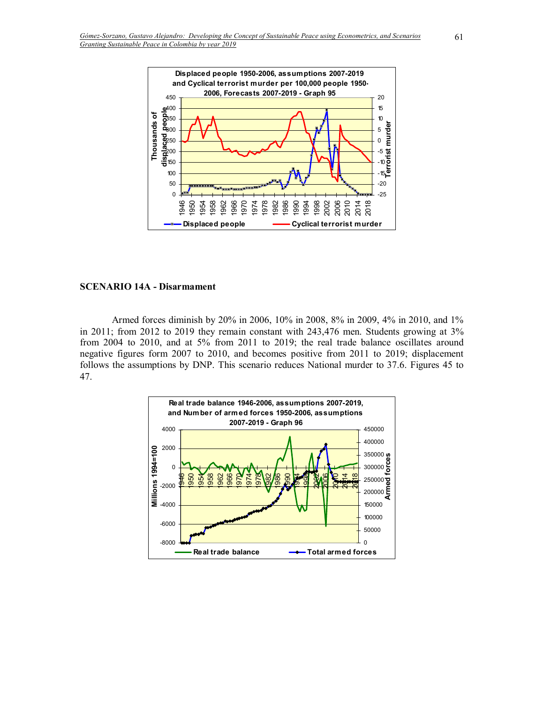

#### **SCENARIO 14A - Disarmament**

Armed forces diminish by 20% in 2006, 10% in 2008, 8% in 2009, 4% in 2010, and 1% in 2011; from 2012 to 2019 they remain constant with 243,476 men. Students growing at 3% from 2004 to 2010, and at 5% from 2011 to 2019; the real trade balance oscillates around negative figures form 2007 to 2010, and becomes positive from 2011 to 2019; displacement follows the assumptions by DNP. This scenario reduces National murder to 37.6. Figures 45 to 47.

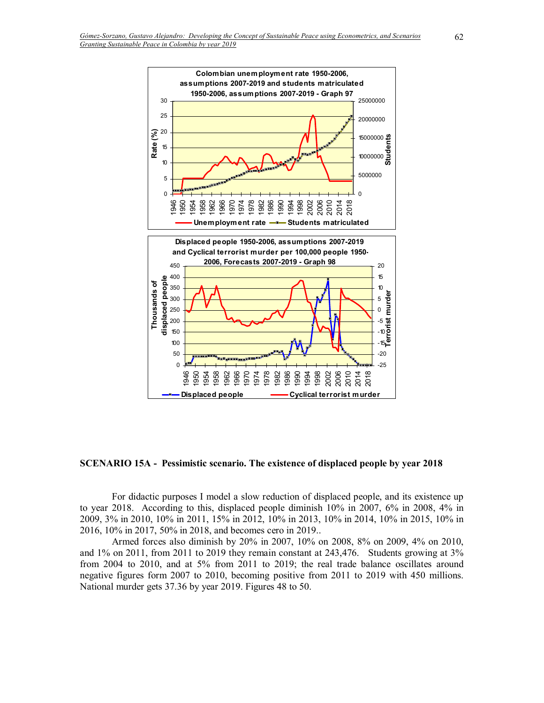

**SCENARIO 15A - Pessimistic scenario. The existence of displaced people by year 2018** 

For didactic purposes I model a slow reduction of displaced people, and its existence up to year 2018. According to this, displaced people diminish 10% in 2007, 6% in 2008, 4% in 2009, 3% in 2010, 10% in 2011, 15% in 2012, 10% in 2013, 10% in 2014, 10% in 2015, 10% in 2016, 10% in 2017, 50% in 2018, and becomes cero in 2019..

Armed forces also diminish by 20% in 2007, 10% on 2008, 8% on 2009, 4% on 2010, and 1% on 2011, from 2011 to 2019 they remain constant at 243,476. Students growing at 3% from 2004 to 2010, and at 5% from 2011 to 2019; the real trade balance oscillates around negative figures form 2007 to 2010, becoming positive from 2011 to 2019 with 450 millions. National murder gets 37.36 by year 2019. Figures 48 to 50.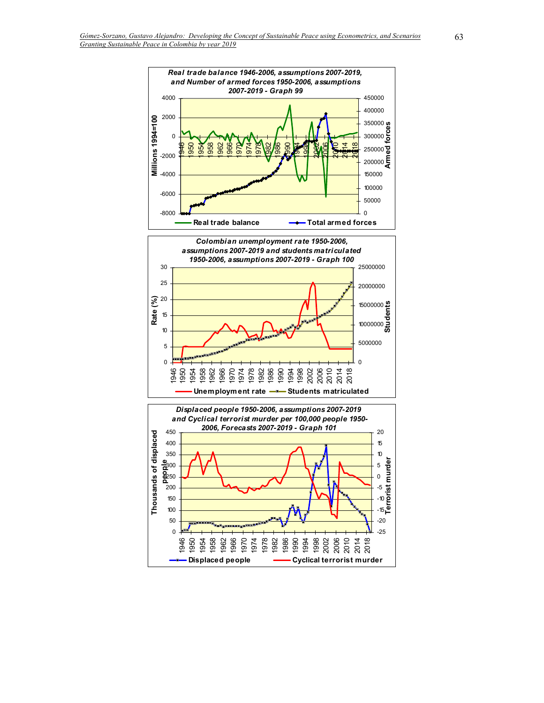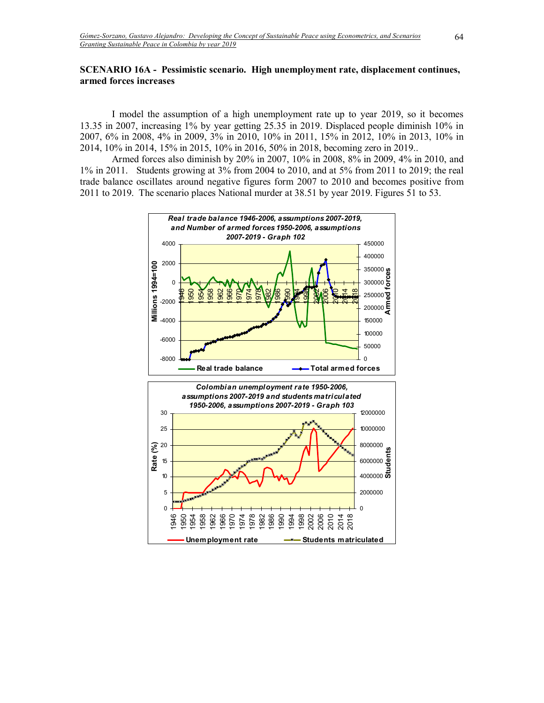## **SCENARIO 16A - Pessimistic scenario. High unemployment rate, displacement continues, armed forces increases**

I model the assumption of a high unemployment rate up to year 2019, so it becomes 13.35 in 2007, increasing 1% by year getting 25.35 in 2019. Displaced people diminish 10% in 2007, 6% in 2008, 4% in 2009, 3% in 2010, 10% in 2011, 15% in 2012, 10% in 2013, 10% in 2014, 10% in 2014, 15% in 2015, 10% in 2016, 50% in 2018, becoming zero in 2019..

Armed forces also diminish by 20% in 2007, 10% in 2008, 8% in 2009, 4% in 2010, and 1% in 2011. Students growing at 3% from 2004 to 2010, and at 5% from 2011 to 2019; the real trade balance oscillates around negative figures form 2007 to 2010 and becomes positive from 2011 to 2019. The scenario places National murder at 38.51 by year 2019. Figures 51 to 53.

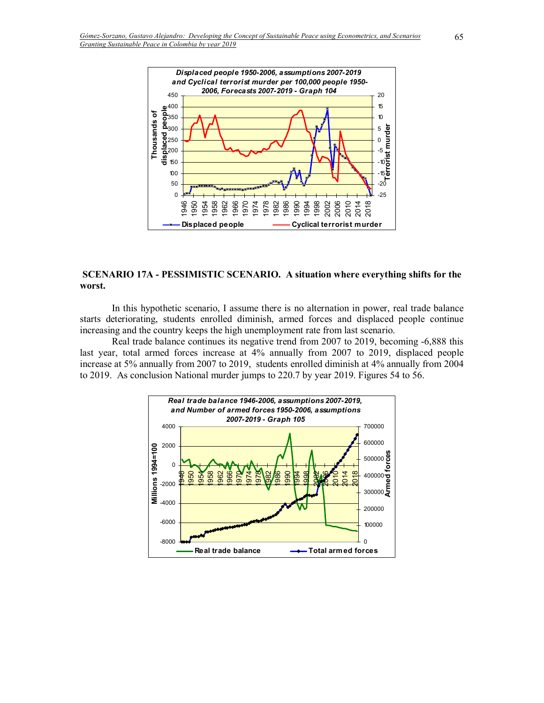

## **SCENARIO 17A - PESSIMISTIC SCENARIO. A situation where everything shifts for the worst.**

In this hypothetic scenario, I assume there is no alternation in power, real trade balance starts deteriorating, students enrolled diminish, armed forces and displaced people continue increasing and the country keeps the high unemployment rate from last scenario.

Real trade balance continues its negative trend from 2007 to 2019, becoming -6,888 this last year, total armed forces increase at 4% annually from 2007 to 2019, displaced people increase at 5% annually from 2007 to 2019, students enrolled diminish at 4% annually from 2004 to 2019. As conclusion National murder jumps to 220.7 by year 2019. Figures 54 to 56.

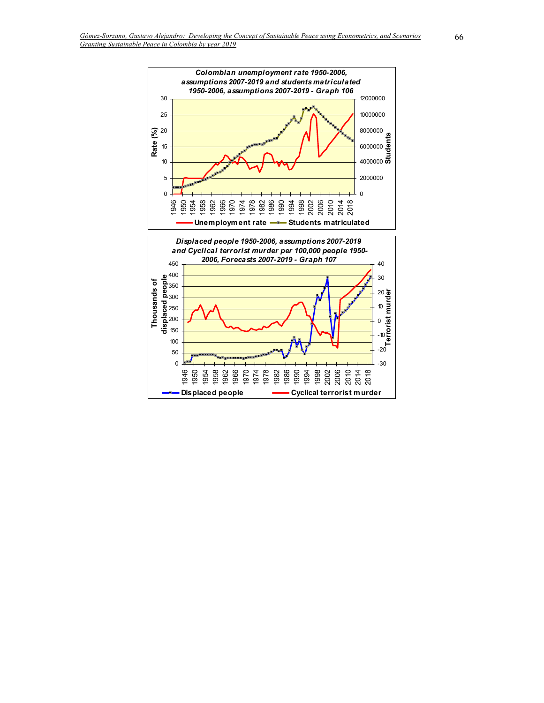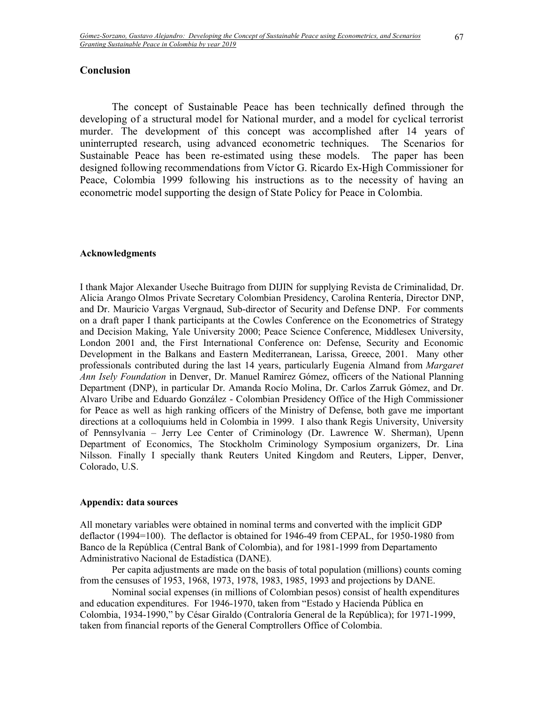# **Conclusion**

The concept of Sustainable Peace has been technically defined through the developing of a structural model for National murder, and a model for cyclical terrorist murder. The development of this concept was accomplished after 14 years of uninterrupted research, using advanced econometric techniques. The Scenarios for Sustainable Peace has been re-estimated using these models. The paper has been designed following recommendations from Víctor G. Ricardo Ex-High Commissioner for Peace, Colombia 1999 following his instructions as to the necessity of having an econometric model supporting the design of State Policy for Peace in Colombia.

#### **Acknowledgments**

I thank Major Alexander Useche Buitrago from DIJIN for supplying Revista de Criminalidad, Dr. Alicia Arango Olmos Private Secretary Colombian Presidency, Carolina Rentería, Director DNP, and Dr. Mauricio Vargas Vergnaud, Sub-director of Security and Defense DNP. For comments on a draft paper I thank participants at the Cowles Conference on the Econometrics of Strategy and Decision Making, Yale University 2000; Peace Science Conference, Middlesex University, London 2001 and, the First International Conference on: Defense, Security and Economic Development in the Balkans and Eastern Mediterranean, Larissa, Greece, 2001. Many other professionals contributed during the last 14 years, particularly Eugenia Almand from *Margaret Ann Isely Foundation* in Denver, Dr. Manuel Ramírez Gómez, officers of the National Planning Department (DNP), in particular Dr. Amanda Rocío Molina, Dr. Carlos Zarruk Gómez, and Dr. Alvaro Uribe and Eduardo González - Colombian Presidency Office of the High Commissioner for Peace as well as high ranking officers of the Ministry of Defense, both gave me important directions at a colloquiums held in Colombia in 1999. I also thank Regis University, University of Pennsylvania ñ Jerry Lee Center of Criminology (Dr. Lawrence W. Sherman), Upenn Department of Economics, The Stockholm Criminology Symposium organizers, Dr. Lina Nilsson. Finally I specially thank Reuters United Kingdom and Reuters, Lipper, Denver, Colorado, U.S.

#### **Appendix: data sources**

All monetary variables were obtained in nominal terms and converted with the implicit GDP deflactor (1994=100). The deflactor is obtained for 1946-49 from CEPAL, for 1950-1980 from Banco de la República (Central Bank of Colombia), and for 1981-1999 from Departamento Administrativo Nacional de Estadística (DANE).

 Per capita adjustments are made on the basis of total population (millions) counts coming from the censuses of 1953, 1968, 1973, 1978, 1983, 1985, 1993 and projections by DANE.

 Nominal social expenses (in millions of Colombian pesos) consist of health expenditures and education expenditures. For 1946-1970, taken from "Estado y Hacienda Pública en Colombia, 1934-1990," by César Giraldo (Contraloría General de la República); for 1971-1999, taken from financial reports of the General Comptrollers Office of Colombia.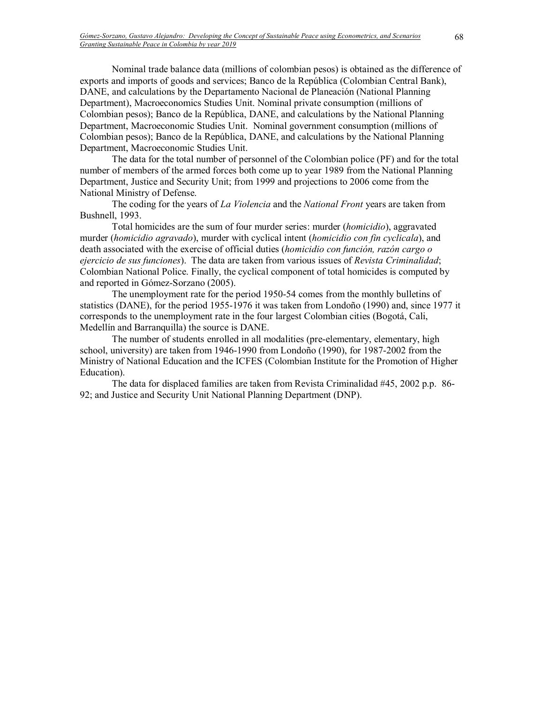Nominal trade balance data (millions of colombian pesos) is obtained as the difference of exports and imports of goods and services; Banco de la República (Colombian Central Bank), DANE, and calculations by the Departamento Nacional de Planeación (National Planning Department), Macroeconomics Studies Unit. Nominal private consumption (millions of Colombian pesos); Banco de la República, DANE, and calculations by the National Planning Department, Macroeconomic Studies Unit. Nominal government consumption (millions of Colombian pesos); Banco de la República, DANE, and calculations by the National Planning Department, Macroeconomic Studies Unit.

 The data for the total number of personnel of the Colombian police (PF) and for the total number of members of the armed forces both come up to year 1989 from the National Planning Department, Justice and Security Unit; from 1999 and projections to 2006 come from the National Ministry of Defense.

 The coding for the years of *La Violencia* and the *National Front* years are taken from Bushnell, 1993.

 Total homicides are the sum of four murder series: murder (*homicidio*), aggravated murder (*homicidio agravado*), murder with cyclical intent (*homicidio con fin cyclicala*), and death associated with the exercise of official duties (*homicidio con función, razón cargo o ejercicio de sus funciones*). The data are taken from various issues of *Revista Criminalidad*; Colombian National Police. Finally, the cyclical component of total homicides is computed by and reported in Gómez-Sorzano (2005).

 The unemployment rate for the period 1950-54 comes from the monthly bulletins of statistics (DANE), for the period 1955-1976 it was taken from Londoño (1990) and, since 1977 it corresponds to the unemployment rate in the four largest Colombian cities (Bogotá, Cali, Medellín and Barranquilla) the source is DANE.

 The number of students enrolled in all modalities (pre-elementary, elementary, high school, university) are taken from 1946-1990 from Londoño (1990), for 1987-2002 from the Ministry of National Education and the ICFES (Colombian Institute for the Promotion of Higher Education).

 The data for displaced families are taken from Revista Criminalidad #45, 2002 p.p. 86- 92; and Justice and Security Unit National Planning Department (DNP).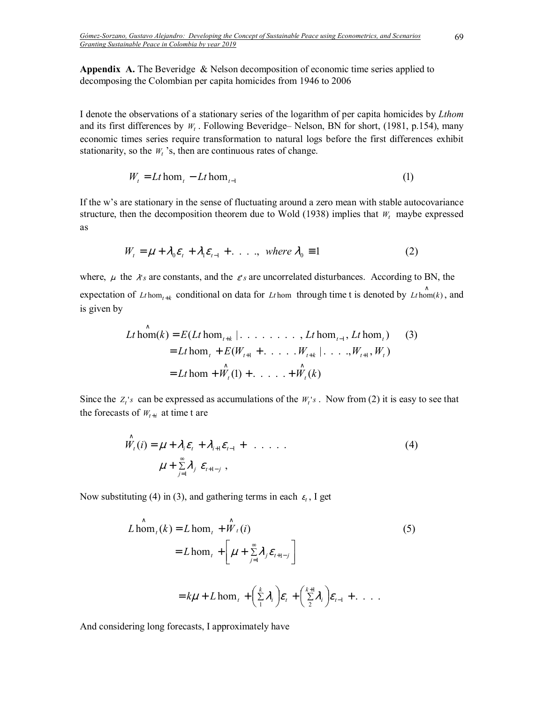**Appendix A.** The Beveridge & Nelson decomposition of economic time series applied to decomposing the Colombian per capita homicides from 1946 to 2006

I denote the observations of a stationary series of the logarithm of per capita homicides by *Lthom* and its first differences by  $W_t$ . Following Beveridge–Nelson, BN for short, (1981, p.154), many economic times series require transformation to natural logs before the first differences exhibit stationarity, so the  $W_t$ 's, then are continuous rates of change.

$$
W_t = Lt \text{hom}_t - Lt \text{hom}_{t-1} \tag{1}
$$

If the w's are stationary in the sense of fluctuating around a zero mean with stable autocovariance structure, then the decomposition theorem due to Wold (1938) implies that  $W_t$  maybe expressed as

$$
W_t = \mu + \lambda_0 \varepsilon_t + \lambda_1 \varepsilon_{t-1} + \dots , \quad \text{where } \lambda_0 \equiv 1 \tag{2}
$$

where,  $\mu$  the  $\lambda$ 's are constants, and the  $\varepsilon$ 's are uncorrelated disturbances. According to BN, the expectation of *Lt* hom<sub>t+k</sub> conditional on data for *Lt* hom through time t is denoted by *Lt* hom(*k*), and is given by

hom )1( ..... )( hom ( ..... .,...| , ) hom( ) ( hom ,........| hom , hom ) )3( 1 1 1 *Lt W W k Lt E W W W W Lt k E Lt Lt Lt t t t t kt t t kt t t* ∧ ∧ + + + + − ∧ = + + + = + + =

Since the  $Z_t$ 's can be expressed as accumulations of the  $W_t$ 's. Now from (2) it is easy to see that the forecasts of  $W_{t+i}$  at time t are

$$
\hat{W}_t(i) = \mu + \lambda_i \varepsilon_t + \lambda_{i+1} \varepsilon_{t-1} + \dots \tag{4}
$$
\n
$$
\mu + \sum_{j=1}^{\infty} \lambda_j \varepsilon_{t+1-j} ,
$$

Now substituting (4) in (3), and gathering terms in each  $\varepsilon_t$ , I get

$$
L \hat{\text{hom}}_t(k) = L \text{ hom}_t + \hat{W}_t(i)
$$
\n
$$
= L \text{ hom}_t + \left[ \mu + \sum_{j=1}^{\infty} \lambda_j \varepsilon_{t+1-j} \right]
$$
\n
$$
= k\mu + L \text{ hom}_t + \left( \sum_{i=1}^k \lambda_i \right) \varepsilon_t + \left( \sum_{i=1}^{k+1} \lambda_i \right) \varepsilon_{t-1} + \dots
$$
\n(5)

And considering long forecasts, I approximately have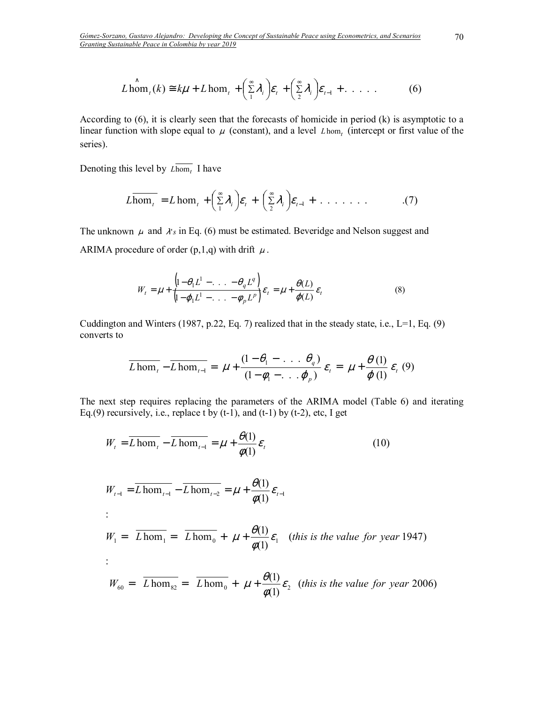$$
L \lim_{t \to \infty} (k) \cong k\mu + L \hom_t + \left(\sum_{i=1}^{\infty} \lambda_i\right) \varepsilon_t + \left(\sum_{i=1}^{\infty} \lambda_i\right) \varepsilon_{t-1} + \dots \tag{6}
$$

According to (6), it is clearly seen that the forecasts of homicide in period (k) is asymptotic to a linear function with slope equal to  $\mu$  (constant), and a level  $L$  *hom* (intercept or first value of the series).

Denoting this level by  $L \text{hom}_t$  I have

$$
L\overline{\text{hom}_{t}} = L\text{ hom}_{t} + \left(\sum_{1}^{\infty} \lambda_{i}\right) \varepsilon_{t} + \left(\sum_{2}^{\infty} \lambda_{i}\right) \varepsilon_{t-1} + \dots \quad \dots \quad . \tag{7}
$$

The unknown  $\mu$  and  $\lambda$ 's in Eq. (6) must be estimated. Beveridge and Nelson suggest and ARIMA procedure of order  $(p,1,q)$  with drift  $\mu$ .

$$
W_t = \mu + \frac{\left(1 - \theta_1 L^1 - \ldots - \theta_q L^q\right)}{\left(1 - \varphi_1 L^1 - \ldots - \varphi_p L^p\right)} \varepsilon_t = \mu + \frac{\theta(L)}{\varphi(L)} \varepsilon_t
$$
\n(8)

Cuddington and Winters (1987, p.22, Eq. 7) realized that in the steady state, i.e.,  $L=1$ , Eq. (9) converts to

$$
\overline{L \hom}_{t} - \overline{L \hom}_{t-1} = \mu + \frac{(1 - \theta_1 - \dots \theta_q)}{(1 - \phi_1 - \dots \phi_p)} \varepsilon_t = \mu + \frac{\theta(1)}{\varphi(1)} \varepsilon_t (9)
$$

The next step requires replacing the parameters of the ARIMA model (Table 6) and iterating Eq.(9) recursively, i.e., replace t by  $(t-1)$ , and  $(t-1)$  by  $(t-2)$ , etc, I get

$$
W_{t} = \overline{L \text{ hom}_{t}} - \overline{L \text{ hom}_{t-1}} = \mu + \frac{\theta(1)}{\phi(1)} \varepsilon_{t}
$$
(10)  

$$
W_{t-1} = \overline{L \text{ hom}_{t-1}} - \overline{L \text{ hom}_{t-2}} = \mu + \frac{\theta(1)}{\phi(1)} \varepsilon_{t-1}
$$
  

$$
W_{t} = \overline{L \text{ hom}_{t}} = \overline{L \text{ hom}_{t}} + \mu + \frac{\theta(1)}{\phi(1)} \varepsilon_{t}
$$
(this is the value for year 1947)  

$$
W_{60} = \overline{L \text{ hom}_{82}} = \overline{L \text{ hom}_{0}} + \mu + \frac{\theta(1)}{\phi(1)} \varepsilon_{2}
$$
(this is the value for year 2006)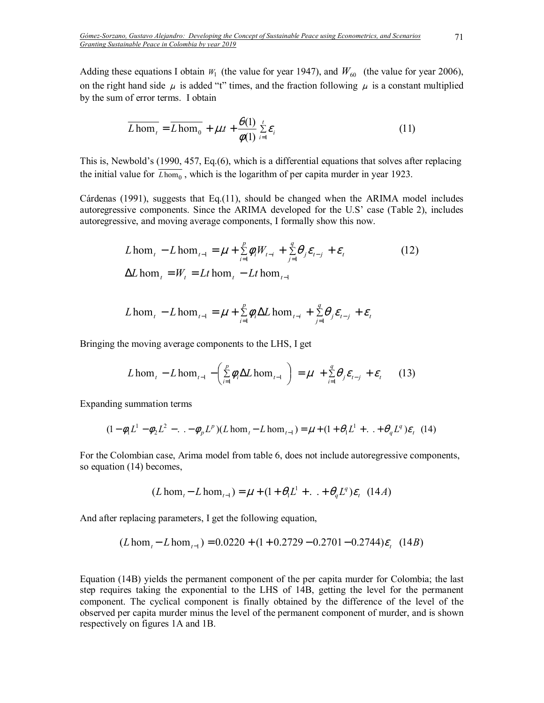Adding these equations I obtain  $W_1$  (the value for year 1947), and  $W_{60}$  (the value for year 2006), on the right hand side  $\mu$  is added "t" times, and the fraction following  $\mu$  is a constant multiplied by the sum of error terms. I obtain

$$
\overline{L \hom_t} = \overline{L \hom_0} + \mu \cdot t + \frac{\theta(1)}{\phi(1)} \sum_{i=1}^t \varepsilon_i
$$
 (11)

This is, Newbold's (1990, 457, Eq. $(6)$ , which is a differential equations that solves after replacing the initial value for  $\overline{L \text{hom}_{0}}$ , which is the logarithm of per capita murder in year 1923.

Cárdenas (1991), suggests that Eq.(11), should be changed when the ARIMA model includes autoregressive components. Since the ARIMA developed for the U.S' case (Table 2), includes autoregressive, and moving average components, I formally show this now.

$$
L \text{ hom}_{t} - L \text{ hom}_{t-1} = \mu + \sum_{i=1}^{p} \phi_{i} W_{t-i} + \sum_{j=1}^{q} \theta_{j} \varepsilon_{t-j} + \varepsilon_{t}
$$
\n
$$
\Delta L \text{ hom}_{t} = W_{t} = Lt \text{ hom}_{t} - Lt \text{ hom}_{t-1}
$$
\n(12)

$$
L \text{hom}_{t} - L \text{hom}_{t-1} = \mu + \sum_{i=1}^{p} \phi_{i} \Delta L \text{hom}_{t-i} + \sum_{j=1}^{q} \theta_{j} \varepsilon_{t-j} + \varepsilon_{t}
$$

Bringing the moving average components to the LHS, I get

$$
L \operatorname{hom}_{t} - L \operatorname{hom}_{t-1} - \left( \sum_{i=1}^{p} \phi_i \Delta L \operatorname{hom}_{t-1} \right) = \mu + \sum_{i=1}^{q} \theta_i \varepsilon_{t-j} + \varepsilon_t \tag{13}
$$

Expanding summation terms

$$
(1 - \phi_1 L^1 - \phi_2 L^2 - \ldots - \phi_p L^p)(L \hom_t - L \hom_{t-1}) = \mu + (1 + \theta_1 L^1 + \ldots + \theta_q L^q) \varepsilon_t \tag{14}
$$

For the Colombian case, Arima model from table 6, does not include autoregressive components, so equation (14) becomes,

$$
(L \text{hom}_{t} - L \text{hom}_{t-1}) = \mu + (1 + \theta_1 L^1 + ... + \theta_q L^q) \varepsilon_t
$$
 (14*A*)

And after replacing parameters, I get the following equation,

$$
(L \text{hom}_{t} - L \text{hom}_{t-1}) = 0.0220 + (1 + 0.2729 - 0.2701 - 0.2744)\varepsilon_{t} \quad (14B)
$$

Equation (14B) yields the permanent component of the per capita murder for Colombia; the last step requires taking the exponential to the LHS of 14B, getting the level for the permanent component. The cyclical component is finally obtained by the difference of the level of the observed per capita murder minus the level of the permanent component of murder, and is shown respectively on figures 1A and 1B.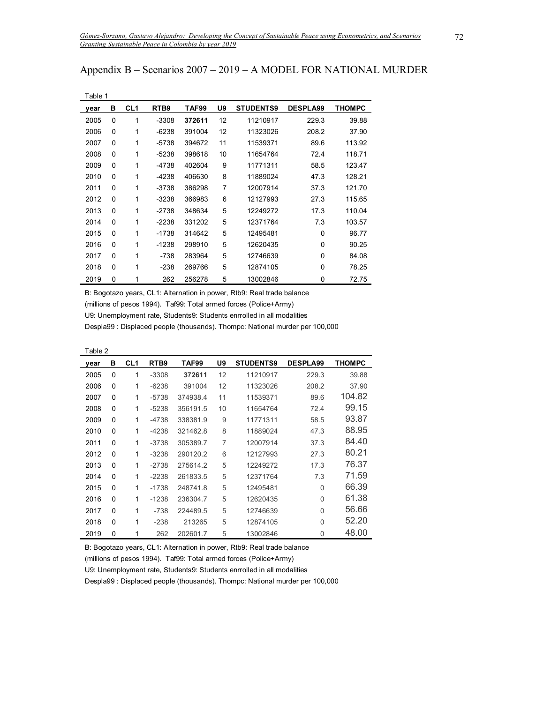## Appendix  $B -$  Scenarios 2007 – 2019 – A MODEL FOR NATIONAL MURDER

| Table 1 |   |                 |                  |        |    |                  |                 |        |
|---------|---|-----------------|------------------|--------|----|------------------|-----------------|--------|
| year    | в | CL <sub>1</sub> | RTB <sub>9</sub> | TAF99  | U9 | <b>STUDENTS9</b> | <b>DESPLA99</b> | THOMPC |
| 2005    | 0 | 1               | $-3308$          | 372611 | 12 | 11210917         | 229.3           | 39.88  |
| 2006    | 0 | 1               | -6238            | 391004 | 12 | 11323026         | 208.2           | 37.90  |
| 2007    | 0 | 1               | -5738            | 394672 | 11 | 11539371         | 89.6            | 113.92 |
| 2008    | 0 | 1               | -5238            | 398618 | 10 | 11654764         | 72.4            | 118.71 |
| 2009    | 0 | 1               | -4738            | 402604 | 9  | 11771311         | 58.5            | 123.47 |
| 2010    | 0 | 1               | $-4238$          | 406630 | 8  | 11889024         | 47.3            | 128.21 |
| 2011    | 0 | 1               | -3738            | 386298 | 7  | 12007914         | 37.3            | 121.70 |
| 2012    | 0 | 1               | $-3238$          | 366983 | 6  | 12127993         | 27.3            | 115.65 |
| 2013    | 0 | 1               | $-2738$          | 348634 | 5  | 12249272         | 17.3            | 110.04 |
| 2014    | 0 | 1               | -2238            | 331202 | 5  | 12371764         | 7.3             | 103.57 |
| 2015    | 0 | 1               | $-1738$          | 314642 | 5  | 12495481         | 0               | 96.77  |
| 2016    | 0 | 1               | -1238            | 298910 | 5  | 12620435         | $\Omega$        | 90.25  |
| 2017    | 0 | 1               | $-738$           | 283964 | 5  | 12746639         | $\Omega$        | 84.08  |
| 2018    | 0 | 1               | $-238$           | 269766 | 5  | 12874105         | 0               | 78.25  |
| 2019    | 0 | 1               | 262              | 256278 | 5  | 13002846         | 0               | 72.75  |

B: Bogotazo years, CL1: Alternation in power, Rtb9: Real trade balance (millions of pesos 1994). Taf99: Total armed forces (Police+Army) U9: Unemployment rate, Students9: Students enrrolled in all modalities Despla99 : Displaced people (thousands). Thompc: National murder per 100,000

Table 2

| year | в        | CL <sub>1</sub> | RTB <sub>9</sub> | TAF99    | U9 | <b>STUDENTS9</b> | <b>DESPLA99</b> | THOMPC |
|------|----------|-----------------|------------------|----------|----|------------------|-----------------|--------|
| 2005 | 0        | 1               | $-3308$          | 372611   | 12 | 11210917         | 229.3           | 39.88  |
| 2006 | $\Omega$ | 1               | $-6238$          | 391004   | 12 | 11323026         | 208.2           | 37.90  |
| 2007 | 0        | 1               | -5738            | 374938.4 | 11 | 11539371         | 89.6            | 104.82 |
| 2008 | 0        | 1               | $-5238$          | 356191.5 | 10 | 11654764         | 72.4            | 99.15  |
| 2009 | 0        | 1               | $-4738$          | 338381.9 | 9  | 11771311         | 58.5            | 93.87  |
| 2010 | 0        | 1               | $-4238$          | 321462.8 | 8  | 11889024         | 47.3            | 88.95  |
| 2011 | 0        | 1               | $-3738$          | 305389.7 | 7  | 12007914         | 37.3            | 84.40  |
| 2012 | 0        | 1               | $-3238$          | 290120.2 | 6  | 12127993         | 27.3            | 80.21  |
| 2013 | $\Omega$ | 1               | $-2738$          | 275614.2 | 5  | 12249272         | 17.3            | 76.37  |
| 2014 | 0        | 1               | $-2238$          | 261833.5 | 5  | 12371764         | 7.3             | 71.59  |
| 2015 | $\Omega$ | 1               | $-1738$          | 248741.8 | 5  | 12495481         | $\mathbf{0}$    | 66.39  |
| 2016 | $\Omega$ | 1               | $-1238$          | 236304.7 | 5  | 12620435         | 0               | 61.38  |
| 2017 | 0        | 1               | $-738$           | 224489.5 | 5  | 12746639         | 0               | 56.66  |
| 2018 | $\Omega$ | 1               | $-238$           | 213265   | 5  | 12874105         | 0               | 52.20  |
| 2019 | 0        | 1               | 262              | 202601.7 | 5  | 13002846         | 0               | 48.00  |

B: Bogotazo years, CL1: Alternation in power, Rtb9: Real trade balance

(millions of pesos 1994). Taf99: Total armed forces (Police+Army)

U9: Unemployment rate, Students9: Students enrrolled in all modalities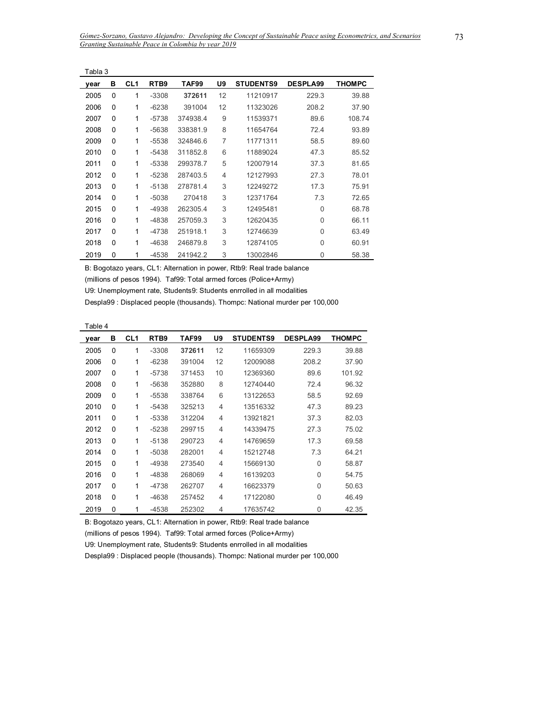|      | Tabla 3 |                 |                  |          |                |                  |                 |               |  |  |  |  |
|------|---------|-----------------|------------------|----------|----------------|------------------|-----------------|---------------|--|--|--|--|
| year | в       | CL <sub>1</sub> | RTB <sub>9</sub> | TAF99    | U9             | <b>STUDENTS9</b> | <b>DESPLA99</b> | <b>THOMPC</b> |  |  |  |  |
| 2005 | 0       | 1               | $-3308$          | 372611   | 12             | 11210917         | 229.3           | 39.88         |  |  |  |  |
| 2006 | 0       | 1               | $-6238$          | 391004   | 12             | 11323026         | 208.2           | 37.90         |  |  |  |  |
| 2007 | 0       | 1               | $-5738$          | 374938.4 | 9              | 11539371         | 89.6            | 108.74        |  |  |  |  |
| 2008 | 0       | 1               | $-5638$          | 338381.9 | 8              | 11654764         | 72.4            | 93.89         |  |  |  |  |
| 2009 | 0       | 1               | $-5538$          | 324846.6 | 7              | 11771311         | 58.5            | 89.60         |  |  |  |  |
| 2010 | 0       | 1               | $-5438$          | 311852.8 | 6              | 11889024         | 47.3            | 85.52         |  |  |  |  |
| 2011 | 0       | 1               | $-5338$          | 299378.7 | 5              | 12007914         | 37.3            | 81.65         |  |  |  |  |
| 2012 | 0       | 1               | $-5238$          | 287403.5 | $\overline{4}$ | 12127993         | 27.3            | 78.01         |  |  |  |  |
| 2013 | 0       | 1               | $-5138$          | 278781.4 | 3              | 12249272         | 17.3            | 75.91         |  |  |  |  |
| 2014 | 0       | 1               | $-5038$          | 270418   | 3              | 12371764         | 7.3             | 72.65         |  |  |  |  |
| 2015 | 0       | 1               | -4938            | 262305.4 | 3              | 12495481         | 0               | 68.78         |  |  |  |  |
| 2016 | 0       | 1               | -4838            | 257059.3 | 3              | 12620435         | 0               | 66.11         |  |  |  |  |
| 2017 | 0       | 1               | -4738            | 251918.1 | 3              | 12746639         | 0               | 63.49         |  |  |  |  |
| 2018 | 0       | 1               | $-4638$          | 246879.8 | 3              | 12874105         | 0               | 60.91         |  |  |  |  |
| 2019 | 0       | 1               | $-4538$          | 241942.2 | 3              | 13002846         | 0               | 58.38         |  |  |  |  |

(millions of pesos 1994). Taf99: Total armed forces (Police+Army)

U9: Unemployment rate, Students9: Students enrrolled in all modalities

Despla99 : Displaced people (thousands). Thompc: National murder per 100,000

|--|--|

| year | в | CL <sub>1</sub> | RTB <sub>9</sub> | TAF99  | U9             | <b>STUDENTS9</b> | <b>DESPLA99</b> | <b>THOMPC</b> |
|------|---|-----------------|------------------|--------|----------------|------------------|-----------------|---------------|
| 2005 | 0 | 1               | $-3308$          | 372611 | 12             | 11659309         | 229.3           | 39.88         |
| 2006 | 0 | 1               | $-6238$          | 391004 | 12             | 12009088         | 208.2           | 37.90         |
| 2007 | 0 | 1               | $-5738$          | 371453 | 10             | 12369360         | 89.6            | 101.92        |
| 2008 | 0 | 1               | $-5638$          | 352880 | 8              | 12740440         | 72.4            | 96.32         |
| 2009 | 0 | 1               | $-5538$          | 338764 | 6              | 13122653         | 58.5            | 92.69         |
| 2010 | 0 | 1               | $-5438$          | 325213 | 4              | 13516332         | 47.3            | 89.23         |
| 2011 | 0 | 1               | $-5338$          | 312204 | 4              | 13921821         | 37.3            | 82.03         |
| 2012 | 0 | 1               | $-5238$          | 299715 | $\overline{4}$ | 14339475         | 27.3            | 75.02         |
| 2013 | 0 | 1               | $-5138$          | 290723 | $\overline{4}$ | 14769659         | 17.3            | 69.58         |
| 2014 | 0 | 1               | $-5038$          | 282001 | 4              | 15212748         | 7.3             | 64.21         |
| 2015 | 0 | 1               | -4938            | 273540 | $\overline{4}$ | 15669130         | 0               | 58.87         |
| 2016 | 0 | 1               | -4838            | 268069 | 4              | 16139203         | 0               | 54.75         |
| 2017 | 0 | 1               | $-4738$          | 262707 | 4              | 16623379         | 0               | 50.63         |
| 2018 | 0 | 1               | $-4638$          | 257452 | 4              | 17122080         | 0               | 46.49         |
| 2019 | 0 | 1               | $-4538$          | 252302 | 4              | 17635742         | 0               | 42.35         |

B: Bogotazo years, CL1: Alternation in power, Rtb9: Real trade balance

(millions of pesos 1994). Taf99: Total armed forces (Police+Army)

U9: Unemployment rate, Students9: Students enrrolled in all modalities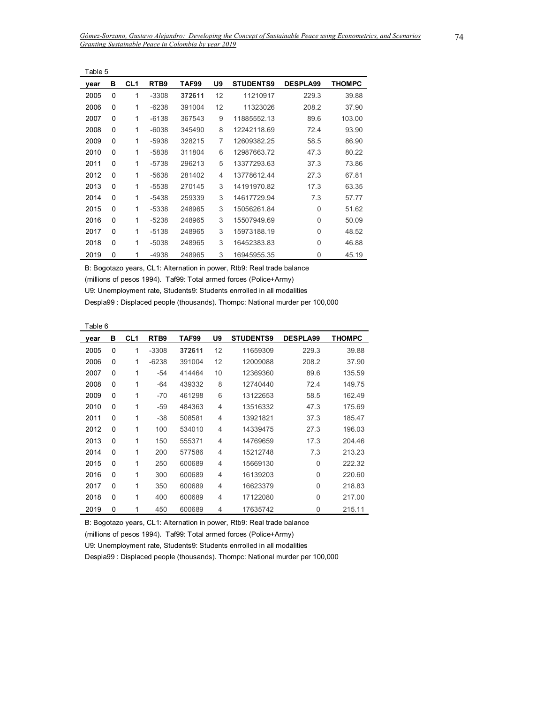| Table 5 |   |                 |                  |        |    |                  |                 |        |
|---------|---|-----------------|------------------|--------|----|------------------|-----------------|--------|
| year    | в | CL <sub>1</sub> | RTB <sub>9</sub> | TAF99  | U9 | <b>STUDENTS9</b> | <b>DESPLA99</b> | THOMPC |
| 2005    | 0 | 1               | $-3308$          | 372611 | 12 | 11210917         | 229.3           | 39.88  |
| 2006    | 0 | 1               | $-6238$          | 391004 | 12 | 11323026         | 208.2           | 37.90  |
| 2007    | 0 | 1               | $-6138$          | 367543 | 9  | 11885552.13      | 89.6            | 103.00 |
| 2008    | 0 | 1               | $-6038$          | 345490 | 8  | 12242118.69      | 72.4            | 93.90  |
| 2009    | 0 | 1               | $-5938$          | 328215 | 7  | 12609382.25      | 58.5            | 86.90  |
| 2010    | 0 | 1               | $-5838$          | 311804 | 6  | 12987663.72      | 47.3            | 80.22  |
| 2011    | 0 | 1               | $-5738$          | 296213 | 5  | 13377293.63      | 37.3            | 73.86  |
| 2012    | 0 | 1               | $-5638$          | 281402 | 4  | 13778612.44      | 27.3            | 67.81  |
| 2013    | 0 | 1               | $-5538$          | 270145 | 3  | 14191970.82      | 17.3            | 63.35  |
| 2014    | 0 | 1               | $-5438$          | 259339 | 3  | 14617729.94      | 7.3             | 57.77  |
| 2015    | 0 | 1               | $-5338$          | 248965 | 3  | 15056261.84      | 0               | 51.62  |
| 2016    | 0 | 1               | $-5238$          | 248965 | 3  | 15507949.69      | 0               | 50.09  |
| 2017    | 0 | 1               | $-5138$          | 248965 | 3  | 15973188.19      | 0               | 48.52  |
| 2018    | 0 | 1               | $-5038$          | 248965 | 3  | 16452383.83      | 0               | 46.88  |
| 2019    | 0 | 1               | $-4938$          | 248965 | 3  | 16945955.35      | 0               | 45.19  |

(millions of pesos 1994). Taf99: Total armed forces (Police+Army)

U9: Unemployment rate, Students9: Students enrrolled in all modalities

Despla99 : Displaced people (thousands). Thompc: National murder per 100,000

| abie |  |
|------|--|
|------|--|

| vear | в | CL <sub>1</sub> | RTB <sub>9</sub> | TAF99  | U9 | <b>STUDENTS9</b> | <b>DESPLA99</b> | <b>THOMPC</b> |
|------|---|-----------------|------------------|--------|----|------------------|-----------------|---------------|
| 2005 | 0 | 1               | $-3308$          | 372611 | 12 | 11659309         | 229.3           | 39.88         |
| 2006 | 0 | 1               | $-6238$          | 391004 | 12 | 12009088         | 208.2           | 37.90         |
| 2007 | 0 | 1               | $-54$            | 414464 | 10 | 12369360         | 89.6            | 135.59        |
| 2008 | 0 | 1               | -64              | 439332 | 8  | 12740440         | 72.4            | 149.75        |
| 2009 | 0 | 1               | $-70$            | 461298 | 6  | 13122653         | 58.5            | 162.49        |
| 2010 | 0 | 1               | -59              | 484363 | 4  | 13516332         | 47.3            | 175.69        |
| 2011 | 0 | 1               | $-38$            | 508581 | 4  | 13921821         | 37.3            | 185.47        |
| 2012 | 0 | 1               | 100              | 534010 | 4  | 14339475         | 27.3            | 196.03        |
| 2013 | 0 | 1               | 150              | 555371 | 4  | 14769659         | 17.3            | 204.46        |
| 2014 | 0 | 1               | 200              | 577586 | 4  | 15212748         | 7.3             | 213.23        |
| 2015 | 0 | 1               | 250              | 600689 | 4  | 15669130         | $\Omega$        | 222.32        |
| 2016 | 0 | 1               | 300              | 600689 | 4  | 16139203         | $\mathbf{0}$    | 220.60        |
| 2017 | 0 | 1               | 350              | 600689 | 4  | 16623379         | $\Omega$        | 218.83        |
| 2018 | 0 | 1               | 400              | 600689 | 4  | 17122080         | 0               | 217.00        |
| 2019 | 0 | 1               | 450              | 600689 | 4  | 17635742         | 0               | 215.11        |

B: Bogotazo years, CL1: Alternation in power, Rtb9: Real trade balance

(millions of pesos 1994). Taf99: Total armed forces (Police+Army)

U9: Unemployment rate, Students9: Students enrrolled in all modalities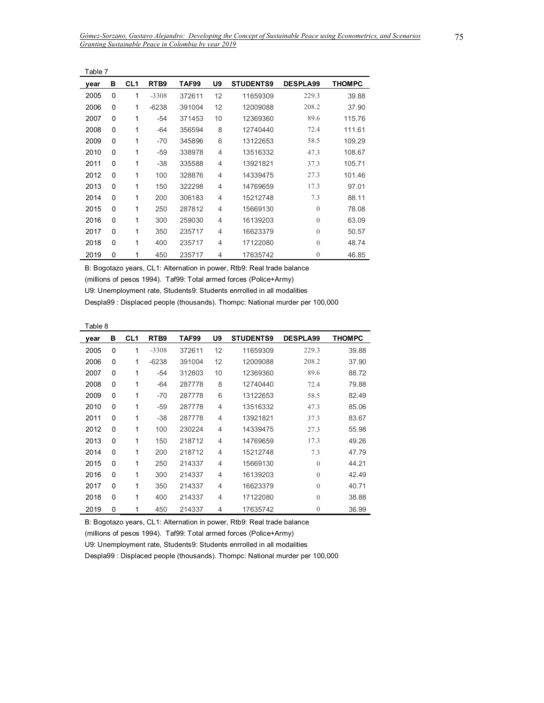|      | Table 7 |                 |                  |        |                |                  |                 |        |  |  |  |
|------|---------|-----------------|------------------|--------|----------------|------------------|-----------------|--------|--|--|--|
| year | в       | CL <sub>1</sub> | RTB <sub>9</sub> | TAF99  | U9             | <b>STUDENTS9</b> | <b>DESPLA99</b> | THOMPC |  |  |  |
| 2005 | 0       | 1               | $-3308$          | 372611 | 12             | 11659309         | 229.3           | 39.88  |  |  |  |
| 2006 | 0       | 1               | $-6238$          | 391004 | 12             | 12009088         | 208.2           | 37.90  |  |  |  |
| 2007 | 0       | 1               | -54              | 371453 | 10             | 12369360         | 89.6            | 115.76 |  |  |  |
| 2008 | 0       | 1               | -64              | 356594 | 8              | 12740440         | 72.4            | 111.61 |  |  |  |
| 2009 | 0       | 1               | $-70$            | 345896 | 6              | 13122653         | 58.5            | 109.29 |  |  |  |
| 2010 | 0       | 1               | -59              | 338978 | $\overline{4}$ | 13516332         | 47.3            | 108.67 |  |  |  |
| 2011 | 0       | 1               | -38              | 335588 | $\overline{4}$ | 13921821         | 37.3            | 105.71 |  |  |  |
| 2012 | 0       | 1               | 100              | 328876 | 4              | 14339475         | 27.3            | 101.46 |  |  |  |
| 2013 | 0       | 1               | 150              | 322298 | $\overline{4}$ | 14769659         | 17.3            | 97.01  |  |  |  |
| 2014 | 0       | 1               | 200              | 306183 | $\overline{4}$ | 15212748         | 7.3             | 88.11  |  |  |  |
| 2015 | 0       | 1               | 250              | 287812 | $\overline{4}$ | 15669130         | $\mathbf{0}$    | 78.08  |  |  |  |
| 2016 | 0       | 1               | 300              | 259030 | 4              | 16139203         | $\theta$        | 63.09  |  |  |  |
| 2017 | 0       | 1               | 350              | 235717 | $\overline{4}$ | 16623379         | $\theta$        | 50.57  |  |  |  |
| 2018 | 0       | 1               | 400              | 235717 | 4              | 17122080         | $\theta$        | 48.74  |  |  |  |
| 2019 | 0       | 1               | 450              | 235717 | 4              | 17635742         | $\overline{0}$  | 46.85  |  |  |  |

(millions of pesos 1994). Taf99: Total armed forces (Police+Army)

U9: Unemployment rate, Students9: Students enrrolled in all modalities

Despla99 : Displaced people (thousands). Thompc: National murder per 100,000

Table 8

Ĭ.

| year | в | CL <sub>1</sub> | RTB <sub>9</sub> | TAF99  | U9 | <b>STUDENTS9</b> | <b>DESPLA99</b> | <b>THOMPC</b> |
|------|---|-----------------|------------------|--------|----|------------------|-----------------|---------------|
| 2005 | 0 | 1               | $-3308$          | 372611 | 12 | 11659309         | 229.3           | 39.88         |
| 2006 | 0 | 1               | $-6238$          | 391004 | 12 | 12009088         | 208.2           | 37.90         |
| 2007 | 0 | 1               | -54              | 312803 | 10 | 12369360         | 89.6            | 88.72         |
| 2008 | 0 | 1               | -64              | 287778 | 8  | 12740440         | 72.4            | 79.88         |
| 2009 | 0 | 1               | $-70$            | 287778 | 6  | 13122653         | 58.5            | 82.49         |
| 2010 | 0 | 1               | $-59$            | 287778 | 4  | 13516332         | 47.3            | 85.06         |
| 2011 | 0 | 1               | -38              | 287778 | 4  | 13921821         | 37.3            | 83.67         |
| 2012 | 0 | 1               | 100              | 230224 | 4  | 14339475         | 27.3            | 55.98         |
| 2013 | 0 | 1               | 150              | 218712 | 4  | 14769659         | 17.3            | 49.26         |
| 2014 | 0 | 1               | 200              | 218712 | 4  | 15212748         | 7.3             | 47.79         |
| 2015 | 0 | 1               | 250              | 214337 | 4  | 15669130         | $\Omega$        | 44.21         |
| 2016 | 0 | 1               | 300              | 214337 | 4  | 16139203         | $\Omega$        | 42.49         |
| 2017 | 0 | 1               | 350              | 214337 | 4  | 16623379         | $\Omega$        | 40.71         |
| 2018 | 0 | 1               | 400              | 214337 | 4  | 17122080         | $\Omega$        | 38.88         |
| 2019 | 0 | 1               | 450              | 214337 | 4  | 17635742         | $\theta$        | 36.99         |

B: Bogotazo years, CL1: Alternation in power, Rtb9: Real trade balance

(millions of pesos 1994). Taf99: Total armed forces (Police+Army)

U9: Unemployment rate, Students9: Students enrrolled in all modalities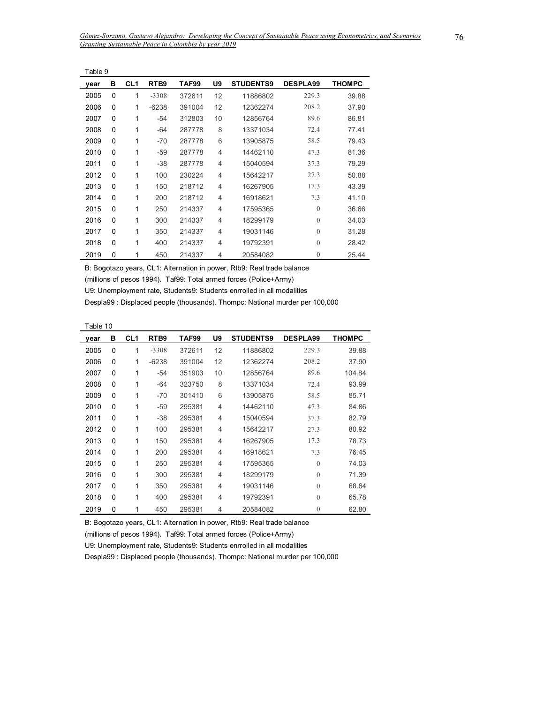| Table 9 |          |                 |                  |        |                |                  |                 |               |
|---------|----------|-----------------|------------------|--------|----------------|------------------|-----------------|---------------|
| year    | в        | CL <sub>1</sub> | RTB <sub>9</sub> | TAF99  | U9             | <b>STUDENTS9</b> | <b>DESPLA99</b> | <b>THOMPC</b> |
| 2005    | 0        | 1               | $-3308$          | 372611 | 12             | 11886802         | 229.3           | 39.88         |
| 2006    | $\Omega$ | 1               | $-6238$          | 391004 | 12             | 12362274         | 208.2           | 37.90         |
| 2007    | 0        | 1               | $-54$            | 312803 | 10             | 12856764         | 89.6            | 86.81         |
| 2008    | 0        | 1               | -64              | 287778 | 8              | 13371034         | 72.4            | 77.41         |
| 2009    | 0        | 1               | $-70$            | 287778 | 6              | 13905875         | 58.5            | 79.43         |
| 2010    | 0        | 1               | -59              | 287778 | $\overline{4}$ | 14462110         | 47.3            | 81.36         |
| 2011    | 0        | 1               | $-38$            | 287778 | 4              | 15040594         | 37.3            | 79.29         |
| 2012    | 0        | 1               | 100              | 230224 | 4              | 15642217         | 27.3            | 50.88         |
| 2013    | $\Omega$ | 1               | 150              | 218712 | $\overline{4}$ | 16267905         | 17.3            | 43.39         |
| 2014    | $\Omega$ | 1               | 200              | 218712 | $\overline{4}$ | 16918621         | 7.3             | 41.10         |
| 2015    | 0        | 1               | 250              | 214337 | $\overline{4}$ | 17595365         | $\mathbf{0}$    | 36.66         |
| 2016    | 0        | 1               | 300              | 214337 | $\overline{4}$ | 18299179         | $\overline{0}$  | 34.03         |
| 2017    | 0        | 1               | 350              | 214337 | $\overline{4}$ | 19031146         | $\overline{0}$  | 31.28         |
| 2018    | 0        | 1               | 400              | 214337 | 4              | 19792391         | $\theta$        | 28.42         |
| 2019    | 0        | 1               | 450              | 214337 | 4              | 20584082         | $\mathbf{0}$    | 25.44         |

(millions of pesos 1994). Taf99: Total armed forces (Police+Army)

U9: Unemployment rate, Students9: Students enrrolled in all modalities

Despla99 : Displaced people (thousands). Thompc: National murder per 100,000

Table 10

| year | в | CL <sub>1</sub> | RTB <sub>9</sub> | TAF99  | U9 | <b>STUDENTS9</b> | <b>DESPLA99</b> | <b>THOMPC</b> |
|------|---|-----------------|------------------|--------|----|------------------|-----------------|---------------|
| 2005 | 0 | 1               | $-3308$          | 372611 | 12 | 11886802         | 229.3           | 39.88         |
| 2006 | 0 | 1               | $-6238$          | 391004 | 12 | 12362274         | 208.2           | 37.90         |
| 2007 | 0 | 1               | -54              | 351903 | 10 | 12856764         | 89.6            | 104.84        |
| 2008 | 0 | 1               | $-64$            | 323750 | 8  | 13371034         | 72.4            | 93.99         |
| 2009 | 0 | 1               | $-70$            | 301410 | 6  | 13905875         | 58.5            | 85.71         |
| 2010 | 0 | 1               | -59              | 295381 | 4  | 14462110         | 47.3            | 84.86         |
| 2011 | 0 | 1               | -38              | 295381 | 4  | 15040594         | 37.3            | 82.79         |
| 2012 | 0 | 1               | 100              | 295381 | 4  | 15642217         | 27.3            | 80.92         |
| 2013 | 0 | 1               | 150              | 295381 | 4  | 16267905         | 17.3            | 78.73         |
| 2014 | 0 | 1               | 200              | 295381 | 4  | 16918621         | 7.3             | 76.45         |
| 2015 | 0 | 1               | 250              | 295381 | 4  | 17595365         | $\Omega$        | 74.03         |
| 2016 | 0 | 1               | 300              | 295381 | 4  | 18299179         | $\Omega$        | 71.39         |
| 2017 | 0 | 1               | 350              | 295381 | 4  | 19031146         | $\Omega$        | 68.64         |
| 2018 | 0 | 1               | 400              | 295381 | 4  | 19792391         | $\Omega$        | 65.78         |
| 2019 | 0 | 1               | 450              | 295381 | 4  | 20584082         | $\theta$        | 62.80         |

B: Bogotazo years, CL1: Alternation in power, Rtb9: Real trade balance

(millions of pesos 1994). Taf99: Total armed forces (Police+Army)

U9: Unemployment rate, Students9: Students enrrolled in all modalities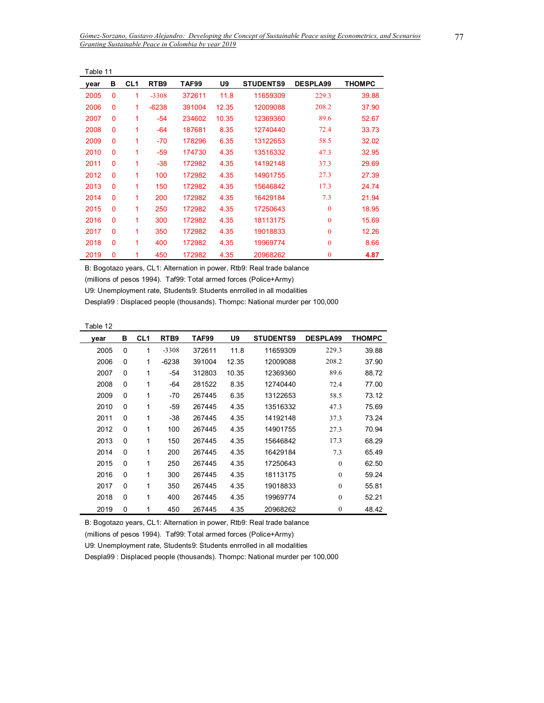| Table 11 |              |                 |                  |        |       |                  |                 |               |  |
|----------|--------------|-----------------|------------------|--------|-------|------------------|-----------------|---------------|--|
| year     | в            | CL <sub>1</sub> | RTB <sub>9</sub> | TAF99  | U9    | <b>STUDENTS9</b> | <b>DESPLA99</b> | <b>THOMPC</b> |  |
| 2005     | $\mathbf{0}$ | 1               | $-3308$          | 372611 | 11.8  | 11659309         | 229.3           | 39.88         |  |
| 2006     | 0            | 1               | $-6238$          | 391004 | 12.35 | 12009088         | 208.2           | 37.90         |  |
| 2007     | $\Omega$     | 1               | $-54$            | 234602 | 10.35 | 12369360         | 89.6            | 52.67         |  |
| 2008     | 0            | 1               | -64              | 187681 | 8.35  | 12740440         | 72.4            | 33.73         |  |
| 2009     | $\mathbf{0}$ | 1               | -70              | 178296 | 6.35  | 13122653         | 58.5            | 32.02         |  |
| 2010     | $\mathbf{0}$ | 1               | $-59$            | 174730 | 4.35  | 13516332         | 47.3            | 32.95         |  |
| 2011     | 0            | 1               | -38              | 172982 | 4.35  | 14192148         | 37.3            | 29.69         |  |
| 2012     | $\Omega$     | 1               | 100              | 172982 | 4.35  | 14901755         | 27.3            | 27.39         |  |
| 2013     | $\Omega$     | 1               | 150              | 172982 | 4.35  | 15646842         | 17.3            | 24.74         |  |
| 2014     | 0            | 1               | 200              | 172982 | 4.35  | 16429184         | 7.3             | 21.94         |  |
| 2015     | $\mathbf{0}$ | 1               | 250              | 172982 | 4.35  | 17250643         | $\theta$        | 18.95         |  |
| 2016     | 0            | 1               | 300              | 172982 | 4.35  | 18113175         | $\mathbf{0}$    | 15.69         |  |
| 2017     | $\Omega$     | 1               | 350              | 172982 | 4.35  | 19018833         | $\theta$        | 12.26         |  |
| 2018     | 0            | 1               | 400              | 172982 | 4.35  | 19969774         | $\theta$        | 8.66          |  |
| 2019     | 0            | 1               | 450              | 172982 | 4.35  | 20968262         | $\mathbf{0}$    | 4.87          |  |

(millions of pesos 1994). Taf99: Total armed forces (Police+Army)

U9: Unemployment rate, Students9: Students enrrolled in all modalities

Despla99 : Displaced people (thousands). Thompc: National murder per 100,000

| abie |  |
|------|--|
|------|--|

÷,

| vear | в        | CL <sub>1</sub> | RTB <sub>9</sub> | TAF99  | U9    | <b>STUDENTS9</b> | <b>DESPLA99</b> | <b>THOMPC</b> |
|------|----------|-----------------|------------------|--------|-------|------------------|-----------------|---------------|
| 2005 | 0        | 1               | $-3308$          | 372611 | 11.8  | 11659309         | 229.3           | 39.88         |
| 2006 | 0        | 1               | $-6238$          | 391004 | 12.35 | 12009088         | 208.2           | 37.90         |
| 2007 | $\Omega$ | 1               | $-54$            | 312803 | 10.35 | 12369360         | 89.6            | 88.72         |
| 2008 | $\Omega$ | 1               | -64              | 281522 | 8.35  | 12740440         | 72.4            | 77.00         |
| 2009 | 0        | 1               | $-70$            | 267445 | 6.35  | 13122653         | 58.5            | 73.12         |
| 2010 | $\Omega$ | 1               | -59              | 267445 | 4.35  | 13516332         | 47.3            | 75.69         |
| 2011 | $\Omega$ | 1               | $-38$            | 267445 | 4.35  | 14192148         | 37.3            | 73.24         |
| 2012 | $\Omega$ | 1               | 100              | 267445 | 4.35  | 14901755         | 27.3            | 70.94         |
| 2013 | $\Omega$ | 1               | 150              | 267445 | 4.35  | 15646842         | 17.3            | 68.29         |
| 2014 | $\Omega$ | 1               | 200              | 267445 | 4.35  | 16429184         | 7.3             | 65.49         |
| 2015 | 0        | 1               | 250              | 267445 | 4.35  | 17250643         | $\Omega$        | 62.50         |
| 2016 | $\Omega$ | 1               | 300              | 267445 | 4.35  | 18113175         | $\Omega$        | 59.24         |
| 2017 | $\Omega$ | 1               | 350              | 267445 | 4.35  | 19018833         | $\Omega$        | 55.81         |
| 2018 | $\Omega$ | 1               | 400              | 267445 | 4.35  | 19969774         | $\Omega$        | 52.21         |
| 2019 | 0        | 1               | 450              | 267445 | 4.35  | 20968262         | $\theta$        | 48.42         |

B: Bogotazo years, CL1: Alternation in power, Rtb9: Real trade balance

(millions of pesos 1994). Taf99: Total armed forces (Police+Army)

U9: Unemployment rate, Students9: Students enrrolled in all modalities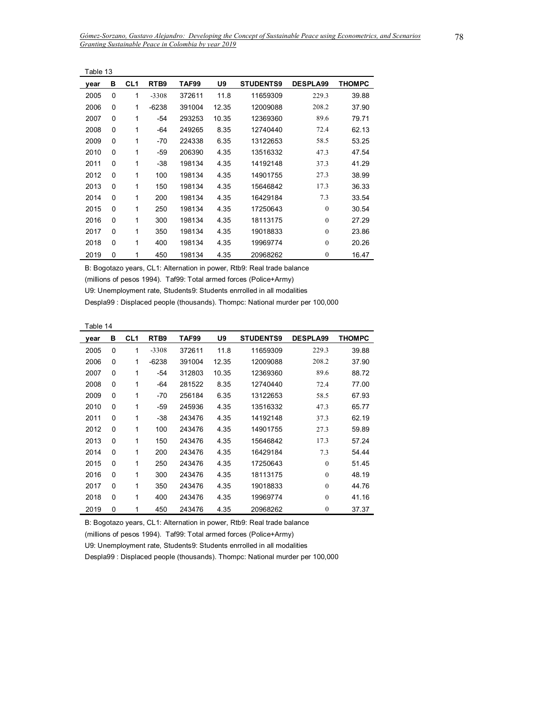| Table 13 |          |                 |         |        |       |                  |                 |               |
|----------|----------|-----------------|---------|--------|-------|------------------|-----------------|---------------|
| year     | в        | CL <sub>1</sub> | RTB9    | TAF99  | U9    | <b>STUDENTS9</b> | <b>DESPLA99</b> | <b>THOMPC</b> |
| 2005     | $\Omega$ | 1               | $-3308$ | 372611 | 11.8  | 11659309         | 229.3           | 39.88         |
| 2006     | 0        | 1               | $-6238$ | 391004 | 12.35 | 12009088         | 208.2           | 37.90         |
| 2007     | $\Omega$ | 1               | -54     | 293253 | 10.35 | 12369360         | 89.6            | 79.71         |
| 2008     | $\Omega$ | 1               | -64     | 249265 | 8.35  | 12740440         | 72.4            | 62.13         |
| 2009     | $\Omega$ | 1               | $-70$   | 224338 | 6.35  | 13122653         | 58.5            | 53.25         |
| 2010     | $\Omega$ | 1               | -59     | 206390 | 4.35  | 13516332         | 47.3            | 47.54         |
| 2011     | 0        | 1               | -38     | 198134 | 4.35  | 14192148         | 37.3            | 41.29         |
| 2012     | $\Omega$ | 1               | 100     | 198134 | 4.35  | 14901755         | 27.3            | 38.99         |
| 2013     | $\Omega$ | 1               | 150     | 198134 | 4.35  | 15646842         | 17.3            | 36.33         |
| 2014     | $\Omega$ | 1               | 200     | 198134 | 4.35  | 16429184         | 7.3             | 33.54         |
| 2015     | $\Omega$ | 1               | 250     | 198134 | 4.35  | 17250643         | $\mathbf{0}$    | 30.54         |
| 2016     | 0        | 1               | 300     | 198134 | 4.35  | 18113175         | $\Omega$        | 27.29         |
| 2017     | $\Omega$ | 1               | 350     | 198134 | 4.35  | 19018833         | $\mathbf{0}$    | 23.86         |
| 2018     | $\Omega$ | 1               | 400     | 198134 | 4.35  | 19969774         | $\theta$        | 20.26         |
| 2019     | 0        | 1               | 450     | 198134 | 4.35  | 20968262         | $\mathbf{0}$    | 16.47         |

(millions of pesos 1994). Taf99: Total armed forces (Police+Army)

U9: Unemployment rate, Students9: Students enrrolled in all modalities

Despla99 : Displaced people (thousands). Thompc: National murder per 100,000

|--|--|

| vear | в        | CL <sub>1</sub> | RTB <sub>9</sub> | TAF99  | U9    | <b>STUDENTS9</b> | <b>DESPLA99</b> | THOMPC |
|------|----------|-----------------|------------------|--------|-------|------------------|-----------------|--------|
| 2005 | 0        | 1               | $-3308$          | 372611 | 11.8  | 11659309         | 229.3           | 39.88  |
| 2006 | 0        | 1               | $-6238$          | 391004 | 12.35 | 12009088         | 208.2           | 37.90  |
| 2007 | 0        | 1               | -54              | 312803 | 10.35 | 12369360         | 89.6            | 88.72  |
| 2008 | 0        | 1               | $-64$            | 281522 | 8.35  | 12740440         | 72.4            | 77.00  |
| 2009 | 0        | 1               | -70              | 256184 | 6.35  | 13122653         | 58.5            | 67.93  |
| 2010 | 0        | 1               | -59              | 245936 | 4.35  | 13516332         | 47.3            | 65.77  |
| 2011 | 0        | 1               | $-38$            | 243476 | 4.35  | 14192148         | 37.3            | 62.19  |
| 2012 | $\Omega$ | 1               | 100              | 243476 | 4.35  | 14901755         | 27.3            | 59.89  |
| 2013 | 0        | 1               | 150              | 243476 | 4.35  | 15646842         | 17.3            | 57.24  |
| 2014 | 0        | 1               | 200              | 243476 | 4.35  | 16429184         | 7.3             | 54.44  |
| 2015 | 0        | 1               | 250              | 243476 | 4.35  | 17250643         | $\theta$        | 51.45  |
| 2016 | 0        | 1               | 300              | 243476 | 4.35  | 18113175         | $\theta$        | 48.19  |
| 2017 | 0        | 1               | 350              | 243476 | 4.35  | 19018833         | $\theta$        | 44.76  |
| 2018 | 0        | 1               | 400              | 243476 | 4.35  | 19969774         | $\theta$        | 41.16  |
| 2019 | 0        | 1               | 450              | 243476 | 4.35  | 20968262         | $\mathbf{0}$    | 37.37  |

B: Bogotazo years, CL1: Alternation in power, Rtb9: Real trade balance

(millions of pesos 1994). Taf99: Total armed forces (Police+Army)

U9: Unemployment rate, Students9: Students enrrolled in all modalities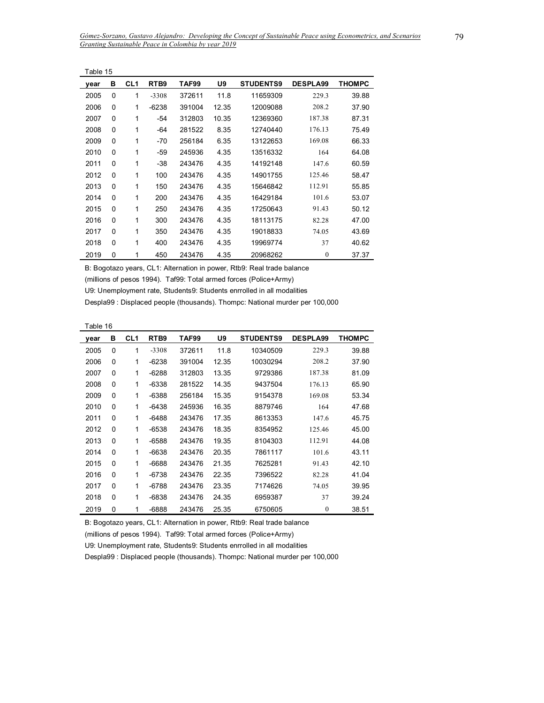| Table 15 |          |                 |         |        |       |                  |                 |               |
|----------|----------|-----------------|---------|--------|-------|------------------|-----------------|---------------|
| year     | в        | CL <sub>1</sub> | RTB9    | TAF99  | U9    | <b>STUDENTS9</b> | <b>DESPLA99</b> | <b>THOMPC</b> |
| 2005     | 0        | 1               | $-3308$ | 372611 | 11.8  | 11659309         | 229.3           | 39.88         |
| 2006     | $\Omega$ | 1               | $-6238$ | 391004 | 12.35 | 12009088         | 208.2           | 37.90         |
| 2007     | 0        | 1               | -54     | 312803 | 10.35 | 12369360         | 187.38          | 87.31         |
| 2008     | $\Omega$ | 1               | -64     | 281522 | 8.35  | 12740440         | 176.13          | 75.49         |
| 2009     | 0        | 1               | -70     | 256184 | 6.35  | 13122653         | 169.08          | 66.33         |
| 2010     | $\Omega$ | 1               | -59     | 245936 | 4.35  | 13516332         | 164             | 64.08         |
| 2011     | 0        | 1               | -38     | 243476 | 4.35  | 14192148         | 147.6           | 60.59         |
| 2012     | $\Omega$ | 1               | 100     | 243476 | 4.35  | 14901755         | 125.46          | 58.47         |
| 2013     | 0        | 1               | 150     | 243476 | 4.35  | 15646842         | 112.91          | 55.85         |
| 2014     | $\Omega$ | 1               | 200     | 243476 | 4.35  | 16429184         | 101.6           | 53.07         |
| 2015     | 0        | 1               | 250     | 243476 | 4.35  | 17250643         | 91.43           | 50.12         |
| 2016     | 0        | 1               | 300     | 243476 | 4.35  | 18113175         | 82.28           | 47.00         |
| 2017     | 0        | 1               | 350     | 243476 | 4.35  | 19018833         | 74.05           | 43.69         |
| 2018     | $\Omega$ | 1               | 400     | 243476 | 4.35  | 19969774         | 37              | 40.62         |
| 2019     | 0        | 1               | 450     | 243476 | 4.35  | 20968262         | $\mathbf{0}$    | 37.37         |

(millions of pesos 1994). Taf99: Total armed forces (Police+Army)

U9: Unemployment rate, Students9: Students enrrolled in all modalities

Despla99 : Displaced people (thousands). Thompc: National murder per 100,000

Table 16

| year | в | CL <sub>1</sub> | RTB9    | TAF99  | U9    | <b>STUDENTS9</b> | <b>DESPLA99</b> | <b>THOMPC</b> |
|------|---|-----------------|---------|--------|-------|------------------|-----------------|---------------|
| 2005 | 0 | 1               | $-3308$ | 372611 | 11.8  | 10340509         | 229.3           | 39.88         |
| 2006 | 0 | 1               | $-6238$ | 391004 | 12.35 | 10030294         | 208.2           | 37.90         |
| 2007 | 0 | 1               | $-6288$ | 312803 | 13.35 | 9729386          | 187.38          | 81.09         |
| 2008 | 0 | 1               | $-6338$ | 281522 | 14.35 | 9437504          | 176.13          | 65.90         |
| 2009 | 0 | 1               | $-6388$ | 256184 | 15.35 | 9154378          | 169.08          | 53.34         |
| 2010 | 0 | 1               | $-6438$ | 245936 | 16.35 | 8879746          | 164             | 47.68         |
| 2011 | 0 | 1               | $-6488$ | 243476 | 17.35 | 8613353          | 147.6           | 45.75         |
| 2012 | 0 | 1               | $-6538$ | 243476 | 18.35 | 8354952          | 125.46          | 45.00         |
| 2013 | 0 | 1               | -6588   | 243476 | 19.35 | 8104303          | 112.91          | 44.08         |
| 2014 | 0 | 1               | $-6638$ | 243476 | 20.35 | 7861117          | 101.6           | 43.11         |
| 2015 | 0 | 1               | -6688   | 243476 | 21.35 | 7625281          | 91.43           | 42.10         |
| 2016 | 0 | 1               | $-6738$ | 243476 | 22.35 | 7396522          | 82.28           | 41.04         |
| 2017 | 0 | 1               | -6788   | 243476 | 23.35 | 7174626          | 74.05           | 39.95         |
| 2018 | 0 | 1               | -6838   | 243476 | 24.35 | 6959387          | 37              | 39.24         |
| 2019 | 0 | 1               | $-6888$ | 243476 | 25.35 | 6750605          | $\mathbf{0}$    | 38.51         |

B: Bogotazo years, CL1: Alternation in power, Rtb9: Real trade balance

(millions of pesos 1994). Taf99: Total armed forces (Police+Army)

U9: Unemployment rate, Students9: Students enrrolled in all modalities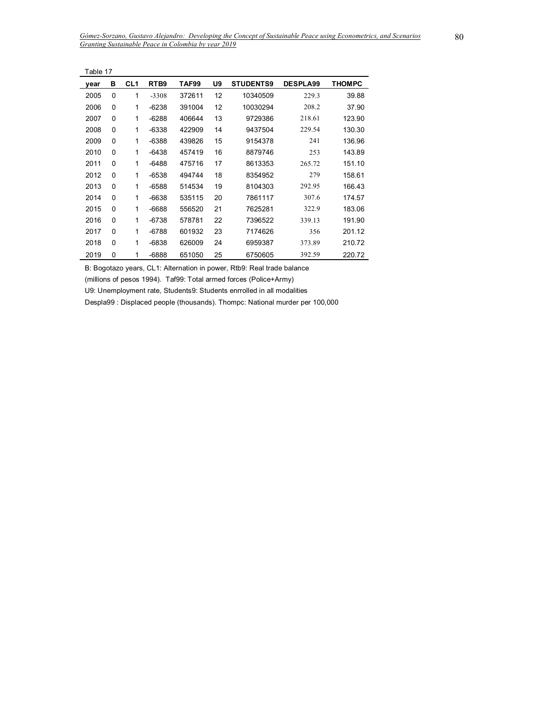| Table 17 |          |                 |                  |        |    |                  |                 |               |
|----------|----------|-----------------|------------------|--------|----|------------------|-----------------|---------------|
| year     | в        | CL <sub>1</sub> | RTB <sub>9</sub> | TAF99  | U9 | <b>STUDENTS9</b> | <b>DESPLA99</b> | <b>THOMPC</b> |
| 2005     | 0        | 1               | $-3308$          | 372611 | 12 | 10340509         | 229.3           | 39.88         |
| 2006     | $\Omega$ | 1               | $-6238$          | 391004 | 12 | 10030294         | 208.2           | 37.90         |
| 2007     | 0        | 1               | -6288            | 406644 | 13 | 9729386          | 218.61          | 123.90        |
| 2008     | 0        | 1               | $-6338$          | 422909 | 14 | 9437504          | 229.54          | 130.30        |
| 2009     | 0        | 1               | -6388            | 439826 | 15 | 9154378          | 241             | 136.96        |
| 2010     | 0        | 1               | $-6438$          | 457419 | 16 | 8879746          | 253             | 143.89        |
| 2011     | 0        | 1               | $-6488$          | 475716 | 17 | 8613353          | 265.72          | 151.10        |
| 2012     | 0        | 1               | -6538            | 494744 | 18 | 8354952          | 279             | 158.61        |
| 2013     | $\Omega$ | 1               | $-6588$          | 514534 | 19 | 8104303          | 292.95          | 166.43        |
| 2014     | 0        | 1               | -6638            | 535115 | 20 | 7861117          | 307.6           | 174.57        |
| 2015     | 0        | 1               | $-6688$          | 556520 | 21 | 7625281          | 322.9           | 183.06        |
| 2016     | 0        | 1               | -6738            | 578781 | 22 | 7396522          | 339.13          | 191.90        |
| 2017     | 0        | 1               | $-6788$          | 601932 | 23 | 7174626          | 356             | 201.12        |
| 2018     | 0        | 1               | $-6838$          | 626009 | 24 | 6959387          | 373.89          | 210.72        |
| 2019     | 0        | 1               | $-6888$          | 651050 | 25 | 6750605          | 392.59          | 220.72        |

(millions of pesos 1994). Taf99: Total armed forces (Police+Army)

U9: Unemployment rate, Students9: Students enrrolled in all modalities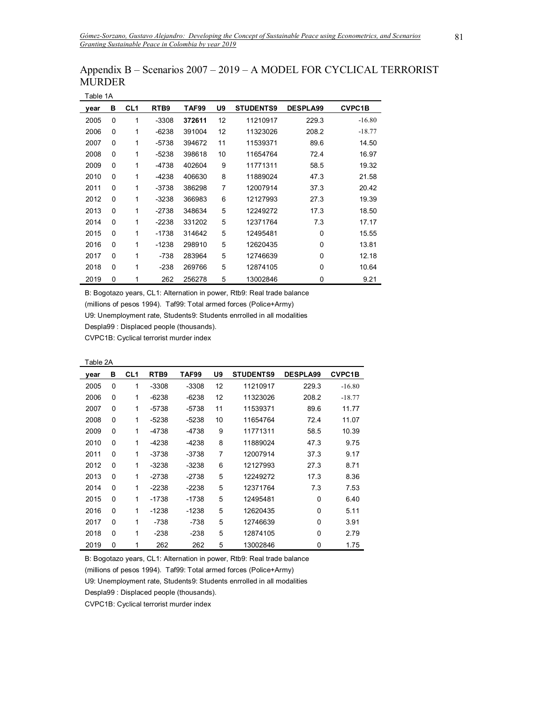| Table 1A |   |                 |         |        |    |                  |                 |               |  |  |
|----------|---|-----------------|---------|--------|----|------------------|-----------------|---------------|--|--|
| vear     | в | CL <sub>1</sub> | RTB9    | TAF99  | U9 | <b>STUDENTS9</b> | <b>DESPLA99</b> | <b>CVPC1B</b> |  |  |
| 2005     | 0 | 1               | $-3308$ | 372611 | 12 | 11210917         | 229.3           | $-16.80$      |  |  |
| 2006     | 0 | 1               | $-6238$ | 391004 | 12 | 11323026         | 208.2           | $-18.77$      |  |  |
| 2007     | 0 | 1               | $-5738$ | 394672 | 11 | 11539371         | 89.6            | 14.50         |  |  |
| 2008     | 0 | 1               | $-5238$ | 398618 | 10 | 11654764         | 72.4            | 16.97         |  |  |
| 2009     | 0 | 1               | $-4738$ | 402604 | 9  | 11771311         | 58.5            | 19.32         |  |  |
| 2010     | 0 | 1               | $-4238$ | 406630 | 8  | 11889024         | 47.3            | 21.58         |  |  |
| 2011     | 0 | 1               | -3738   | 386298 | 7  | 12007914         | 37.3            | 20.42         |  |  |
| 2012     | 0 | 1               | $-3238$ | 366983 | 6  | 12127993         | 27.3            | 19.39         |  |  |
| 2013     | 0 | 1               | $-2738$ | 348634 | 5  | 12249272         | 17.3            | 18.50         |  |  |
| 2014     | 0 | 1               | $-2238$ | 331202 | 5  | 12371764         | 7.3             | 17.17         |  |  |
| 2015     | 0 | 1               | $-1738$ | 314642 | 5  | 12495481         | 0               | 15.55         |  |  |
| 2016     | 0 | 1               | $-1238$ | 298910 | 5  | 12620435         | 0               | 13.81         |  |  |
| 2017     | 0 | 1               | $-738$  | 283964 | 5  | 12746639         | 0               | 12.18         |  |  |
| 2018     | 0 | 1               | $-238$  | 269766 | 5  | 12874105         | 0               | 10.64         |  |  |
| 2019     | 0 | 1               | 262     | 256278 | 5  | 13002846         | 0               | 9.21          |  |  |

## Appendix B – Scenarios 2007 – 2019 – A MODEL FOR CYCLICAL TERRORIST MURDER

B: Bogotazo years, CL1: Alternation in power, Rtb9: Real trade balance

(millions of pesos 1994). Taf99: Total armed forces (Police+Army)

U9: Unemployment rate, Students9: Students enrrolled in all modalities

Despla99 : Displaced people (thousands).

CVPC1B: Cyclical terrorist murder index

| Table 2A |   |                 |                  |         |    |                  |                 |               |  |
|----------|---|-----------------|------------------|---------|----|------------------|-----------------|---------------|--|
| vear     | в | CL <sub>1</sub> | RTB <sub>9</sub> | TAF99   | U9 | <b>STUDENTS9</b> | <b>DESPLA99</b> | <b>CVPC1B</b> |  |
| 2005     | 0 | 1               | $-3308$          | $-3308$ | 12 | 11210917         | 229.3           | $-16.80$      |  |
| 2006     | 0 | 1               | $-6238$          | $-6238$ | 12 | 11323026         | 208.2           | $-18.77$      |  |
| 2007     | 0 | 1               | $-5738$          | $-5738$ | 11 | 11539371         | 89.6            | 11.77         |  |
| 2008     | 0 | 1               | $-5238$          | $-5238$ | 10 | 11654764         | 72.4            | 11.07         |  |
| 2009     | 0 | 1               | $-4738$          | -4738   | 9  | 11771311         | 58.5            | 10.39         |  |
| 2010     | 0 | 1               | $-4238$          | $-4238$ | 8  | 11889024         | 47.3            | 9.75          |  |
| 2011     | 0 | 1               | -3738            | -3738   | 7  | 12007914         | 37.3            | 9.17          |  |
| 2012     | 0 | 1               | $-3238$          | $-3238$ | 6  | 12127993         | 27.3            | 8.71          |  |
| 2013     | 0 | 1               | $-2738$          | $-2738$ | 5  | 12249272         | 17.3            | 8.36          |  |
| 2014     | 0 | 1               | $-2238$          | $-2238$ | 5  | 12371764         | 7.3             | 7.53          |  |
| 2015     | 0 | 1               | $-1738$          | $-1738$ | 5  | 12495481         | $\Omega$        | 6.40          |  |
| 2016     | 0 | 1               | $-1238$          | $-1238$ | 5  | 12620435         | 0               | 5.11          |  |
| 2017     | 0 | 1               | -738             | -738    | 5  | 12746639         | 0               | 3.91          |  |
| 2018     | 0 | 1               | $-238$           | $-238$  | 5  | 12874105         | $\Omega$        | 2.79          |  |
| 2019     | 0 | 1               | 262              | 262     | 5  | 13002846         | $\Omega$        | 1.75          |  |

B: Bogotazo years, CL1: Alternation in power, Rtb9: Real trade balance

(millions of pesos 1994). Taf99: Total armed forces (Police+Army)

U9: Unemployment rate, Students9: Students enrrolled in all modalities

Despla99 : Displaced people (thousands).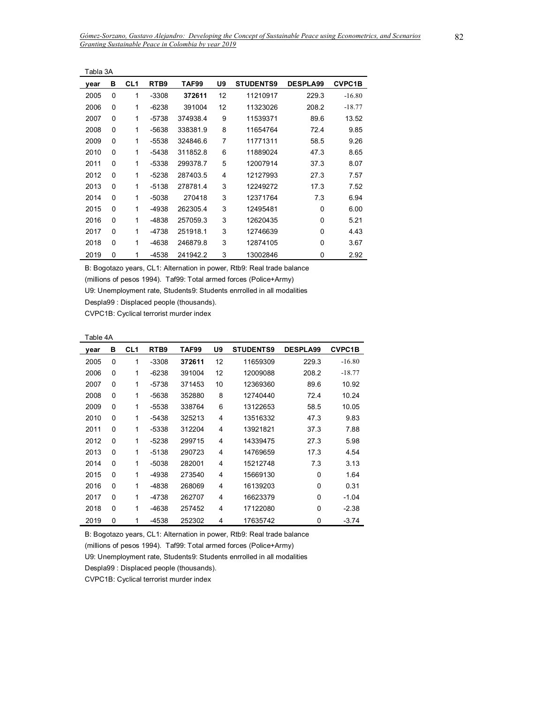|      | Tabla 3A |                 |                  |          |    |                  |                 |               |  |  |  |
|------|----------|-----------------|------------------|----------|----|------------------|-----------------|---------------|--|--|--|
| year | в        | CL <sub>1</sub> | RTB <sub>9</sub> | TAF99    | U9 | <b>STUDENTS9</b> | <b>DESPLA99</b> | <b>CVPC1B</b> |  |  |  |
| 2005 | 0        | 1               | $-3308$          | 372611   | 12 | 11210917         | 229.3           | $-16.80$      |  |  |  |
| 2006 | 0        | 1               | $-6238$          | 391004   | 12 | 11323026         | 208.2           | $-18.77$      |  |  |  |
| 2007 | 0        | 1               | -5738            | 374938.4 | 9  | 11539371         | 89.6            | 13.52         |  |  |  |
| 2008 | 0        | 1               | -5638            | 338381.9 | 8  | 11654764         | 72.4            | 9.85          |  |  |  |
| 2009 | 0        | 1               | -5538            | 324846.6 | 7  | 11771311         | 58.5            | 9.26          |  |  |  |
| 2010 | 0        | 1               | -5438            | 311852.8 | 6  | 11889024         | 47.3            | 8.65          |  |  |  |
| 2011 | 0        | 1               | -5338            | 299378.7 | 5  | 12007914         | 37.3            | 8.07          |  |  |  |
| 2012 | 0        | 1               | -5238            | 287403.5 | 4  | 12127993         | 27.3            | 7.57          |  |  |  |
| 2013 | 0        | 1               | $-5138$          | 278781.4 | 3  | 12249272         | 17.3            | 7.52          |  |  |  |
| 2014 | 0        | 1               | $-5038$          | 270418   | 3  | 12371764         | 7.3             | 6.94          |  |  |  |
| 2015 | 0        | 1               | $-4938$          | 262305.4 | 3  | 12495481         | $\Omega$        | 6.00          |  |  |  |
| 2016 | 0        | 1               | $-4838$          | 257059.3 | 3  | 12620435         | $\Omega$        | 5.21          |  |  |  |
| 2017 | 0        | 1               | $-4738$          | 251918.1 | 3  | 12746639         | $\Omega$        | 4.43          |  |  |  |
| 2018 | 0        | 1               | $-4638$          | 246879.8 | 3  | 12874105         | 0               | 3.67          |  |  |  |
| 2019 | 0        | 1               | $-4538$          | 241942.2 | 3  | 13002846         | 0               | 2.92          |  |  |  |

(millions of pesos 1994). Taf99: Total armed forces (Police+Army)

U9: Unemployment rate, Students9: Students enrrolled in all modalities

Despla99 : Displaced people (thousands).

CVPC1B: Cyclical terrorist murder index

| Table 4A |
|----------|
|----------|

| year | в | CL1 | RTB <sub>9</sub> | TAF99  | U9 | <b>STUDENTS9</b> | <b>DESPLA99</b> | <b>CVPC1B</b> |
|------|---|-----|------------------|--------|----|------------------|-----------------|---------------|
| 2005 | 0 | 1   | $-3308$          | 372611 | 12 | 11659309         | 229.3           | $-16.80$      |
| 2006 | 0 | 1   | $-6238$          | 391004 | 12 | 12009088         | 208.2           | $-18.77$      |
| 2007 | 0 | 1   | -5738            | 371453 | 10 | 12369360         | 89.6            | 10.92         |
| 2008 | 0 | 1   | $-5638$          | 352880 | 8  | 12740440         | 72.4            | 10.24         |
| 2009 | 0 | 1   | $-5538$          | 338764 | 6  | 13122653         | 58.5            | 10.05         |
| 2010 | 0 | 1   | -5438            | 325213 | 4  | 13516332         | 47.3            | 9.83          |
| 2011 | 0 | 1   | $-5338$          | 312204 | 4  | 13921821         | 37.3            | 7.88          |
| 2012 | 0 | 1   | $-5238$          | 299715 | 4  | 14339475         | 27.3            | 5.98          |
| 2013 | 0 | 1   | $-5138$          | 290723 | 4  | 14769659         | 17.3            | 4.54          |
| 2014 | 0 | 1   | $-5038$          | 282001 | 4  | 15212748         | 7.3             | 3.13          |
| 2015 | 0 | 1   | -4938            | 273540 | 4  | 15669130         | 0               | 1.64          |
| 2016 | 0 | 1   | -4838            | 268069 | 4  | 16139203         | 0               | 0.31          |
| 2017 | 0 | 1   | $-4738$          | 262707 | 4  | 16623379         | 0               | $-1.04$       |
| 2018 | 0 | 1   | -4638            | 257452 | 4  | 17122080         | 0               | $-2.38$       |
| 2019 | 0 | 1   | $-4538$          | 252302 | 4  | 17635742         | 0               | $-3.74$       |

B: Bogotazo years, CL1: Alternation in power, Rtb9: Real trade balance

(millions of pesos 1994). Taf99: Total armed forces (Police+Army)

U9: Unemployment rate, Students9: Students enrrolled in all modalities

Despla99 : Displaced people (thousands).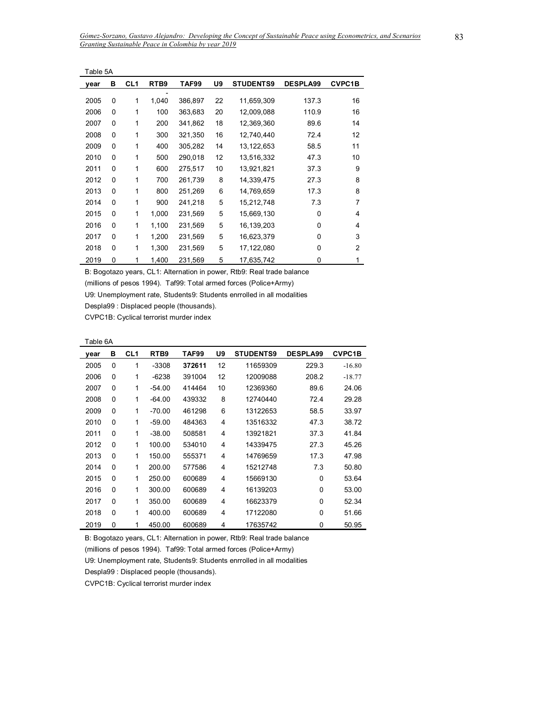| Table 5A |   |                 |       |              |    |                  |                 |               |
|----------|---|-----------------|-------|--------------|----|------------------|-----------------|---------------|
| year     | в | CL <sub>1</sub> | RTB9  | <b>TAF99</b> | U9 | <b>STUDENTS9</b> | <b>DESPLA99</b> | <b>CVPC1B</b> |
| 2005     | 0 | 1               | 1,040 | 386,897      | 22 | 11,659,309       | 137.3           | 16            |
| 2006     | 0 | 1               | 100   | 363,683      | 20 | 12,009,088       | 110.9           | 16            |
| 2007     | 0 | 1               | 200   | 341,862      | 18 | 12,369,360       | 89.6            | 14            |
| 2008     | 0 | 1               | 300   | 321,350      | 16 | 12,740,440       | 72.4            | 12            |
| 2009     | 0 | 1               | 400   | 305,282      | 14 | 13, 122, 653     | 58.5            | 11            |
| 2010     | 0 | 1               | 500   | 290,018      | 12 | 13,516,332       | 47.3            | 10            |
| 2011     | 0 | 1               | 600   | 275,517      | 10 | 13,921,821       | 37.3            | 9             |
| 2012     | 0 | 1               | 700   | 261,739      | 8  | 14,339,475       | 27.3            | 8             |
| 2013     | 0 | 1               | 800   | 251,269      | 6  | 14,769,659       | 17.3            | 8             |
| 2014     | 0 | 1               | 900   | 241,218      | 5  | 15,212,748       | 7.3             | 7             |
| 2015     | 0 | 1               | 1,000 | 231,569      | 5  | 15,669,130       | 0               | 4             |
| 2016     | 0 | 1               | 1,100 | 231,569      | 5  | 16,139,203       | $\Omega$        | 4             |
| 2017     | 0 | 1               | 1,200 | 231,569      | 5  | 16,623,379       | $\Omega$        | 3             |
| 2018     | 0 | 1               | 1,300 | 231,569      | 5  | 17,122,080       | $\Omega$        | 2             |
| 2019     | 0 | 1               | 1,400 | 231,569      | 5  | 17,635,742       | 0               | 1             |

(millions of pesos 1994). Taf99: Total armed forces (Police+Army)

U9: Unemployment rate, Students9: Students enrrolled in all modalities

Despla99 : Displaced people (thousands).

CVPC1B: Cyclical terrorist murder index

| Table 6A |
|----------|
|----------|

| year | в        | CL <sub>1</sub> | RTB <sub>9</sub> | TAF99  | U9 | <b>STUDENTS9</b> | <b>DESPLA99</b> | <b>CVPC1B</b> |
|------|----------|-----------------|------------------|--------|----|------------------|-----------------|---------------|
| 2005 | 0        | 1               | $-3308$          | 372611 | 12 | 11659309         | 229.3           | $-16.80$      |
| 2006 | 0        | 1               | $-6238$          | 391004 | 12 | 12009088         | 208.2           | $-18.77$      |
| 2007 | 0        | 1               | $-54.00$         | 414464 | 10 | 12369360         | 89.6            | 24.06         |
| 2008 | 0        | 1               | $-64.00$         | 439332 | 8  | 12740440         | 72.4            | 29.28         |
| 2009 | 0        | 1               | $-70.00$         | 461298 | 6  | 13122653         | 58.5            | 33.97         |
| 2010 | $\Omega$ | 1               | $-59.00$         | 484363 | 4  | 13516332         | 47.3            | 38.72         |
| 2011 | 0        | 1               | $-38.00$         | 508581 | 4  | 13921821         | 37.3            | 41.84         |
| 2012 | 0        | 1               | 100.00           | 534010 | 4  | 14339475         | 27.3            | 45.26         |
| 2013 | $\Omega$ | 1               | 150.00           | 555371 | 4  | 14769659         | 17.3            | 47.98         |
| 2014 | 0        | 1               | 200.00           | 577586 | 4  | 15212748         | 7.3             | 50.80         |
| 2015 | 0        | 1               | 250.00           | 600689 | 4  | 15669130         | 0               | 53.64         |
| 2016 | $\Omega$ | 1               | 300.00           | 600689 | 4  | 16139203         | $\mathbf{0}$    | 53.00         |
| 2017 | 0        | 1               | 350.00           | 600689 | 4  | 16623379         | 0               | 52.34         |
| 2018 | 0        | 1               | 400.00           | 600689 | 4  | 17122080         | $\mathbf{0}$    | 51.66         |
| 2019 | 0        | 1               | 450.00           | 600689 | 4  | 17635742         | 0               | 50.95         |

B: Bogotazo years, CL1: Alternation in power, Rtb9: Real trade balance

(millions of pesos 1994). Taf99: Total armed forces (Police+Army)

U9: Unemployment rate, Students9: Students enrrolled in all modalities

Despla99 : Displaced people (thousands).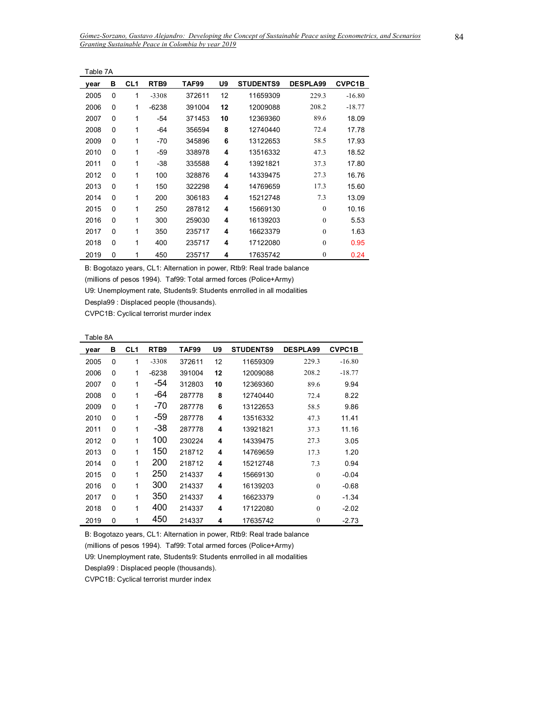| Table 7A |          |                 |                  |        |    |                  |                 |               |
|----------|----------|-----------------|------------------|--------|----|------------------|-----------------|---------------|
| vear     | в        | CL <sub>1</sub> | RTB <sub>9</sub> | TAF99  | U9 | <b>STUDENTS9</b> | <b>DESPLA99</b> | <b>CVPC1B</b> |
| 2005     | $\Omega$ | 1               | $-3308$          | 372611 | 12 | 11659309         | 229.3           | $-16.80$      |
| 2006     | $\Omega$ | 1               | $-6238$          | 391004 | 12 | 12009088         | 208.2           | $-18.77$      |
| 2007     | $\Omega$ | 1               | -54              | 371453 | 10 | 12369360         | 89.6            | 18.09         |
| 2008     | 0        | 1               | $-64$            | 356594 | 8  | 12740440         | 72.4            | 17.78         |
| 2009     | $\Omega$ | 1               | -70              | 345896 | 6  | 13122653         | 58.5            | 17.93         |
| 2010     | $\Omega$ | 1               | -59              | 338978 | 4  | 13516332         | 47.3            | 18.52         |
| 2011     | 0        | 1               | -38              | 335588 | 4  | 13921821         | 37.3            | 17.80         |
| 2012     | $\Omega$ | 1               | 100              | 328876 | 4  | 14339475         | 27.3            | 16.76         |
| 2013     | $\Omega$ | 1               | 150              | 322298 | 4  | 14769659         | 17.3            | 15.60         |
| 2014     | $\Omega$ | 1               | 200              | 306183 | 4  | 15212748         | 7.3             | 13.09         |
| 2015     | $\Omega$ | 1               | 250              | 287812 | 4  | 15669130         | $\theta$        | 10.16         |
| 2016     | 0        | 1               | 300              | 259030 | 4  | 16139203         | $\theta$        | 5.53          |
| 2017     | 0        | 1               | 350              | 235717 | 4  | 16623379         | $\theta$        | 1.63          |
| 2018     | $\Omega$ | 1               | 400              | 235717 | 4  | 17122080         | $\theta$        | 0.95          |
| 2019     | 0        | 1               | 450              | 235717 | 4  | 17635742         | $\mathbf{0}$    | 0.24          |

(millions of pesos 1994). Taf99: Total armed forces (Police+Army)

U9: Unemployment rate, Students9: Students enrrolled in all modalities

Despla99 : Displaced people (thousands).

CVPC1B: Cyclical terrorist murder index

| year | в        | CL1 | RTB9    | TAF99  | U9 | <b>STUDENTS9</b> | <b>DESPLA99</b> | <b>CVPC1B</b> |
|------|----------|-----|---------|--------|----|------------------|-----------------|---------------|
| 2005 | 0        | 1   | $-3308$ | 372611 | 12 | 11659309         | 229.3           | $-16.80$      |
| 2006 | 0        | 1   | $-6238$ | 391004 | 12 | 12009088         | 208.2           | $-18.77$      |
| 2007 | 0        | 1   | -54     | 312803 | 10 | 12369360         | 89.6            | 9.94          |
| 2008 | 0        | 1   | -64     | 287778 | 8  | 12740440         | 72.4            | 8.22          |
| 2009 | 0        | 1   | -70     | 287778 | 6  | 13122653         | 58.5            | 9.86          |
| 2010 | 0        | 1   | -59     | 287778 | 4  | 13516332         | 47.3            | 11.41         |
| 2011 | 0        | 1   | -38     | 287778 | 4  | 13921821         | 37.3            | 11.16         |
| 2012 | 0        | 1   | 100     | 230224 | 4  | 14339475         | 27.3            | 3.05          |
| 2013 | 0        | 1   | 150     | 218712 | 4  | 14769659         | 17.3            | 1.20          |
| 2014 | 0        | 1   | 200     | 218712 | 4  | 15212748         | 7.3             | 0.94          |
| 2015 | 0        | 1   | 250     | 214337 | 4  | 15669130         | $\Omega$        | $-0.04$       |
| 2016 | $\Omega$ | 1   | 300     | 214337 | 4  | 16139203         | $\Omega$        | $-0.68$       |
| 2017 | 0        | 1   | 350     | 214337 | 4  | 16623379         | $\mathbf{0}$    | $-1.34$       |
| 2018 | $\Omega$ | 1   | 400     | 214337 | 4  | 17122080         | $\theta$        | $-2.02$       |
| 2019 | 0        | 1   | 450     | 214337 | 4  | 17635742         | $\mathbf{0}$    | $-2.73$       |

B: Bogotazo years, CL1: Alternation in power, Rtb9: Real trade balance

(millions of pesos 1994). Taf99: Total armed forces (Police+Army)

U9: Unemployment rate, Students9: Students enrrolled in all modalities

Despla99 : Displaced people (thousands).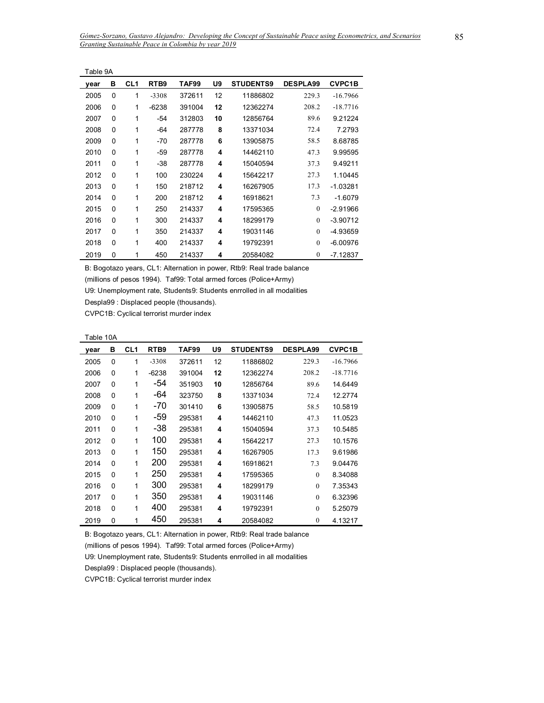| Table 9A |   |                 |         |        |    |                  |                 |               |
|----------|---|-----------------|---------|--------|----|------------------|-----------------|---------------|
| year     | в | CL <sub>1</sub> | RTB9    | TAF99  | U9 | <b>STUDENTS9</b> | <b>DESPLA99</b> | <b>CVPC1B</b> |
| 2005     | 0 | 1               | $-3308$ | 372611 | 12 | 11886802         | 229.3           | $-16.7966$    |
| 2006     | 0 | 1               | $-6238$ | 391004 | 12 | 12362274         | 208.2           | $-18.7716$    |
| 2007     | 0 | 1               | $-54$   | 312803 | 10 | 12856764         | 89.6            | 9.21224       |
| 2008     | 0 | 1               | -64     | 287778 | 8  | 13371034         | 72.4            | 7.2793        |
| 2009     | 0 | 1               | -70     | 287778 | 6  | 13905875         | 58.5            | 8.68785       |
| 2010     | 0 | 1               | -59     | 287778 | 4  | 14462110         | 47.3            | 9.99595       |
| 2011     | 0 | 1               | -38     | 287778 | 4  | 15040594         | 37.3            | 9.49211       |
| 2012     | 0 | 1               | 100     | 230224 | 4  | 15642217         | 27.3            | 1.10445       |
| 2013     | 0 | 1               | 150     | 218712 | 4  | 16267905         | 17.3            | $-1.03281$    |
| 2014     | 0 | 1               | 200     | 218712 | 4  | 16918621         | 7.3             | $-1.6079$     |
| 2015     | 0 | 1               | 250     | 214337 | 4  | 17595365         | $\Omega$        | $-2.91966$    |
| 2016     | 0 | 1               | 300     | 214337 | 4  | 18299179         | $\Omega$        | $-3.90712$    |
| 2017     | 0 | 1               | 350     | 214337 | 4  | 19031146         | $\Omega$        | $-4.93659$    |
| 2018     | 0 | 1               | 400     | 214337 | 4  | 19792391         | $\Omega$        | $-6.00976$    |
| 2019     | 0 | 1               | 450     | 214337 | 4  | 20584082         | $\mathbf{0}$    | $-7.12837$    |

(millions of pesos 1994). Taf99: Total armed forces (Police+Army)

U9: Unemployment rate, Students9: Students enrrolled in all modalities

Despla99 : Displaced people (thousands).

CVPC1B: Cyclical terrorist murder index

| Table 10A |  |
|-----------|--|
|-----------|--|

| vear | в | CL1 | RTB <sub>9</sub> | TAF99  | U9 | <b>STUDENTS9</b> | <b>DESPLA99</b> | <b>CVPC1B</b> |
|------|---|-----|------------------|--------|----|------------------|-----------------|---------------|
| 2005 | 0 | 1   | $-3308$          | 372611 | 12 | 11886802         | 229.3           | $-16.7966$    |
| 2006 | 0 | 1   | $-6238$          | 391004 | 12 | 12362274         | 208.2           | $-18.7716$    |
| 2007 | 0 | 1   | -54              | 351903 | 10 | 12856764         | 89.6            | 14.6449       |
| 2008 | 0 | 1   | -64              | 323750 | 8  | 13371034         | 72.4            | 12.2774       |
| 2009 | 0 | 1   | -70              | 301410 | 6  | 13905875         | 58.5            | 10.5819       |
| 2010 | 0 | 1   | -59              | 295381 | 4  | 14462110         | 47.3            | 11.0523       |
| 2011 | 0 | 1   | -38              | 295381 | 4  | 15040594         | 37.3            | 10.5485       |
| 2012 | 0 | 1   | 100              | 295381 | 4  | 15642217         | 27.3            | 10.1576       |
| 2013 | 0 | 1   | 150              | 295381 | 4  | 16267905         | 17.3            | 9.61986       |
| 2014 | 0 | 1   | 200              | 295381 | 4  | 16918621         | 7.3             | 9.04476       |
| 2015 | 0 | 1   | 250              | 295381 | 4  | 17595365         | $\theta$        | 8.34088       |
| 2016 | 0 | 1   | 300              | 295381 | 4  | 18299179         | $\theta$        | 7.35343       |
| 2017 | 0 | 1   | 350              | 295381 | 4  | 19031146         | $\mathbf{0}$    | 6.32396       |
| 2018 | 0 | 1   | 400              | 295381 | 4  | 19792391         | $\mathbf{0}$    | 5.25079       |
| 2019 | 0 | 1   | 450              | 295381 | 4  | 20584082         | $\mathbf{0}$    | 4.13217       |

B: Bogotazo years, CL1: Alternation in power, Rtb9: Real trade balance

(millions of pesos 1994). Taf99: Total armed forces (Police+Army)

U9: Unemployment rate, Students9: Students enrrolled in all modalities

Despla99 : Displaced people (thousands).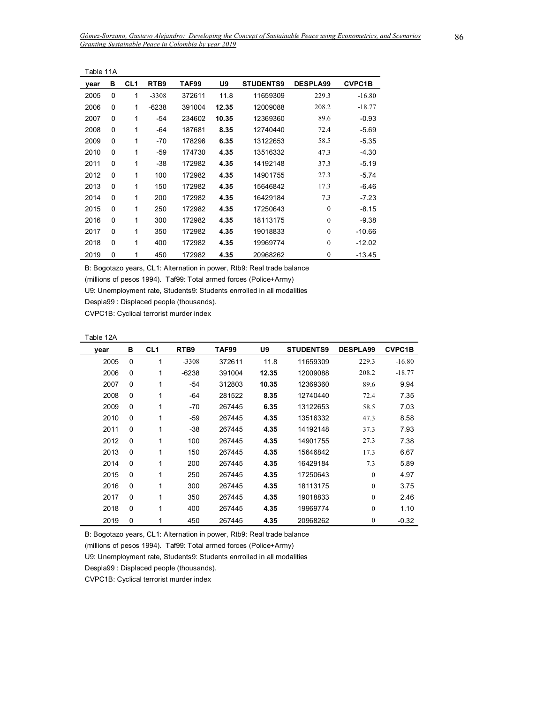| Table 11A |          |                 |                  |        |       |                  |                  |               |
|-----------|----------|-----------------|------------------|--------|-------|------------------|------------------|---------------|
| year      | в        | CL <sub>1</sub> | RTB <sub>9</sub> | TAF99  | U9    | <b>STUDENTS9</b> | <b>DESPLA99</b>  | <b>CVPC1B</b> |
| 2005      | $\Omega$ | 1               | $-3308$          | 372611 | 11.8  | 11659309         | 229.3            | $-16.80$      |
| 2006      | 0        | 1               | $-6238$          | 391004 | 12.35 | 12009088         | 208.2            | $-18.77$      |
| 2007      | 0        | 1               | -54              | 234602 | 10.35 | 12369360         | 89.6             | $-0.93$       |
| 2008      | 0        | 1               | -64              | 187681 | 8.35  | 12740440         | 72.4             | $-5.69$       |
| 2009      | 0        | 1               | -70              | 178296 | 6.35  | 13122653         | 58.5             | $-5.35$       |
| 2010      | $\Omega$ | 1               | $-59$            | 174730 | 4.35  | 13516332         | 47.3             | $-4.30$       |
| 2011      | 0        | 1               | $-38$            | 172982 | 4.35  | 14192148         | 37.3             | $-5.19$       |
| 2012      | 0        | 1               | 100              | 172982 | 4.35  | 14901755         | 27.3             | $-5.74$       |
| 2013      | $\Omega$ | 1               | 150              | 172982 | 4.35  | 15646842         | 17.3             | $-6.46$       |
| 2014      | $\Omega$ | 1               | 200              | 172982 | 4.35  | 16429184         | 7.3              | $-7.23$       |
| 2015      | 0        | 1               | 250              | 172982 | 4.35  | 17250643         | $\mathbf{0}$     | $-8.15$       |
| 2016      | 0        | 1               | 300              | 172982 | 4.35  | 18113175         | $\mathbf{0}$     | $-9.38$       |
| 2017      | $\Omega$ | 1               | 350              | 172982 | 4.35  | 19018833         | $\mathbf{0}$     | $-10.66$      |
| 2018      | 0        | 1               | 400              | 172982 | 4.35  | 19969774         | $\mathbf{0}$     | $-12.02$      |
| 2019      | 0        | 1               | 450              | 172982 | 4.35  | 20968262         | $\boldsymbol{0}$ | $-13.45$      |

(millions of pesos 1994). Taf99: Total armed forces (Police+Army)

U9: Unemployment rate, Students9: Students enrrolled in all modalities

Despla99 : Displaced people (thousands).

CVPC1B: Cyclical terrorist murder index

Table 12A

 $\overline{a}$ 

| vear | в        | CL <sub>1</sub> | RTB <sub>9</sub> | TAF99  | U9    | <b>STUDENTS9</b> | <b>DESPLA99</b> | <b>CVPC1B</b> |
|------|----------|-----------------|------------------|--------|-------|------------------|-----------------|---------------|
| 2005 | 0        | 1               | $-3308$          | 372611 | 11.8  | 11659309         | 229.3           | $-16.80$      |
| 2006 | 0        | 1               | $-6238$          | 391004 | 12.35 | 12009088         | 208.2           | $-18.77$      |
| 2007 | 0        | 1               | $-54$            | 312803 | 10.35 | 12369360         | 89.6            | 9.94          |
| 2008 | 0        | 1               | $-64$            | 281522 | 8.35  | 12740440         | 72.4            | 7.35          |
| 2009 | 0        | 1               | $-70$            | 267445 | 6.35  | 13122653         | 58.5            | 7.03          |
| 2010 | 0        | 1               | $-59$            | 267445 | 4.35  | 13516332         | 47.3            | 8.58          |
| 2011 | 0        | 1               | $-38$            | 267445 | 4.35  | 14192148         | 37.3            | 7.93          |
| 2012 | 0        | 1               | 100              | 267445 | 4.35  | 14901755         | 27.3            | 7.38          |
| 2013 | 0        | 1               | 150              | 267445 | 4.35  | 15646842         | 17.3            | 6.67          |
| 2014 | $\Omega$ | 1               | 200              | 267445 | 4.35  | 16429184         | 7.3             | 5.89          |
| 2015 | 0        | 1               | 250              | 267445 | 4.35  | 17250643         | $\mathbf{0}$    | 4.97          |
| 2016 | 0        | 1               | 300              | 267445 | 4.35  | 18113175         | $\theta$        | 3.75          |
| 2017 | 0        | 1               | 350              | 267445 | 4.35  | 19018833         | $\theta$        | 2.46          |
| 2018 | 0        | 1               | 400              | 267445 | 4.35  | 19969774         | $\theta$        | 1.10          |
| 2019 | 0        | 1               | 450              | 267445 | 4.35  | 20968262         | $\theta$        | $-0.32$       |

B: Bogotazo years, CL1: Alternation in power, Rtb9: Real trade balance

(millions of pesos 1994). Taf99: Total armed forces (Police+Army)

U9: Unemployment rate, Students9: Students enrrolled in all modalities

Despla99 : Displaced people (thousands).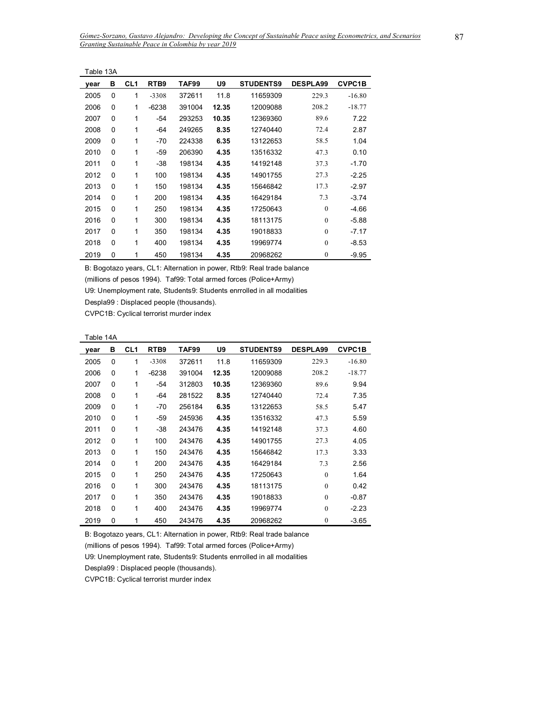| Table 13A |          |                 |                  |        |       |                  |                  |               |
|-----------|----------|-----------------|------------------|--------|-------|------------------|------------------|---------------|
| year      | в        | CL <sub>1</sub> | RTB <sub>9</sub> | TAF99  | U9    | <b>STUDENTS9</b> | <b>DESPLA99</b>  | <b>CVPC1B</b> |
| 2005      | 0        | 1               | $-3308$          | 372611 | 11.8  | 11659309         | 229.3            | $-16.80$      |
| 2006      | $\Omega$ | 1               | $-6238$          | 391004 | 12.35 | 12009088         | 208.2            | $-18.77$      |
| 2007      | 0        | 1               | -54              | 293253 | 10.35 | 12369360         | 89.6             | 7.22          |
| 2008      | 0        | 1               | -64              | 249265 | 8.35  | 12740440         | 72.4             | 2.87          |
| 2009      | $\Omega$ | 1               | -70              | 224338 | 6.35  | 13122653         | 58.5             | 1.04          |
| 2010      | $\Omega$ | 1               | -59              | 206390 | 4.35  | 13516332         | 47.3             | 0.10          |
| 2011      | $\Omega$ | 1               | $-38$            | 198134 | 4.35  | 14192148         | 37.3             | $-1.70$       |
| 2012      | $\Omega$ | 1               | 100              | 198134 | 4.35  | 14901755         | 27.3             | $-2.25$       |
| 2013      | $\Omega$ | 1               | 150              | 198134 | 4.35  | 15646842         | 17.3             | $-2.97$       |
| 2014      | $\Omega$ | 1               | 200              | 198134 | 4.35  | 16429184         | 7.3              | $-3.74$       |
| 2015      | $\Omega$ | 1               | 250              | 198134 | 4.35  | 17250643         | $\theta$         | $-4.66$       |
| 2016      | 0        | 1               | 300              | 198134 | 4.35  | 18113175         | $\mathbf{0}$     | $-5.88$       |
| 2017      | $\Omega$ | 1               | 350              | 198134 | 4.35  | 19018833         | $\mathbf{0}$     | $-7.17$       |
| 2018      | $\Omega$ | 1               | 400              | 198134 | 4.35  | 19969774         | $\mathbf{0}$     | $-8.53$       |
| 2019      | 0        | 1               | 450              | 198134 | 4.35  | 20968262         | $\boldsymbol{0}$ | $-9.95$       |

(millions of pesos 1994). Taf99: Total armed forces (Police+Army)

U9: Unemployment rate, Students9: Students enrrolled in all modalities

Despla99 : Displaced people (thousands).

CVPC1B: Cyclical terrorist murder index

Table 14A

| vear | в | CL <sub>1</sub> | RTB <sub>9</sub> | TAF99  | U9    | <b>STUDENTS9</b> | <b>DESPLA99</b> | <b>CVPC1B</b> |
|------|---|-----------------|------------------|--------|-------|------------------|-----------------|---------------|
| 2005 | 0 | 1               | $-3308$          | 372611 | 11.8  | 11659309         | 229.3           | $-16.80$      |
| 2006 | 0 | 1               | $-6238$          | 391004 | 12.35 | 12009088         | 208.2           | $-18.77$      |
| 2007 | 0 | 1               | -54              | 312803 | 10.35 | 12369360         | 89.6            | 9.94          |
| 2008 | 0 | 1               | -64              | 281522 | 8.35  | 12740440         | 72.4            | 7.35          |
| 2009 | 0 | 1               | -70              | 256184 | 6.35  | 13122653         | 58.5            | 5.47          |
| 2010 | 0 | 1               | -59              | 245936 | 4.35  | 13516332         | 47.3            | 5.59          |
| 2011 | 0 | 1               | $-38$            | 243476 | 4.35  | 14192148         | 37.3            | 4.60          |
| 2012 | 0 | 1               | 100              | 243476 | 4.35  | 14901755         | 27.3            | 4.05          |
| 2013 | 0 | 1               | 150              | 243476 | 4.35  | 15646842         | 17.3            | 3.33          |
| 2014 | 0 | 1               | 200              | 243476 | 4.35  | 16429184         | 7.3             | 2.56          |
| 2015 | 0 | 1               | 250              | 243476 | 4.35  | 17250643         | $\theta$        | 1.64          |
| 2016 | 0 | 1               | 300              | 243476 | 4.35  | 18113175         | $\theta$        | 0.42          |
| 2017 | 0 | 1               | 350              | 243476 | 4.35  | 19018833         | $\mathbf{0}$    | $-0.87$       |
| 2018 | 0 | 1               | 400              | 243476 | 4.35  | 19969774         | $\mathbf{0}$    | $-2.23$       |
| 2019 | 0 | 1               | 450              | 243476 | 4.35  | 20968262         | $\mathbf{0}$    | $-3.65$       |

B: Bogotazo years, CL1: Alternation in power, Rtb9: Real trade balance

(millions of pesos 1994). Taf99: Total armed forces (Police+Army)

U9: Unemployment rate, Students9: Students enrrolled in all modalities

Despla99 : Displaced people (thousands).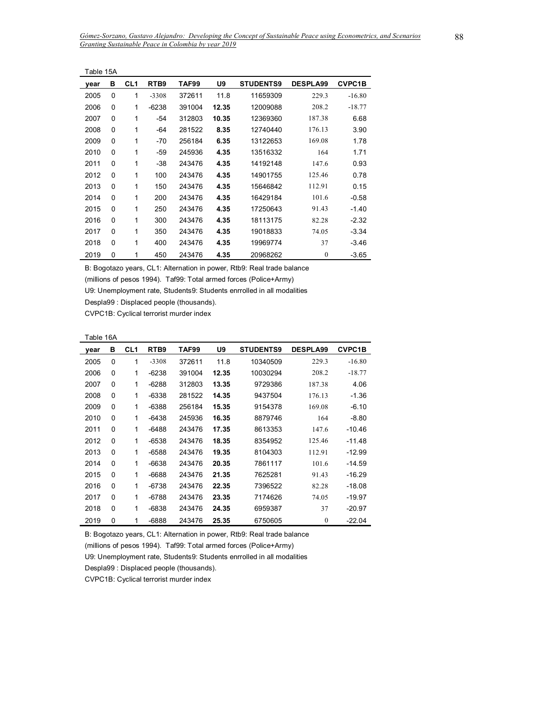| Table 15A |          |                 |                  |        |       |                  |                  |               |
|-----------|----------|-----------------|------------------|--------|-------|------------------|------------------|---------------|
| year      | в        | CL <sub>1</sub> | RTB <sub>9</sub> | TAF99  | U9    | <b>STUDENTS9</b> | <b>DESPLA99</b>  | <b>CVPC1B</b> |
| 2005      | 0        | 1               | $-3308$          | 372611 | 11.8  | 11659309         | 229.3            | $-16.80$      |
| 2006      | 0        | 1               | $-6238$          | 391004 | 12.35 | 12009088         | 208.2            | $-18.77$      |
| 2007      | 0        | 1               | -54              | 312803 | 10.35 | 12369360         | 187.38           | 6.68          |
| 2008      | 0        | 1               | -64              | 281522 | 8.35  | 12740440         | 176.13           | 3.90          |
| 2009      | 0        | 1               | -70              | 256184 | 6.35  | 13122653         | 169.08           | 1.78          |
| 2010      | $\Omega$ | 1               | -59              | 245936 | 4.35  | 13516332         | 164              | 1.71          |
| 2011      | 0        | 1               | -38              | 243476 | 4.35  | 14192148         | 147.6            | 0.93          |
| 2012      | $\Omega$ | 1               | 100              | 243476 | 4.35  | 14901755         | 125.46           | 0.78          |
| 2013      | $\Omega$ | 1               | 150              | 243476 | 4.35  | 15646842         | 112.91           | 0.15          |
| 2014      | 0        | 1               | 200              | 243476 | 4.35  | 16429184         | 101.6            | $-0.58$       |
| 2015      | $\Omega$ | 1               | 250              | 243476 | 4.35  | 17250643         | 91.43            | $-1.40$       |
| 2016      | 0        | 1               | 300              | 243476 | 4.35  | 18113175         | 82.28            | $-2.32$       |
| 2017      | 0        | 1               | 350              | 243476 | 4.35  | 19018833         | 74.05            | $-3.34$       |
| 2018      | $\Omega$ | 1               | 400              | 243476 | 4.35  | 19969774         | 37               | $-3.46$       |
| 2019      | 0        | 1               | 450              | 243476 | 4.35  | 20968262         | $\boldsymbol{0}$ | $-3.65$       |

(millions of pesos 1994). Taf99: Total armed forces (Police+Army)

U9: Unemployment rate, Students9: Students enrrolled in all modalities

Despla99 : Displaced people (thousands).

CVPC1B: Cyclical terrorist murder index

| Table 16A |  |
|-----------|--|
|-----------|--|

| vear | в | CL1 | RTB <sub>9</sub> | TAF99  | U9    | <b>STUDENTS9</b> | <b>DESPLA99</b> | <b>CVPC1B</b> |
|------|---|-----|------------------|--------|-------|------------------|-----------------|---------------|
| 2005 | 0 | 1   | $-3308$          | 372611 | 11.8  | 10340509         | 229.3           | $-16.80$      |
| 2006 | 0 | 1   | $-6238$          | 391004 | 12.35 | 10030294         | 208.2           | $-18.77$      |
| 2007 | 0 | 1   | $-6288$          | 312803 | 13.35 | 9729386          | 187.38          | 4.06          |
| 2008 | 0 | 1   | -6338            | 281522 | 14.35 | 9437504          | 176.13          | $-1.36$       |
| 2009 | 0 | 1   | $-6388$          | 256184 | 15.35 | 9154378          | 169.08          | $-6.10$       |
| 2010 | 0 | 1   | $-6438$          | 245936 | 16.35 | 8879746          | 164             | $-8.80$       |
| 2011 | 0 | 1   | $-6488$          | 243476 | 17.35 | 8613353          | 147.6           | $-10.46$      |
| 2012 | 0 | 1   | $-6538$          | 243476 | 18.35 | 8354952          | 125.46          | $-11.48$      |
| 2013 | 0 | 1   | $-6588$          | 243476 | 19.35 | 8104303          | 112.91          | $-12.99$      |
| 2014 | 0 | 1   | $-6638$          | 243476 | 20.35 | 7861117          | 101.6           | $-14.59$      |
| 2015 | 0 | 1   | -6688            | 243476 | 21.35 | 7625281          | 91.43           | $-16.29$      |
| 2016 | 0 | 1   | -6738            | 243476 | 22.35 | 7396522          | 82.28           | $-18.08$      |
| 2017 | 0 | 1   | $-6788$          | 243476 | 23.35 | 7174626          | 74.05           | $-19.97$      |
| 2018 | 0 | 1   | -6838            | 243476 | 24.35 | 6959387          | 37              | $-20.97$      |
| 2019 | 0 | 1   | $-6888$          | 243476 | 25.35 | 6750605          | $\mathbf{0}$    | $-22.04$      |

B: Bogotazo years, CL1: Alternation in power, Rtb9: Real trade balance

(millions of pesos 1994). Taf99: Total armed forces (Police+Army)

U9: Unemployment rate, Students9: Students enrrolled in all modalities

Despla99 : Displaced people (thousands).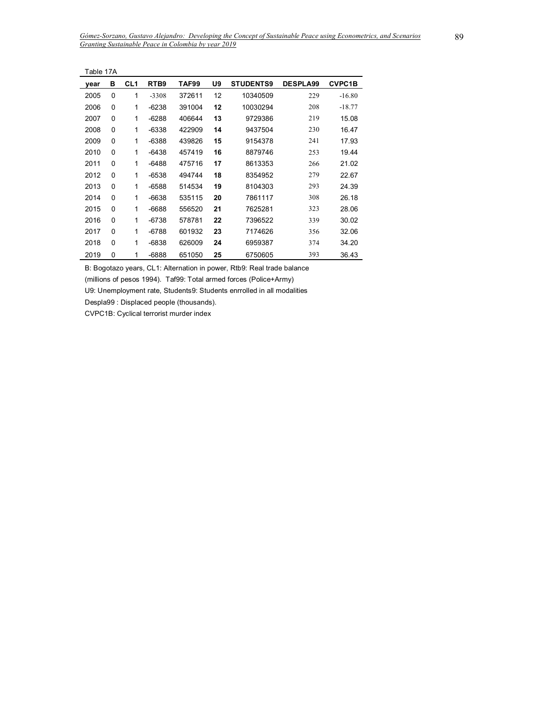| Table 17A |          |                 |                  |        |    |                  |                 |               |
|-----------|----------|-----------------|------------------|--------|----|------------------|-----------------|---------------|
| year      | в        | CL <sub>1</sub> | RTB <sub>9</sub> | TAF99  | U9 | <b>STUDENTS9</b> | <b>DESPLA99</b> | <b>CVPC1B</b> |
| 2005      | 0        | 1               | $-3308$          | 372611 | 12 | 10340509         | 229             | $-16.80$      |
| 2006      | 0        | 1               | $-6238$          | 391004 | 12 | 10030294         | 208             | $-18.77$      |
| 2007      | 0        | 1               | $-6288$          | 406644 | 13 | 9729386          | 219             | 15.08         |
| 2008      | 0        | 1               | -6338            | 422909 | 14 | 9437504          | 230             | 16.47         |
| 2009      | 0        | 1               | $-6388$          | 439826 | 15 | 9154378          | 241             | 17.93         |
| 2010      | 0        | 1               | $-6438$          | 457419 | 16 | 8879746          | 253             | 19.44         |
| 2011      | 0        | 1               | $-6488$          | 475716 | 17 | 8613353          | 266             | 21.02         |
| 2012      | 0        | 1               | $-6538$          | 494744 | 18 | 8354952          | 279             | 22.67         |
| 2013      | 0        | 1               | $-6588$          | 514534 | 19 | 8104303          | 293             | 24.39         |
| 2014      | $\Omega$ | 1               | $-6638$          | 535115 | 20 | 7861117          | 308             | 26.18         |
| 2015      | 0        | 1               | $-6688$          | 556520 | 21 | 7625281          | 323             | 28.06         |
| 2016      | 0        | 1               | -6738            | 578781 | 22 | 7396522          | 339             | 30.02         |
| 2017      | 0        | 1               | $-6788$          | 601932 | 23 | 7174626          | 356             | 32.06         |
| 2018      | 0        | 1               | $-6838$          | 626009 | 24 | 6959387          | 374             | 34.20         |
| 2019      | 0        | 1               | $-6888$          | 651050 | 25 | 6750605          | 393             | 36.43         |

(millions of pesos 1994). Taf99: Total armed forces (Police+Army)

U9: Unemployment rate, Students9: Students enrrolled in all modalities

Despla99 : Displaced people (thousands).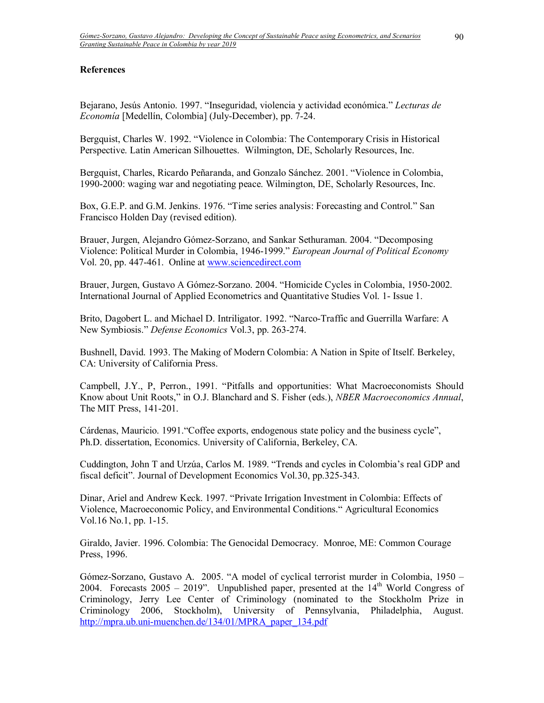## **References**

Bejarano, Jesús Antonio. 1997. "Inseguridad, violencia y actividad económica." Lecturas de *EconomÌa* [MedellÌn, Colombia] (July-December), pp. 7-24.

Bergquist, Charles W. 1992. "Violence in Colombia: The Contemporary Crisis in Historical Perspective. Latin American Silhouettes. Wilmington, DE, Scholarly Resources, Inc.

Bergquist, Charles, Ricardo Peñaranda, and Gonzalo Sánchez. 2001. "Violence in Colombia, 1990-2000: waging war and negotiating peace. Wilmington, DE, Scholarly Resources, Inc.

Box, G.E.P. and G.M. Jenkins. 1976. "Time series analysis: Forecasting and Control." San Francisco Holden Day (revised edition).

Brauer, Jurgen, Alejandro Gómez-Sorzano, and Sankar Sethuraman. 2004. "Decomposing Violence: Political Murder in Colombia, 1946-1999." *European Journal of Political Economy* Vol. 20, pp. 447-461. Online at www.sciencedirect.com

Brauer, Jurgen, Gustavo A Gómez-Sorzano. 2004. "Homicide Cycles in Colombia, 1950-2002. International Journal of Applied Econometrics and Quantitative Studies Vol. 1- Issue 1.

Brito, Dagobert L. and Michael D. Intriligator. 1992. "Narco-Traffic and Guerrilla Warfare: A New Symbiosis.î *Defense Economics* Vol.3, pp. 263-274.

Bushnell, David. 1993. The Making of Modern Colombia: A Nation in Spite of Itself. Berkeley, CA: University of California Press.

Campbell, J.Y., P, Perron., 1991. "Pitfalls and opportunities: What Macroeconomists Should Know about Unit Roots,î in O.J. Blanchard and S. Fisher (eds.), *NBER Macroeconomics Annual*, The MIT Press, 141-201.

Cárdenas, Mauricio. 1991. "Coffee exports, endogenous state policy and the business cycle", Ph.D. dissertation, Economics. University of California, Berkeley, CA.

Cuddington, John T and Urzúa, Carlos M. 1989. "Trends and cycles in Colombia's real GDP and fiscal deficit". Journal of Development Economics Vol.30, pp.325-343.

Dinar, Ariel and Andrew Keck. 1997. "Private Irrigation Investment in Colombia: Effects of Violence, Macroeconomic Policy, and Environmental Conditions." Agricultural Economics Vol.16 No.1, pp. 1-15.

Giraldo, Javier. 1996. Colombia: The Genocidal Democracy. Monroe, ME: Common Courage Press, 1996.

Gómez-Sorzano, Gustavo A. 2005. "A model of cyclical terrorist murder in Colombia,  $1950 -$ 2004. Forecasts 2005 – 2019". Unpublished paper, presented at the  $14<sup>th</sup>$  World Congress of Criminology, Jerry Lee Center of Criminology (nominated to the Stockholm Prize in Criminology 2006, Stockholm), University of Pennsylvania, Philadelphia, August. http://mpra.ub.uni-muenchen.de/134/01/MPRA\_paper\_134.pdf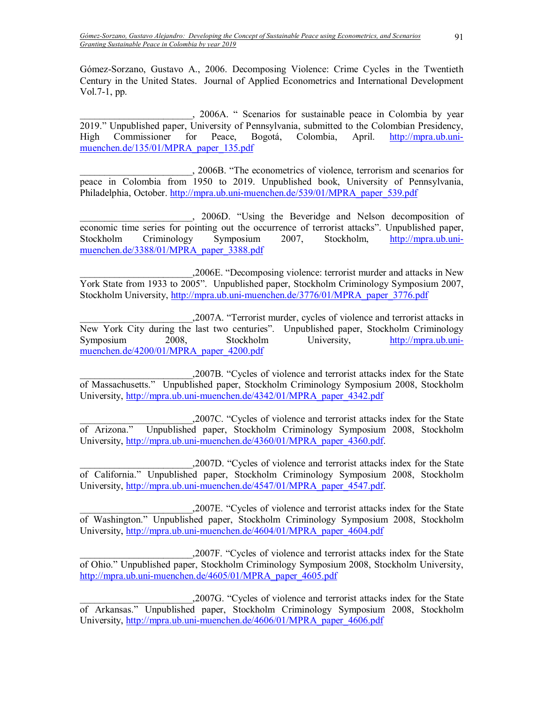Gómez-Sorzano, Gustavo A., 2006. Decomposing Violence: Crime Cycles in the Twentieth Century in the United States. Journal of Applied Econometrics and International Development Vol.7-1, pp.

\_\_\_\_\_\_\_\_\_\_\_\_\_\_\_\_\_\_\_\_\_\_\_, 2006A. ì Scenarios for sustainable peace in Colombia by year 2019." Unpublished paper, University of Pennsylvania, submitted to the Colombian Presidency, High Commissioner for Peace, Bogotá, Colombia, April. http://mpra.ub.uni-High Commissioner for Peace, Bogotá, Colombia, April. http://mpra.ub.unimuenchen.de/135/01/MPRA\_paper\_135.pdf

\_\_\_\_\_\_\_\_\_\_\_\_\_\_\_\_\_\_\_\_\_\_\_, 2006B. ìThe econometrics of violence, terrorism and scenarios for peace in Colombia from 1950 to 2019. Unpublished book, University of Pennsylvania, Philadelphia, October. http://mpra.ub.uni-muenchen.de/539/01/MPRA\_paper\_539.pdf

. 2006D. "Using the Beveridge and Nelson decomposition of economic time series for pointing out the occurrence of terrorist attacks". Unpublished paper, Stockholm Criminology Symposium 2007, Stockholm, http://mpra.ub.unimuenchen.de/3388/01/MPRA\_paper\_3388.pdf

\_\_\_\_\_\_\_\_\_\_\_\_\_\_\_\_\_\_\_\_\_\_\_,2006E. ìDecomposing violence: terrorist murder and attacks in New York State from 1933 to 2005". Unpublished paper, Stockholm Criminology Symposium 2007, Stockholm University, http://mpra.ub.uni-muenchen.de/3776/01/MPRA\_paper\_3776.pdf

, 2007A. "Terrorist murder, cycles of violence and terrorist attacks in New York City during the last two centuriesî. Unpublished paper, Stockholm Criminology Symposium 2008, Stockholm University, http://mpra.ub.unimuenchen.de/4200/01/MPRA\_paper\_4200.pdf

\_\_\_\_\_\_\_\_\_\_\_\_\_\_\_\_\_\_\_\_\_\_\_,2007B. ìCycles of violence and terrorist attacks index for the State of Massachusetts.î Unpublished paper, Stockholm Criminology Symposium 2008, Stockholm University, http://mpra.ub.uni-muenchen.de/4342/01/MPRA\_paper\_4342.pdf

2007C. "Cycles of violence and terrorist attacks index for the State<br>of Arizona." Unpublished paper, Stockholm Criminology Symposium 2008, Stockholm Unpublished paper, Stockholm Criminology Symposium 2008, Stockholm University, http://mpra.ub.uni-muenchen.de/4360/01/MPRA\_paper\_4360.pdf.

\_\_\_\_\_\_\_\_\_\_\_\_\_\_\_\_\_\_\_\_\_\_\_,2007D. ìCycles of violence and terrorist attacks index for the State of California.î Unpublished paper, Stockholm Criminology Symposium 2008, Stockholm University, http://mpra.ub.uni-muenchen.de/4547/01/MPRA\_paper\_4547.pdf.

\_\_\_\_\_\_\_\_\_\_\_\_\_\_\_\_\_\_\_\_\_\_\_,2007E. ìCycles of violence and terrorist attacks index for the State of Washington.î Unpublished paper, Stockholm Criminology Symposium 2008, Stockholm University, http://mpra.ub.uni-muenchen.de/4604/01/MPRA\_paper\_4604.pdf

\_\_\_\_\_\_\_\_\_\_\_\_\_\_\_\_\_\_\_\_\_\_\_,2007F. ìCycles of violence and terrorist attacks index for the State of Ohio.î Unpublished paper, Stockholm Criminology Symposium 2008, Stockholm University, http://mpra.ub.uni-muenchen.de/4605/01/MPRA\_paper\_4605.pdf

\_\_\_\_\_\_\_\_\_\_\_\_\_\_\_\_\_\_\_\_\_\_\_,2007G. ìCycles of violence and terrorist attacks index for the State of Arkansas.î Unpublished paper, Stockholm Criminology Symposium 2008, Stockholm University, http://mpra.ub.uni-muenchen.de/4606/01/MPRA\_paper\_4606.pdf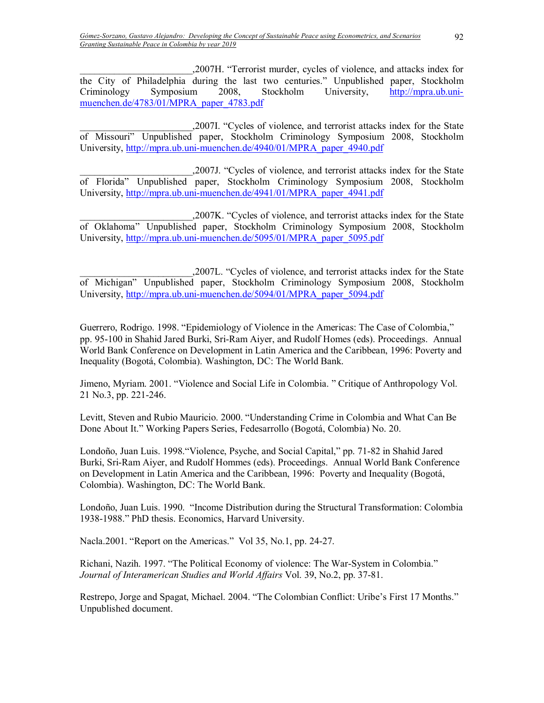\_\_\_\_\_\_\_\_\_\_\_\_\_\_\_\_\_\_\_\_\_\_\_,2007H. ìTerrorist murder, cycles of violence, and attacks index for the City of Philadelphia during the last two centuries." Unpublished paper, Stockholm Criminology Symposium 2008, Stockholm University, http://mpra.ub.unimuenchen.de/4783/01/MPRA\_paper\_4783.pdf

,2007I. "Cycles of violence, and terrorist attacks index for the State of Missouriî Unpublished paper, Stockholm Criminology Symposium 2008, Stockholm University, http://mpra.ub.uni-muenchen.de/4940/01/MPRA\_paper\_4940.pdf

\_\_\_\_\_\_\_\_\_\_\_\_\_\_\_\_\_\_\_\_\_\_\_,2007J. ìCycles of violence, and terrorist attacks index for the State of Floridaî Unpublished paper, Stockholm Criminology Symposium 2008, Stockholm University, http://mpra.ub.uni-muenchen.de/4941/01/MPRA\_paper\_4941.pdf

\_\_\_\_\_\_\_\_\_\_\_\_\_\_\_\_\_\_\_\_\_\_\_,2007K. ìCycles of violence, and terrorist attacks index for the State of Oklahomaî Unpublished paper, Stockholm Criminology Symposium 2008, Stockholm University, http://mpra.ub.uni-muenchen.de/5095/01/MPRA\_paper\_5095.pdf

\_\_\_\_\_\_\_\_\_\_\_\_\_\_\_\_\_\_\_\_\_\_\_,2007L. ìCycles of violence, and terrorist attacks index for the State of Michiganî Unpublished paper, Stockholm Criminology Symposium 2008, Stockholm University, http://mpra.ub.uni-muenchen.de/5094/01/MPRA\_paper\_5094.pdf

Guerrero, Rodrigo. 1998. "Epidemiology of Violence in the Americas: The Case of Colombia," pp. 95-100 in Shahid Jared Burki, Sri-Ram Aiyer, and Rudolf Homes (eds). Proceedings. Annual World Bank Conference on Development in Latin America and the Caribbean, 1996: Poverty and Inequality (Bogotá, Colombia). Washington, DC: The World Bank.

Jimeno, Myriam. 2001. "Violence and Social Life in Colombia." Critique of Anthropology Vol. 21 No.3, pp. 221-246.

Levitt, Steven and Rubio Mauricio. 2000. "Understanding Crime in Colombia and What Can Be Done About It." Working Papers Series, Fedesarrollo (Bogotá, Colombia) No. 20.

Londoño, Juan Luis. 1998."Violence, Psyche, and Social Capital," pp. 71-82 in Shahid Jared Burki, Sri-Ram Aiyer, and Rudolf Hommes (eds). Proceedings. Annual World Bank Conference on Development in Latin America and the Caribbean, 1996: Poverty and Inequality (Bogotá, Colombia). Washington, DC: The World Bank.

Londoño, Juan Luis. 1990. "Income Distribution during the Structural Transformation: Colombia 1938-1988." PhD thesis. Economics, Harvard University.

Nacla.2001. "Report on the Americas." Vol 35, No.1, pp. 24-27.

Richani, Nazih. 1997. "The Political Economy of violence: The War-System in Colombia." *Journal of Interamerican Studies and World Affairs* Vol. 39, No.2, pp. 37-81.

Restrepo, Jorge and Spagat, Michael. 2004. "The Colombian Conflict: Uribe's First 17 Months." Unpublished document.